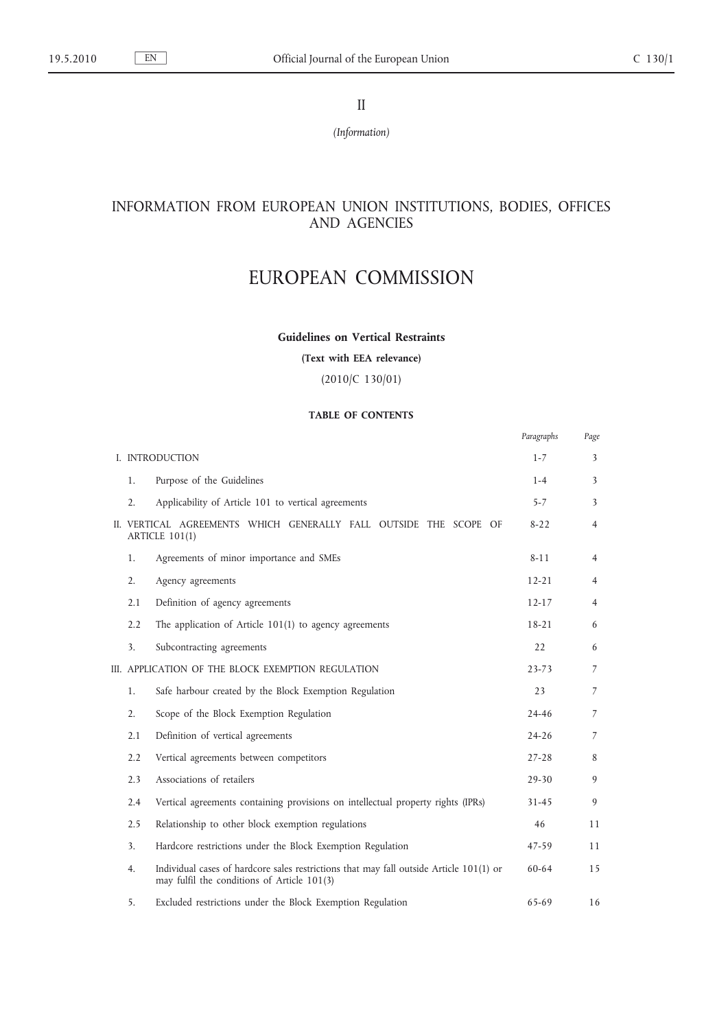II

*(Information)*

## INFORMATION FROM EUROPEAN UNION INSTITUTIONS, BODIES, OFFICES AND AGENCIES

# EUROPEAN COMMISSION

## **Guidelines on Vertical Restraints**

**(Text with EEA relevance)**

## (2010/C 130/01)

## **TABLE OF CONTENTS**

|                  |                                                                                                                                        | Paragraphs | Page                    |
|------------------|----------------------------------------------------------------------------------------------------------------------------------------|------------|-------------------------|
|                  | I. INTRODUCTION                                                                                                                        | $1 - 7$    | $\overline{\mathbf{3}}$ |
| 1.               | Purpose of the Guidelines                                                                                                              | $1 - 4$    | 3                       |
| $\overline{2}$ . | Applicability of Article 101 to vertical agreements                                                                                    | $5 - 7$    | 3                       |
|                  | II. VERTICAL AGREEMENTS WHICH GENERALLY FALL OUTSIDE THE SCOPE OF<br>ARTICLE 101(1)                                                    | $8 - 22$   | 4                       |
| 1.               | Agreements of minor importance and SMEs                                                                                                | $8 - 11$   | 4                       |
| 2.               | Agency agreements                                                                                                                      | $12 - 21$  | 4                       |
| 2.1              | Definition of agency agreements                                                                                                        | $12 - 17$  | 4                       |
| 2.2              | The application of Article $101(1)$ to agency agreements                                                                               | 18-21      | 6                       |
| 3.               | Subcontracting agreements                                                                                                              | 22         | 6                       |
|                  | III. APPLICATION OF THE BLOCK EXEMPTION REGULATION                                                                                     | $23 - 73$  | 7                       |
| 1.               | Safe harbour created by the Block Exemption Regulation                                                                                 | 23         | $\overline{7}$          |
| $\overline{2}$ . | Scope of the Block Exemption Regulation                                                                                                | 24-46      | $\overline{7}$          |
| 2.1              | Definition of vertical agreements                                                                                                      | $24 - 26$  | 7                       |
| 2.2              | Vertical agreements between competitors                                                                                                | $27 - 28$  | 8                       |
| 2.3              | Associations of retailers                                                                                                              | 29-30      | 9                       |
| 2.4              | Vertical agreements containing provisions on intellectual property rights (IPRs)                                                       | $31 - 45$  | 9                       |
| 2.5              | Relationship to other block exemption regulations                                                                                      | 46         | 11                      |
| 3.               | Hardcore restrictions under the Block Exemption Regulation                                                                             | 47-59      | 11                      |
| 4.               | Individual cases of hardcore sales restrictions that may fall outside Article 101(1) or<br>may fulfil the conditions of Article 101(3) | 60-64      | 15                      |
| 5.               | Excluded restrictions under the Block Exemption Regulation                                                                             | 65-69      | 16                      |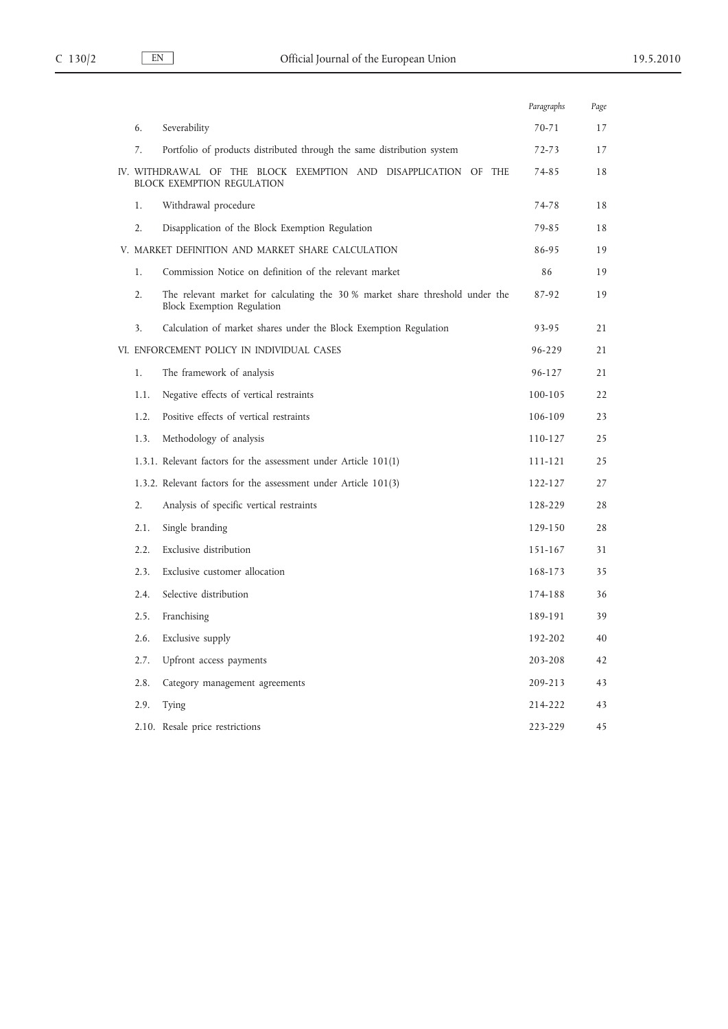|                  |                                                                                                            | Paragraphs | Page |
|------------------|------------------------------------------------------------------------------------------------------------|------------|------|
| 6.               | Severability                                                                                               | 70-71      | 17   |
| 7.               | Portfolio of products distributed through the same distribution system                                     | $72 - 73$  | 17   |
|                  | THE BLOCK EXEMPTION AND DISAPPLICATION OF THE<br>IV. WITHDRAWAL  OF<br><b>BLOCK EXEMPTION REGULATION</b>   | 74-85      | 18   |
| 1.               | Withdrawal procedure                                                                                       | 74-78      | 18   |
| $\overline{2}$ . | Disapplication of the Block Exemption Regulation                                                           | 79-85      | 18   |
|                  | V. MARKET DEFINITION AND MARKET SHARE CALCULATION                                                          | 86-95      | 19   |
| 1.               | Commission Notice on definition of the relevant market                                                     | 86         | 19   |
| $\overline{2}$ . | The relevant market for calculating the 30% market share threshold under the<br>Block Exemption Regulation | 87-92      | 19   |
| 3.               | Calculation of market shares under the Block Exemption Regulation                                          | 93-95      | 21   |
|                  | VI. ENFORCEMENT POLICY IN INDIVIDUAL CASES                                                                 | 96-229     | 21   |
| 1.               | The framework of analysis                                                                                  | 96-127     | 21   |
| 1.1.             | Negative effects of vertical restraints                                                                    | 100-105    | 22   |
| 1.2.             | Positive effects of vertical restraints                                                                    | 106-109    | 23   |
| 1.3.             | Methodology of analysis                                                                                    | 110-127    | 25   |
|                  | 1.3.1. Relevant factors for the assessment under Article 101(1)                                            | 111-121    | 25   |
|                  | 1.3.2. Relevant factors for the assessment under Article 101(3)                                            | 122-127    | 27   |
| $\overline{2}$ . | Analysis of specific vertical restraints                                                                   | 128-229    | 28   |
| 2.1.             | Single branding                                                                                            | 129-150    | 28   |
| 2.2.             | Exclusive distribution                                                                                     | 151-167    | 31   |
| 2.3.             | Exclusive customer allocation                                                                              | 168-173    | 35   |
| 2.4.             | Selective distribution                                                                                     | 174-188    | 36   |
| 2.5.             | Franchising                                                                                                | 189-191    | 39   |
| 2.6.             | Exclusive supply                                                                                           | 192-202    | 40   |
| 2.7.             | Upfront access payments                                                                                    | 203-208    | 42   |
| 2.8.             | Category management agreements                                                                             | 209-213    | 43   |
| 2.9.             | Tying                                                                                                      | 214-222    | 43   |
|                  | 2.10. Resale price restrictions                                                                            | 223-229    | 45   |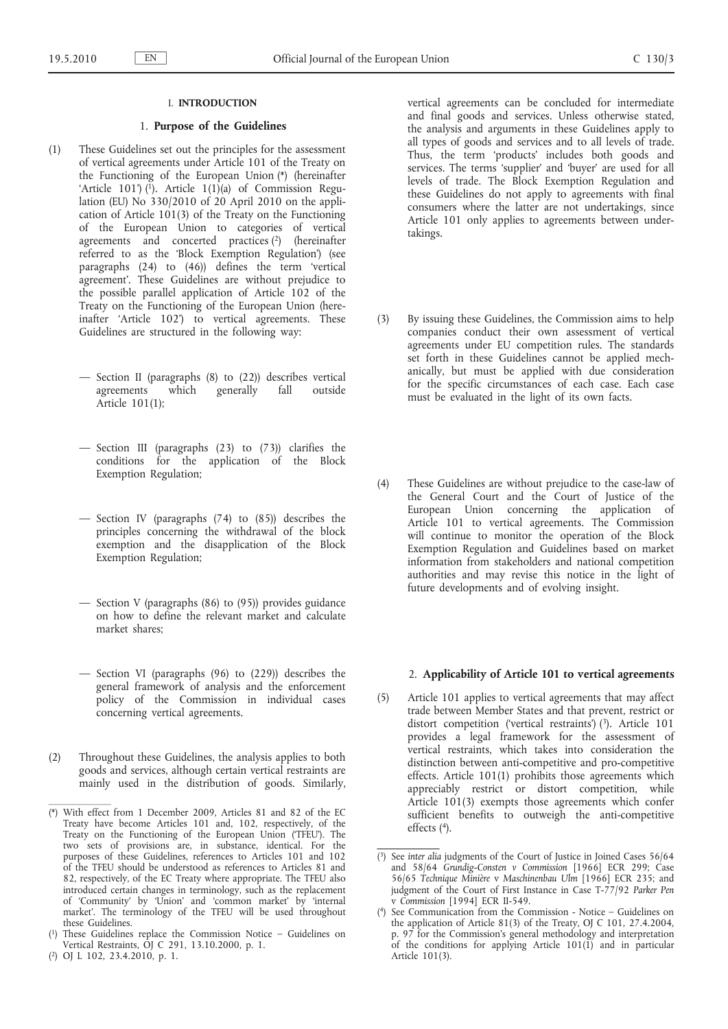## I. **INTRODUCTION**

## 1. **Purpose of the Guidelines**

- (1) These Guidelines set out the principles for the assessment of vertical agreements under Article 101 of the Treaty on the Functioning of the European Union (\*) (hereinafter 'Article 101')  $(1)$ . Article 1(1)(a) of Commission Regulation (EU) No 330/2010 of 20 April 2010 on the application of Article 101(3) of the Treaty on the Functioning of the European Union to categories of vertical agreements and concerted practices (2) (hereinafter referred to as the 'Block Exemption Regulation') (see paragraphs (24) to (46)) defines the term 'vertical agreement'. These Guidelines are without prejudice to the possible parallel application of Article 102 of the Treaty on the Functioning of the European Union (hereinafter 'Article 102') to vertical agreements. These Guidelines are structured in the following way:
	- Section II (paragraphs (8) to (22)) describes vertical agreements which generally fall outside Article 101(1);
	- Section III (paragraphs (23) to (73)) clarifies the conditions for the application of the Block Exemption Regulation;
	- Section IV (paragraphs (74) to (85)) describes the principles concerning the withdrawal of the block exemption and the disapplication of the Block Exemption Regulation;
	- Section V (paragraphs (86) to (95)) provides guidance on how to define the relevant market and calculate market shares;
	- Section VI (paragraphs (96) to (229)) describes the general framework of analysis and the enforcement policy of the Commission in individual cases concerning vertical agreements.
- (2) Throughout these Guidelines, the analysis applies to both goods and services, although certain vertical restraints are mainly used in the distribution of goods. Similarly,

 $(1)$ 1) These Guidelines replace the Commission Notice – Guidelines on Vertical Restraints, OJ C 291, 13.10.2000, p. 1.

vertical agreements can be concluded for intermediate and final goods and services. Unless otherwise stated, the analysis and arguments in these Guidelines apply to all types of goods and services and to all levels of trade. Thus, the term 'products' includes both goods and services. The terms 'supplier' and 'buyer' are used for all levels of trade. The Block Exemption Regulation and these Guidelines do not apply to agreements with final consumers where the latter are not undertakings, since Article 101 only applies to agreements between undertakings.

- (3) By issuing these Guidelines, the Commission aims to help companies conduct their own assessment of vertical agreements under EU competition rules. The standards set forth in these Guidelines cannot be applied mechanically, but must be applied with due consideration for the specific circumstances of each case. Each case must be evaluated in the light of its own facts.
- (4) These Guidelines are without prejudice to the case-law of the General Court and the Court of Justice of the European Union concerning the application of Article 101 to vertical agreements. The Commission will continue to monitor the operation of the Block Exemption Regulation and Guidelines based on market information from stakeholders and national competition authorities and may revise this notice in the light of future developments and of evolving insight.

## 2. **Applicability of Article 101 to vertical agreements**

(5) Article 101 applies to vertical agreements that may affect trade between Member States and that prevent, restrict or distort competition ('vertical restraints') (3). Article 101 provides a legal framework for the assessment of vertical restraints, which takes into consideration the distinction between anti-competitive and pro-competitive effects. Article 101(1) prohibits those agreements which appreciably restrict or distort competition, while Article 101(3) exempts those agreements which confer sufficient benefits to outweigh the anti-competitive effects (4).

<sup>(\*)</sup> With effect from 1 December 2009, Articles 81 and 82 of the EC Treaty have become Articles 101 and, 102, respectively, of the Treaty on the Functioning of the European Union ('TFEU'). The two sets of provisions are, in substance, identical. For the purposes of these Guidelines, references to Articles 101 and 102 of the TFEU should be understood as references to Articles 81 and 82, respectively, of the EC Treaty where appropriate. The TFEU also introduced certain changes in terminology, such as the replacement of 'Community' by 'Union' and 'common market' by 'internal market'. The terminology of the TFEU will be used throughout these Guidelines.

<sup>(</sup> 2) OJ L 102, 23.4.2010, p. 1.

<sup>(</sup> 3) See *inter alia* judgments of the Court of Justice in Joined Cases 56/64 and 58/64 *Grundig-Consten v Commission* [1966] ECR 299; Case 56/65 *Technique Minière* v *Maschinenbau Ulm* [1966] ECR 235; and judgment of the Court of First Instance in Case T-77/92 *Parker Pen* v *Commission* [1994] ECR II-549.

<sup>(</sup> 4) See Communication from the Commission - Notice – Guidelines on the application of Article 81(3) of the Treaty, OJ C 101, 27.4.2004, p. 97 for the Commission's general methodology and interpretation of the conditions for applying Article  $101(1)$  and in particular Article 101(3).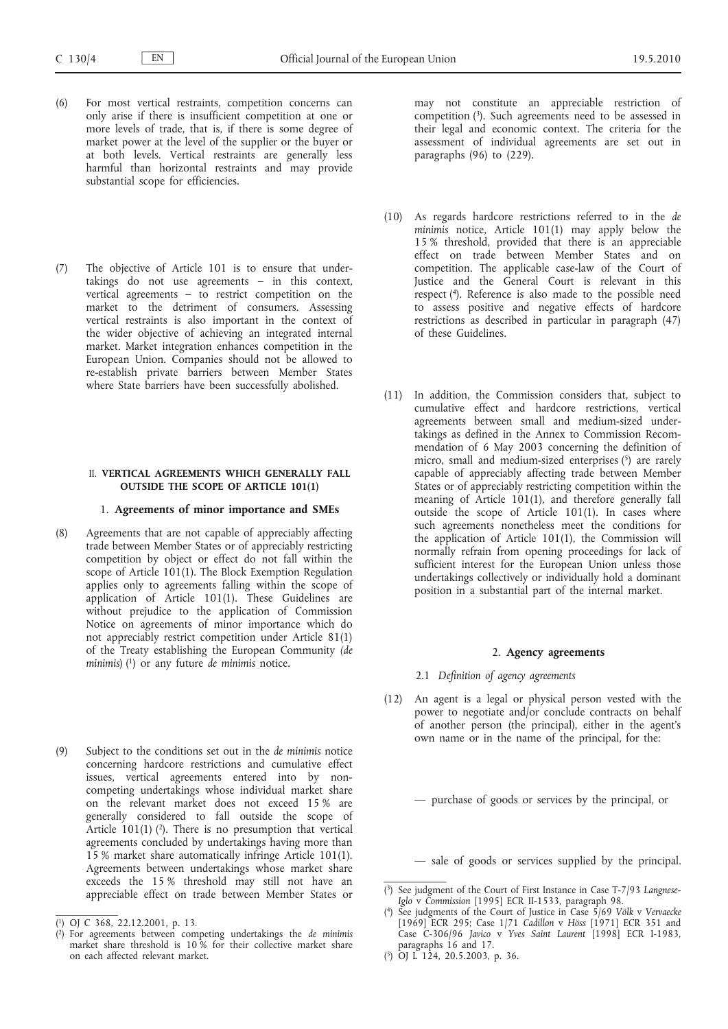- (6) For most vertical restraints, competition concerns can only arise if there is insufficient competition at one or more levels of trade, that is, if there is some degree of market power at the level of the supplier or the buyer or at both levels. Vertical restraints are generally less harmful than horizontal restraints and may provide substantial scope for efficiencies.
- (7) The objective of Article 101 is to ensure that undertakings do not use agreements – in this context, vertical agreements – to restrict competition on the market to the detriment of consumers. Assessing vertical restraints is also important in the context of the wider objective of achieving an integrated internal market. Market integration enhances competition in the European Union. Companies should not be allowed to re-establish private barriers between Member States where State barriers have been successfully abolished.

## II. **VERTICAL AGREEMENTS WHICH GENERALLY FALL OUTSIDE THE SCOPE OF ARTICLE 101(1)**

#### 1. **Agreements of minor importance and SMEs**

- (8) Agreements that are not capable of appreciably affecting trade between Member States or of appreciably restricting competition by object or effect do not fall within the scope of Article 101(1). The Block Exemption Regulation applies only to agreements falling within the scope of application of Article 101(1). These Guidelines are without prejudice to the application of Commission Notice on agreements of minor importance which do not appreciably restrict competition under Article 81(1) of the Treaty establishing the European Community *(de minimis*) (1) or any future *de minimis* notice.
- (9) Subject to the conditions set out in the *de minimis* notice concerning hardcore restrictions and cumulative effect issues, vertical agreements entered into by noncompeting undertakings whose individual market share on the relevant market does not exceed 15 % are generally considered to fall outside the scope of Article  $101(1)$  (2). There is no presumption that vertical agreements concluded by undertakings having more than 15 % market share automatically infringe Article 101(1). Agreements between undertakings whose market share exceeds the 15 % threshold may still not have an appreciable effect on trade between Member States or

may not constitute an appreciable restriction of competition (3). Such agreements need to be assessed in their legal and economic context. The criteria for the assessment of individual agreements are set out in paragraphs (96) to (229).

- (10) As regards hardcore restrictions referred to in the *de minimis* notice, Article 101(1) may apply below the 15 % threshold, provided that there is an appreciable effect on trade between Member States and on competition. The applicable case-law of the Court of Justice and the General Court is relevant in this respect (4). Reference is also made to the possible need to assess positive and negative effects of hardcore restrictions as described in particular in paragraph (47) of these Guidelines.
- (11) In addition, the Commission considers that, subject to cumulative effect and hardcore restrictions, vertical agreements between small and medium-sized undertakings as defined in the Annex to Commission Recommendation of 6 May 2003 concerning the definition of micro, small and medium-sized enterprises (5) are rarely capable of appreciably affecting trade between Member States or of appreciably restricting competition within the meaning of Article 101(1), and therefore generally fall outside the scope of Article 101(1). In cases where such agreements nonetheless meet the conditions for the application of Article 101(1), the Commission will normally refrain from opening proceedings for lack of sufficient interest for the European Union unless those undertakings collectively or individually hold a dominant position in a substantial part of the internal market.

## 2. **Agency agreements**

- 2.1 *Definition of agency agreements*
- (12) An agent is a legal or physical person vested with the power to negotiate and/or conclude contracts on behalf of another person (the principal), either in the agent's own name or in the name of the principal, for the:

— purchase of goods or services by the principal, or

— sale of goods or services supplied by the principal.

<sup>(</sup> 1) OJ C 368, 22.12.2001, p. 13.

<sup>(</sup> 2) For agreements between competing undertakings the *de minimis* market share threshold is 10 % for their collective market share on each affected relevant market.

<sup>(</sup> 3) See judgment of the Court of First Instance in Case T-7/93 *Langnese-Iglo* v *Commission* [1995] ECR II-1533, paragraph 98.

<sup>(</sup> 4) See judgments of the Court of Justice in Case 5/69 *Völk* v *Vervaecke* [1969] ECR 295; Case 1/71 *Cadillon* v *Höss* [1971] ECR 351 and Case C-306/96 *Javico* v *Yves Saint Laurent* [1998] ECR I-1983, paragraphs 16 and 17.

<sup>(</sup> 5) OJ L 124, 20.5.2003, p. 36.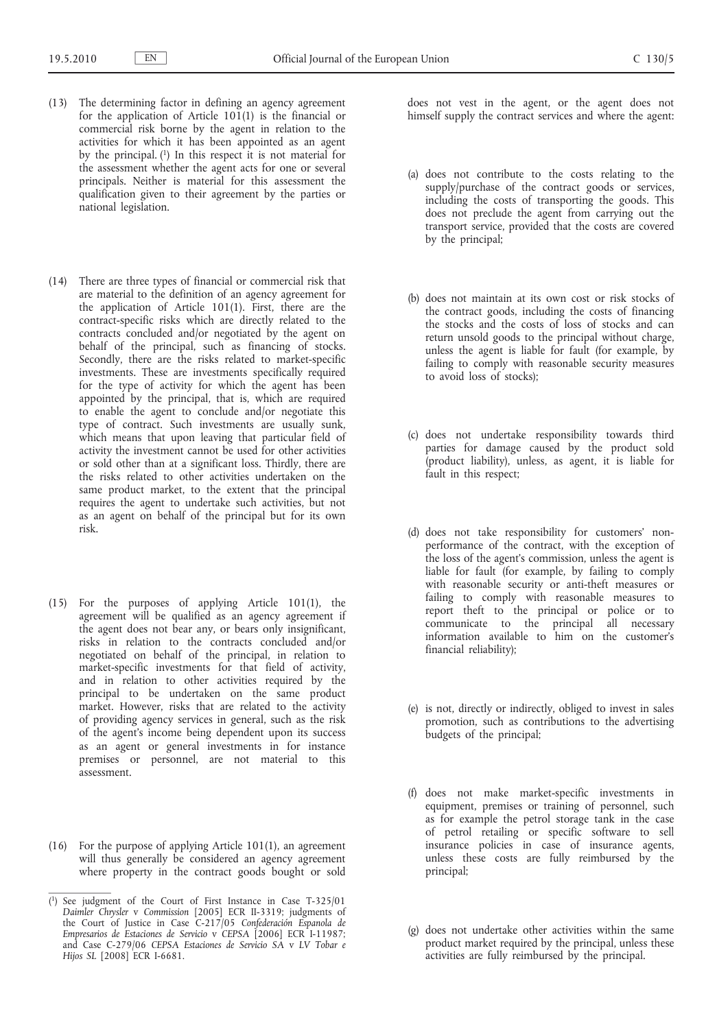- (13) The determining factor in defining an agency agreement for the application of Article  $101(1)$  is the financial or commercial risk borne by the agent in relation to the activities for which it has been appointed as an agent by the principal. (1) In this respect it is not material for the assessment whether the agent acts for one or several principals. Neither is material for this assessment the qualification given to their agreement by the parties or national legislation.
- (14) There are three types of financial or commercial risk that are material to the definition of an agency agreement for the application of Article 101(1). First, there are the contract-specific risks which are directly related to the contracts concluded and/or negotiated by the agent on behalf of the principal, such as financing of stocks. Secondly, there are the risks related to market-specific investments. These are investments specifically required for the type of activity for which the agent has been appointed by the principal, that is, which are required to enable the agent to conclude and/or negotiate this type of contract. Such investments are usually sunk, which means that upon leaving that particular field of activity the investment cannot be used for other activities or sold other than at a significant loss. Thirdly, there are the risks related to other activities undertaken on the same product market, to the extent that the principal requires the agent to undertake such activities, but not as an agent on behalf of the principal but for its own risk.
- (15) For the purposes of applying Article 101(1), the agreement will be qualified as an agency agreement if the agent does not bear any, or bears only insignificant, risks in relation to the contracts concluded and/or negotiated on behalf of the principal, in relation to market-specific investments for that field of activity, and in relation to other activities required by the principal to be undertaken on the same product market. However, risks that are related to the activity of providing agency services in general, such as the risk of the agent's income being dependent upon its success as an agent or general investments in for instance premises or personnel, are not material to this assessment.
- (16) For the purpose of applying Article 101(1), an agreement will thus generally be considered an agency agreement where property in the contract goods bought or sold

does not vest in the agent, or the agent does not himself supply the contract services and where the agent:

- (a) does not contribute to the costs relating to the supply/purchase of the contract goods or services, including the costs of transporting the goods. This does not preclude the agent from carrying out the transport service, provided that the costs are covered by the principal;
- (b) does not maintain at its own cost or risk stocks of the contract goods, including the costs of financing the stocks and the costs of loss of stocks and can return unsold goods to the principal without charge, unless the agent is liable for fault (for example, by failing to comply with reasonable security measures to avoid loss of stocks);
- (c) does not undertake responsibility towards third parties for damage caused by the product sold (product liability), unless, as agent, it is liable for fault in this respect;
- (d) does not take responsibility for customers' nonperformance of the contract, with the exception of the loss of the agent's commission, unless the agent is liable for fault (for example, by failing to comply with reasonable security or anti-theft measures or failing to comply with reasonable measures to report theft to the principal or police or to communicate to the principal all necessary information available to him on the customer's financial reliability);
- (e) is not, directly or indirectly, obliged to invest in sales promotion, such as contributions to the advertising budgets of the principal;
- (f) does not make market-specific investments in equipment, premises or training of personnel, such as for example the petrol storage tank in the case of petrol retailing or specific software to sell insurance policies in case of insurance agents, unless these costs are fully reimbursed by the principal;
- (g) does not undertake other activities within the same product market required by the principal, unless these activities are fully reimbursed by the principal.

<sup>(</sup> 1) See judgment of the Court of First Instance in Case T-325/01 *Daimler Chrysler* v *Commission* [2005] ECR II-3319; judgments of the Court of Justice in Case C-217/05 *Confederación Espanola de Empresarios de Estaciones de Servicio* v *CEPSA* [2006] ECR I-11987; and Case C-279/06 *CEPSA Estaciones de Servicio SA* v *LV Tobar e Hijos SL* [2008] ECR I-6681.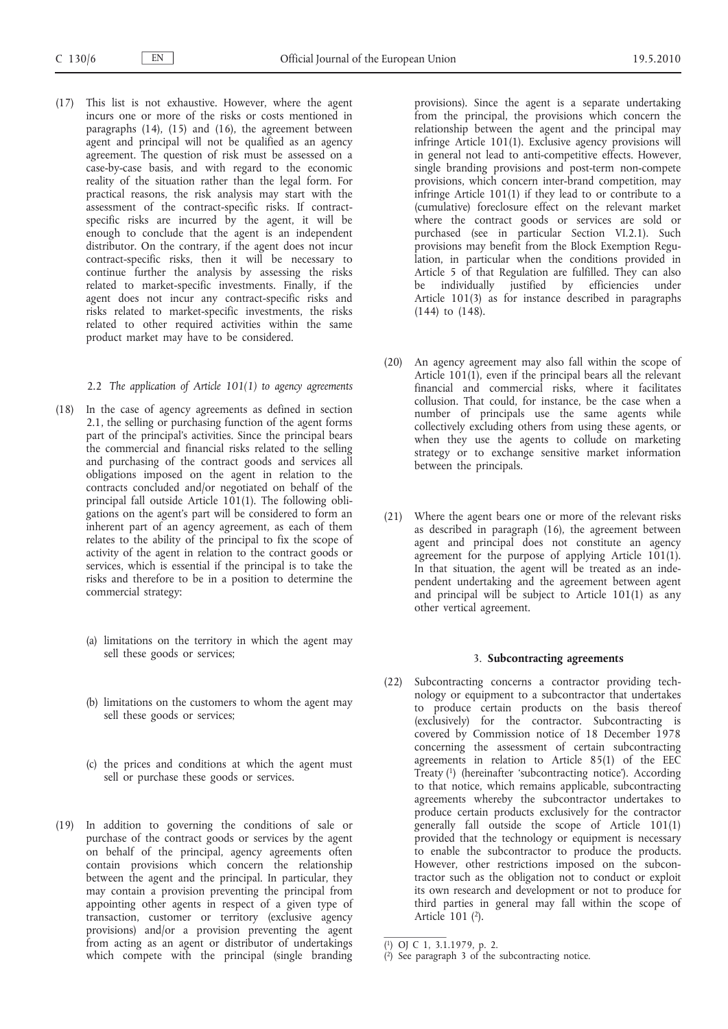(17) This list is not exhaustive. However, where the agent incurs one or more of the risks or costs mentioned in paragraphs (14), (15) and (16), the agreement between agent and principal will not be qualified as an agency agreement. The question of risk must be assessed on a case-by-case basis, and with regard to the economic reality of the situation rather than the legal form. For practical reasons, the risk analysis may start with the assessment of the contract-specific risks. If contractspecific risks are incurred by the agent, it will be enough to conclude that the agent is an independent distributor. On the contrary, if the agent does not incur contract-specific risks, then it will be necessary to continue further the analysis by assessing the risks related to market-specific investments. Finally, if the agent does not incur any contract-specific risks and risks related to market-specific investments, the risks related to other required activities within the same product market may have to be considered.

#### 2.2 *The application of Article 101(1) to agency agreements*

- (18) In the case of agency agreements as defined in section 2.1, the selling or purchasing function of the agent forms part of the principal's activities. Since the principal bears the commercial and financial risks related to the selling and purchasing of the contract goods and services all obligations imposed on the agent in relation to the contracts concluded and/or negotiated on behalf of the principal fall outside Article 101(1). The following obligations on the agent's part will be considered to form an inherent part of an agency agreement, as each of them relates to the ability of the principal to fix the scope of activity of the agent in relation to the contract goods or services, which is essential if the principal is to take the risks and therefore to be in a position to determine the commercial strategy:
	- (a) limitations on the territory in which the agent may sell these goods or services;
	- (b) limitations on the customers to whom the agent may sell these goods or services;
	- (c) the prices and conditions at which the agent must sell or purchase these goods or services.
- (19) In addition to governing the conditions of sale or purchase of the contract goods or services by the agent on behalf of the principal, agency agreements often contain provisions which concern the relationship between the agent and the principal. In particular, they may contain a provision preventing the principal from appointing other agents in respect of a given type of transaction, customer or territory (exclusive agency provisions) and/or a provision preventing the agent from acting as an agent or distributor of undertakings which compete with the principal (single branding

provisions). Since the agent is a separate undertaking from the principal, the provisions which concern the relationship between the agent and the principal may infringe Article 101(1). Exclusive agency provisions will in general not lead to anti-competitive effects. However, single branding provisions and post-term non-compete provisions, which concern inter-brand competition, may infringe Article 101(1) if they lead to or contribute to a (cumulative) foreclosure effect on the relevant market where the contract goods or services are sold or purchased (see in particular Section VI.2.1). Such provisions may benefit from the Block Exemption Regulation, in particular when the conditions provided in Article 5 of that Regulation are fulfilled. They can also be individually justified by efficiencies under Article 101(3) as for instance described in paragraphs (144) to (148).

- (20) An agency agreement may also fall within the scope of Article 101(1), even if the principal bears all the relevant financial and commercial risks, where it facilitates collusion. That could, for instance, be the case when a number of principals use the same agents while collectively excluding others from using these agents, or when they use the agents to collude on marketing strategy or to exchange sensitive market information between the principals.
- (21) Where the agent bears one or more of the relevant risks as described in paragraph (16), the agreement between agent and principal does not constitute an agency agreement for the purpose of applying Article 101(1). In that situation, the agent will be treated as an independent undertaking and the agreement between agent and principal will be subject to Article 101(1) as any other vertical agreement.

#### 3. **Subcontracting agreements**

(22) Subcontracting concerns a contractor providing technology or equipment to a subcontractor that undertakes to produce certain products on the basis thereof (exclusively) for the contractor. Subcontracting is covered by Commission notice of 18 December 1978 concerning the assessment of certain subcontracting agreements in relation to Article 85(1) of the EEC Treaty (1) (hereinafter 'subcontracting notice'). According to that notice, which remains applicable, subcontracting agreements whereby the subcontractor undertakes to produce certain products exclusively for the contractor generally fall outside the scope of Article 101(1) provided that the technology or equipment is necessary to enable the subcontractor to produce the products. However, other restrictions imposed on the subcontractor such as the obligation not to conduct or exploit its own research and development or not to produce for third parties in general may fall within the scope of Article 101 (2).

<sup>(</sup> 1) OJ C 1, 3.1.1979, p. 2.

<sup>(</sup> 2) See paragraph 3 of the subcontracting notice.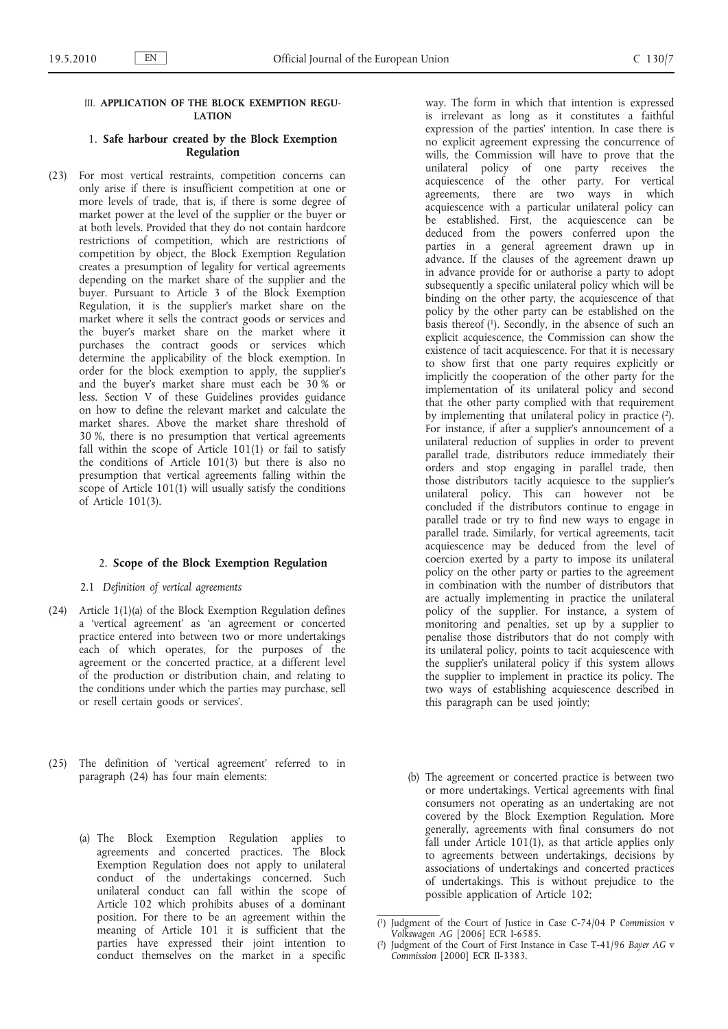## **III. APPLICATION OF THE BLOCK EXEMPTION REGU-LATION**

## 1. **Safe harbour created by the Block Exemption Regulation**

(23) For most vertical restraints, competition concerns can only arise if there is insufficient competition at one or more levels of trade, that is, if there is some degree of market power at the level of the supplier or the buyer or at both levels. Provided that they do not contain hardcore restrictions of competition, which are restrictions of competition by object, the Block Exemption Regulation creates a presumption of legality for vertical agreements depending on the market share of the supplier and the buyer. Pursuant to Article 3 of the Block Exemption Regulation, it is the supplier's market share on the market where it sells the contract goods or services and the buyer's market share on the market where it purchases the contract goods or services which determine the applicability of the block exemption. In order for the block exemption to apply, the supplier's and the buyer's market share must each be 30 % or less. Section V of these Guidelines provides guidance on how to define the relevant market and calculate the market shares. Above the market share threshold of 30 %, there is no presumption that vertical agreements fall within the scope of Article  $101(1)$  or fail to satisfy the conditions of Article 101(3) but there is also no presumption that vertical agreements falling within the scope of Article 101(1) will usually satisfy the conditions of Article 101(3).

#### 2. **Scope of the Block Exemption Regulation**

- 2.1 *Definition of vertical agreements*
- (24) Article 1(1)(a) of the Block Exemption Regulation defines a 'vertical agreement' as 'an agreement or concerted practice entered into between two or more undertakings each of which operates, for the purposes of the agreement or the concerted practice, at a different level of the production or distribution chain, and relating to the conditions under which the parties may purchase, sell or resell certain goods or services'.
- (25) The definition of 'vertical agreement' referred to in paragraph (24) has four main elements:
	- (a) The Block Exemption Regulation applies to agreements and concerted practices. The Block Exemption Regulation does not apply to unilateral conduct of the undertakings concerned. Such unilateral conduct can fall within the scope of Article 102 which prohibits abuses of a dominant position. For there to be an agreement within the meaning of Article 101 it is sufficient that the parties have expressed their joint intention to conduct themselves on the market in a specific

way. The form in which that intention is expressed is irrelevant as long as it constitutes a faithful expression of the parties' intention. In case there is no explicit agreement expressing the concurrence of wills, the Commission will have to prove that the unilateral policy of one party receives the acquiescence of the other party. For vertical agreements, there are two ways in which acquiescence with a particular unilateral policy can be established. First, the acquiescence can be deduced from the powers conferred upon the parties in a general agreement drawn up in advance. If the clauses of the agreement drawn up in advance provide for or authorise a party to adopt subsequently a specific unilateral policy which will be binding on the other party, the acquiescence of that policy by the other party can be established on the basis thereof (1). Secondly, in the absence of such an explicit acquiescence, the Commission can show the existence of tacit acquiescence. For that it is necessary to show first that one party requires explicitly or implicitly the cooperation of the other party for the implementation of its unilateral policy and second that the other party complied with that requirement by implementing that unilateral policy in practice (2). For instance, if after a supplier's announcement of a unilateral reduction of supplies in order to prevent parallel trade, distributors reduce immediately their orders and stop engaging in parallel trade, then those distributors tacitly acquiesce to the supplier's unilateral policy. This can however not be concluded if the distributors continue to engage in parallel trade or try to find new ways to engage in parallel trade. Similarly, for vertical agreements, tacit acquiescence may be deduced from the level of coercion exerted by a party to impose its unilateral policy on the other party or parties to the agreement in combination with the number of distributors that are actually implementing in practice the unilateral policy of the supplier. For instance, a system of monitoring and penalties, set up by a supplier to penalise those distributors that do not comply with its unilateral policy, points to tacit acquiescence with the supplier's unilateral policy if this system allows the supplier to implement in practice its policy. The two ways of establishing acquiescence described in this paragraph can be used jointly;

(b) The agreement or concerted practice is between two or more undertakings. Vertical agreements with final consumers not operating as an undertaking are not covered by the Block Exemption Regulation. More generally, agreements with final consumers do not fall under Article 101(1), as that article applies only to agreements between undertakings, decisions by associations of undertakings and concerted practices of undertakings. This is without prejudice to the possible application of Article 102;

<sup>(</sup> 1) Judgment of the Court of Justice in Case C-74/04 P *Commission* v *Volkswagen AG* [2006] ECR I-6585.

<sup>(</sup> 2) Judgment of the Court of First Instance in Case T-41/96 *Bayer AG* v *Commission* [2000] ECR II-3383.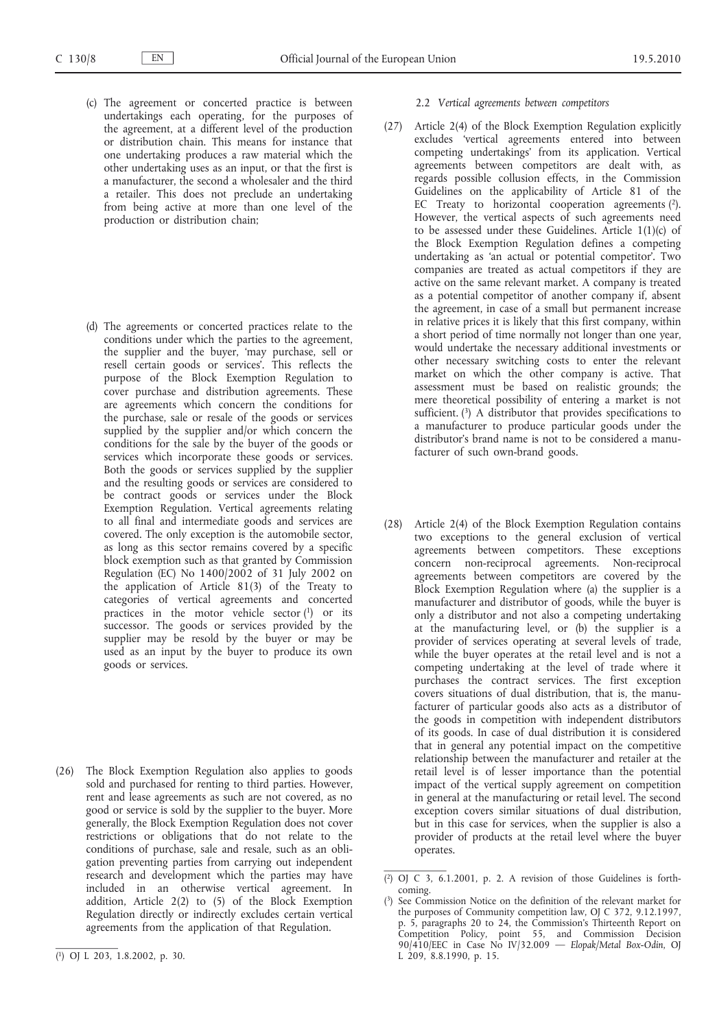- (c) The agreement or concerted practice is between undertakings each operating, for the purposes of the agreement, at a different level of the production or distribution chain. This means for instance that one undertaking produces a raw material which the other undertaking uses as an input, or that the first is a manufacturer, the second a wholesaler and the third a retailer. This does not preclude an undertaking from being active at more than one level of the production or distribution chain;
- (d) The agreements or concerted practices relate to the conditions under which the parties to the agreement, the supplier and the buyer, 'may purchase, sell or resell certain goods or services'. This reflects the purpose of the Block Exemption Regulation to cover purchase and distribution agreements. These are agreements which concern the conditions for the purchase, sale or resale of the goods or services supplied by the supplier and/or which concern the conditions for the sale by the buyer of the goods or services which incorporate these goods or services. Both the goods or services supplied by the supplier and the resulting goods or services are considered to be contract goods or services under the Block Exemption Regulation. Vertical agreements relating to all final and intermediate goods and services are covered. The only exception is the automobile sector, as long as this sector remains covered by a specific block exemption such as that granted by Commission Regulation (EC) No 1400/2002 of 31 July 2002 on the application of Article 81(3) of the Treaty to categories of vertical agreements and concerted practices in the motor vehicle sector (1) or its successor. The goods or services provided by the supplier may be resold by the buyer or may be used as an input by the buyer to produce its own goods or services.
- (26) The Block Exemption Regulation also applies to goods sold and purchased for renting to third parties. However, rent and lease agreements as such are not covered, as no good or service is sold by the supplier to the buyer. More generally, the Block Exemption Regulation does not cover restrictions or obligations that do not relate to the conditions of purchase, sale and resale, such as an obligation preventing parties from carrying out independent research and development which the parties may have included in an otherwise vertical agreement. In addition, Article 2(2) to (5) of the Block Exemption Regulation directly or indirectly excludes certain vertical agreements from the application of that Regulation.
- 2.2 *Vertical agreements between competitors*
- (27) Article 2(4) of the Block Exemption Regulation explicitly excludes 'vertical agreements entered into between competing undertakings' from its application. Vertical agreements between competitors are dealt with, as regards possible collusion effects, in the Commission Guidelines on the applicability of Article 81 of the EC Treaty to horizontal cooperation agreements (2). However, the vertical aspects of such agreements need to be assessed under these Guidelines. Article 1(1)(c) of the Block Exemption Regulation defines a competing undertaking as 'an actual or potential competitor'. Two companies are treated as actual competitors if they are active on the same relevant market. A company is treated as a potential competitor of another company if, absent the agreement, in case of a small but permanent increase in relative prices it is likely that this first company, within a short period of time normally not longer than one year, would undertake the necessary additional investments or other necessary switching costs to enter the relevant market on which the other company is active. That assessment must be based on realistic grounds; the mere theoretical possibility of entering a market is not sufficient. (3) A distributor that provides specifications to a manufacturer to produce particular goods under the distributor's brand name is not to be considered a manufacturer of such own-brand goods.
- (28) Article 2(4) of the Block Exemption Regulation contains two exceptions to the general exclusion of vertical agreements between competitors. These exceptions concern non-reciprocal agreements. Non-reciprocal agreements between competitors are covered by the Block Exemption Regulation where (a) the supplier is a manufacturer and distributor of goods, while the buyer is only a distributor and not also a competing undertaking at the manufacturing level, or (b) the supplier is a provider of services operating at several levels of trade, while the buyer operates at the retail level and is not a competing undertaking at the level of trade where it purchases the contract services. The first exception covers situations of dual distribution, that is, the manufacturer of particular goods also acts as a distributor of the goods in competition with independent distributors of its goods. In case of dual distribution it is considered that in general any potential impact on the competitive relationship between the manufacturer and retailer at the retail level is of lesser importance than the potential impact of the vertical supply agreement on competition in general at the manufacturing or retail level. The second exception covers similar situations of dual distribution, but in this case for services, when the supplier is also a provider of products at the retail level where the buyer operates.

<sup>(</sup> 1) OJ L 203, 1.8.2002, p. 30.

<sup>(</sup> 2) OJ C 3, 6.1.2001, p. 2. A revision of those Guidelines is forthcoming.

<sup>(</sup> See Commission Notice on the definition of the relevant market for the purposes of Community competition law, OJ C 372, 9.12.1997, p. 5, paragraphs 20 to 24, the Commission's Thirteenth Report on Competition Policy, point 55, and Commission Decision 90/410/EEC in Case No IV/32.009 — *Elopak/Metal Box-Odin*, OJ L 209, 8.8.1990, p. 15.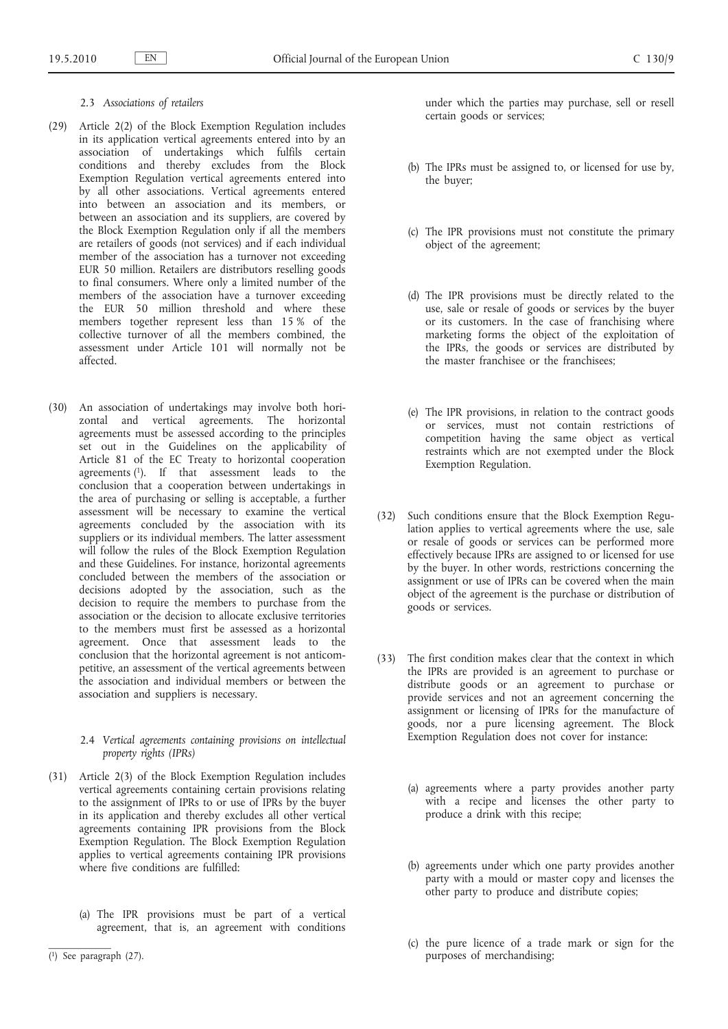#### 2.3 *Associations of retailers*

- (29) Article 2(2) of the Block Exemption Regulation includes in its application vertical agreements entered into by an association of undertakings which fulfils certain conditions and thereby excludes from the Block Exemption Regulation vertical agreements entered into by all other associations. Vertical agreements entered into between an association and its members, or between an association and its suppliers, are covered by the Block Exemption Regulation only if all the members are retailers of goods (not services) and if each individual member of the association has a turnover not exceeding EUR 50 million. Retailers are distributors reselling goods to final consumers. Where only a limited number of the members of the association have a turnover exceeding the EUR 50 million threshold and where these members together represent less than 15 % of the collective turnover of all the members combined, the assessment under Article 101 will normally not be affected.
- (30) An association of undertakings may involve both horizontal and vertical agreements. The horizontal agreements must be assessed according to the principles set out in the Guidelines on the applicability of Article 81 of the EC Treaty to horizontal cooperation agreements  $(1)$ . If that assessment leads to the conclusion that a cooperation between undertakings in the area of purchasing or selling is acceptable, a further assessment will be necessary to examine the vertical agreements concluded by the association with its suppliers or its individual members. The latter assessment will follow the rules of the Block Exemption Regulation and these Guidelines. For instance, horizontal agreements concluded between the members of the association or decisions adopted by the association, such as the decision to require the members to purchase from the association or the decision to allocate exclusive territories to the members must first be assessed as a horizontal agreement. Once that assessment leads to the conclusion that the horizontal agreement is not anticompetitive, an assessment of the vertical agreements between the association and individual members or between the association and suppliers is necessary.
	- 2.4 *Vertical agreements containing provisions on intellectual property rights (IPRs)*
- (31) Article 2(3) of the Block Exemption Regulation includes vertical agreements containing certain provisions relating to the assignment of IPRs to or use of IPRs by the buyer in its application and thereby excludes all other vertical agreements containing IPR provisions from the Block Exemption Regulation. The Block Exemption Regulation applies to vertical agreements containing IPR provisions where five conditions are fulfilled:
	- (a) The IPR provisions must be part of a vertical agreement, that is, an agreement with conditions

under which the parties may purchase, sell or resell certain goods or services;

- (b) The IPRs must be assigned to, or licensed for use by, the buyer;
- (c) The IPR provisions must not constitute the primary object of the agreement;
- (d) The IPR provisions must be directly related to the use, sale or resale of goods or services by the buyer or its customers. In the case of franchising where marketing forms the object of the exploitation of the IPRs, the goods or services are distributed by the master franchisee or the franchisees;
- (e) The IPR provisions, in relation to the contract goods or services, must not contain restrictions of competition having the same object as vertical restraints which are not exempted under the Block Exemption Regulation.
- (32) Such conditions ensure that the Block Exemption Regulation applies to vertical agreements where the use, sale or resale of goods or services can be performed more effectively because IPRs are assigned to or licensed for use by the buyer. In other words, restrictions concerning the assignment or use of IPRs can be covered when the main object of the agreement is the purchase or distribution of goods or services.
- (33) The first condition makes clear that the context in which the IPRs are provided is an agreement to purchase or distribute goods or an agreement to purchase or provide services and not an agreement concerning the assignment or licensing of IPRs for the manufacture of goods, nor a pure licensing agreement. The Block Exemption Regulation does not cover for instance:
	- (a) agreements where a party provides another party with a recipe and licenses the other party to produce a drink with this recipe;
	- (b) agreements under which one party provides another party with a mould or master copy and licenses the other party to produce and distribute copies;
	- (c) the pure licence of a trade mark or sign for the purposes of merchandising;

<sup>(</sup> 1) See paragraph (27).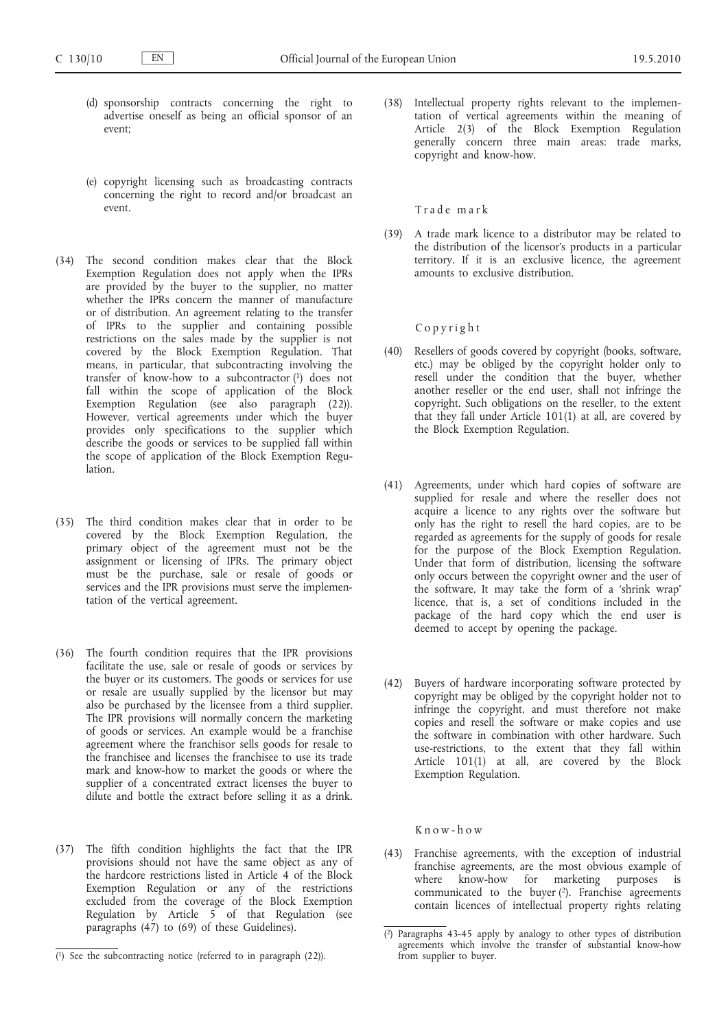- (d) sponsorship contracts concerning the right to advertise oneself as being an official sponsor of an event;
- (e) copyright licensing such as broadcasting contracts concerning the right to record and/or broadcast an event.
- (34) The second condition makes clear that the Block Exemption Regulation does not apply when the IPRs are provided by the buyer to the supplier, no matter whether the IPRs concern the manner of manufacture or of distribution. An agreement relating to the transfer of IPRs to the supplier and containing possible restrictions on the sales made by the supplier is not covered by the Block Exemption Regulation. That means, in particular, that subcontracting involving the transfer of know-how to a subcontractor (1) does not fall within the scope of application of the Block Exemption Regulation (see also paragraph (22)). However, vertical agreements under which the buyer provides only specifications to the supplier which describe the goods or services to be supplied fall within the scope of application of the Block Exemption Regulation.
- (35) The third condition makes clear that in order to be covered by the Block Exemption Regulation, the primary object of the agreement must not be the assignment or licensing of IPRs. The primary object must be the purchase, sale or resale of goods or services and the IPR provisions must serve the implementation of the vertical agreement.
- (36) The fourth condition requires that the IPR provisions facilitate the use, sale or resale of goods or services by the buyer or its customers. The goods or services for use or resale are usually supplied by the licensor but may also be purchased by the licensee from a third supplier. The IPR provisions will normally concern the marketing of goods or services. An example would be a franchise agreement where the franchisor sells goods for resale to the franchisee and licenses the franchisee to use its trade mark and know-how to market the goods or where the supplier of a concentrated extract licenses the buyer to dilute and bottle the extract before selling it as a drink.
- (37) The fifth condition highlights the fact that the IPR provisions should not have the same object as any of the hardcore restrictions listed in Article 4 of the Block Exemption Regulation or any of the restrictions excluded from the coverage of the Block Exemption Regulation by Article  $5$  of that Regulation (see paragraphs (47) to (69) of these Guidelines).

(38) Intellectual property rights relevant to the implementation of vertical agreements within the meaning of Article 2(3) of the Block Exemption Regulation generally concern three main areas: trade marks, copyright and know-how.

## T r a d e m a r k

(39) A trade mark licence to a distributor may be related to the distribution of the licensor's products in a particular territory. If it is an exclusive licence, the agreement amounts to exclusive distribution.

## C o p y r i g h t

- (40) Resellers of goods covered by copyright (books, software, etc.) may be obliged by the copyright holder only to resell under the condition that the buyer, whether another reseller or the end user, shall not infringe the copyright. Such obligations on the reseller, to the extent that they fall under Article 101(1) at all, are covered by the Block Exemption Regulation.
- (41) Agreements, under which hard copies of software are supplied for resale and where the reseller does not acquire a licence to any rights over the software but only has the right to resell the hard copies, are to be regarded as agreements for the supply of goods for resale for the purpose of the Block Exemption Regulation. Under that form of distribution, licensing the software only occurs between the copyright owner and the user of the software. It may take the form of a 'shrink wrap' licence, that is, a set of conditions included in the package of the hard copy which the end user is deemed to accept by opening the package.
- (42) Buyers of hardware incorporating software protected by copyright may be obliged by the copyright holder not to infringe the copyright, and must therefore not make copies and resell the software or make copies and use the software in combination with other hardware. Such use-restrictions, to the extent that they fall within Article 101(1) at all, are covered by the Block Exemption Regulation.

#### K n o w - h o w

(43) Franchise agreements, with the exception of industrial franchise agreements, are the most obvious example of where know-how for marketing purposes is communicated to the buyer  $(2)$ . Franchise agreements contain licences of intellectual property rights relating

<sup>(</sup> 1) See the subcontracting notice (referred to in paragraph (22)).

<sup>(</sup> 2) Paragraphs 43-45 apply by analogy to other types of distribution agreements which involve the transfer of substantial know-how from supplier to buyer.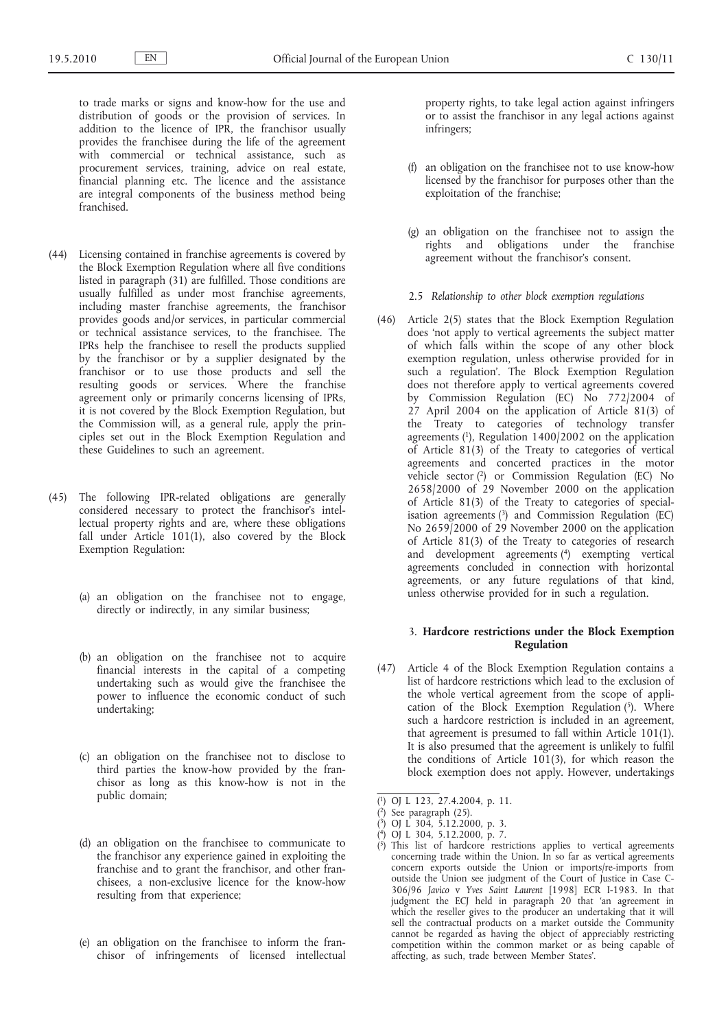to trade marks or signs and know-how for the use and distribution of goods or the provision of services. In addition to the licence of IPR, the franchisor usually provides the franchisee during the life of the agreement with commercial or technical assistance, such as procurement services, training, advice on real estate, financial planning etc. The licence and the assistance are integral components of the business method being franchised.

- (44) Licensing contained in franchise agreements is covered by the Block Exemption Regulation where all five conditions listed in paragraph (31) are fulfilled. Those conditions are usually fulfilled as under most franchise agreements, including master franchise agreements, the franchisor provides goods and/or services, in particular commercial or technical assistance services, to the franchisee. The IPRs help the franchisee to resell the products supplied by the franchisor or by a supplier designated by the franchisor or to use those products and sell the resulting goods or services. Where the franchise agreement only or primarily concerns licensing of IPRs, it is not covered by the Block Exemption Regulation, but the Commission will, as a general rule, apply the principles set out in the Block Exemption Regulation and these Guidelines to such an agreement.
- (45) The following IPR-related obligations are generally considered necessary to protect the franchisor's intellectual property rights and are, where these obligations fall under Article 101(1), also covered by the Block Exemption Regulation:
	- (a) an obligation on the franchisee not to engage, directly or indirectly, in any similar business;
	- (b) an obligation on the franchisee not to acquire financial interests in the capital of a competing undertaking such as would give the franchisee the power to influence the economic conduct of such undertaking;
	- (c) an obligation on the franchisee not to disclose to third parties the know-how provided by the franchisor as long as this know-how is not in the public domain;
	- (d) an obligation on the franchisee to communicate to the franchisor any experience gained in exploiting the franchise and to grant the franchisor, and other franchisees, a non-exclusive licence for the know-how resulting from that experience;
	- (e) an obligation on the franchisee to inform the franchisor of infringements of licensed intellectual

property rights, to take legal action against infringers or to assist the franchisor in any legal actions against infringers;

- (f) an obligation on the franchisee not to use know-how licensed by the franchisor for purposes other than the exploitation of the franchise;
- (g) an obligation on the franchisee not to assign the rights and obligations under the franchise agreement without the franchisor's consent.
- 2.5 *Relationship to other block exemption regulations*
- (46) Article 2(5) states that the Block Exemption Regulation does 'not apply to vertical agreements the subject matter of which falls within the scope of any other block exemption regulation, unless otherwise provided for in such a regulation'. The Block Exemption Regulation does not therefore apply to vertical agreements covered by Commission Regulation (EC) No 772/2004 of 27 April 2004 on the application of Article 81(3) of the Treaty to categories of technology transfer agreements  $(1)$ , Regulation 1400/2002 on the application of Article  $81(3)$  of the Treaty to categories of vertical agreements and concerted practices in the motor vehicle sector (2) or Commission Regulation (EC) No 2658/2000 of 29 November 2000 on the application of Article 81(3) of the Treaty to categories of specialisation agreements  $(3)$  and Commission Regulation (EC) No 2659/2000 of 29 November 2000 on the application of Article 81(3) of the Treaty to categories of research and development agreements (4) exempting vertical agreements concluded in connection with horizontal agreements, or any future regulations of that kind, unless otherwise provided for in such a regulation.

## 3. **Hardcore restrictions under the Block Exemption Regulation**

(47) Article 4 of the Block Exemption Regulation contains a list of hardcore restrictions which lead to the exclusion of the whole vertical agreement from the scope of application of the Block Exemption Regulation (5). Where such a hardcore restriction is included in an agreement, that agreement is presumed to fall within Article 101(1). It is also presumed that the agreement is unlikely to fulfil the conditions of Article 101(3), for which reason the block exemption does not apply. However, undertakings

<sup>(</sup> 1) OJ L 123, 27.4.2004, p. 11.

<sup>(</sup> 2) See paragraph (25).

<sup>(</sup> 3) OJ L 304, 5.12.2000, p. 3.

<sup>(</sup> 4) OJ L 304, 5.12.2000, p. 7.

<sup>(</sup> 5) This list of hardcore restrictions applies to vertical agreements concerning trade within the Union. In so far as vertical agreements concern exports outside the Union or imports/re-imports from outside the Union see judgment of the Court of Justice in Case C-306/96 *Javico* v *Yves Saint Laurent* [1998] ECR I-1983. In that judgment the ECJ held in paragraph 20 that 'an agreement in which the reseller gives to the producer an undertaking that it will sell the contractual products on a market outside the Community cannot be regarded as having the object of appreciably restricting competition within the common market or as being capable of affecting, as such, trade between Member States'.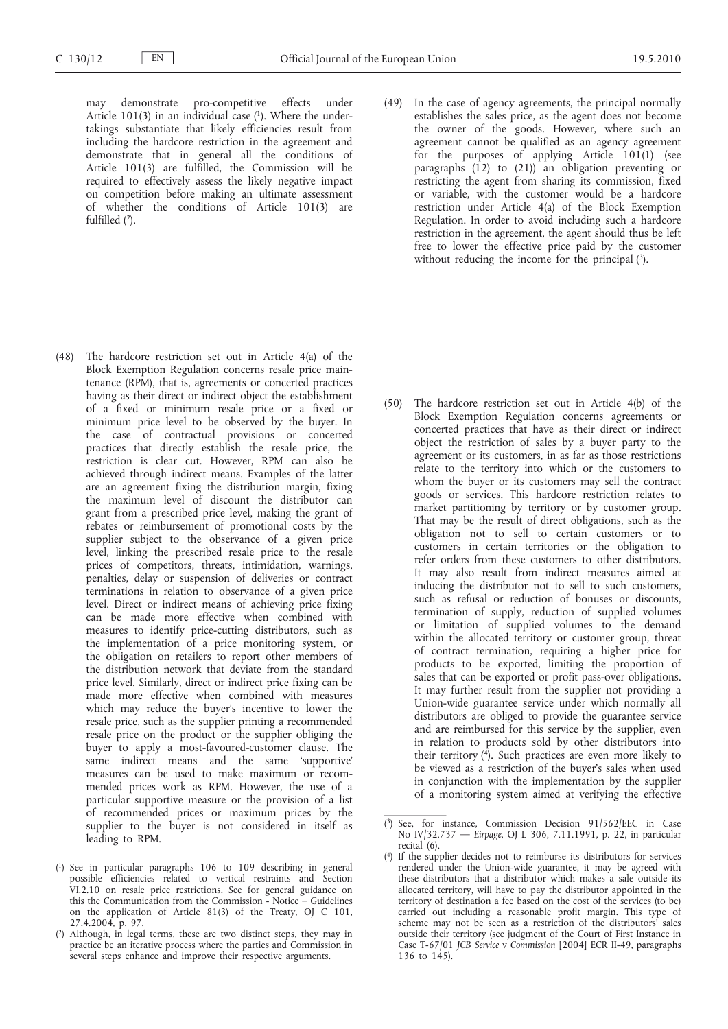may demonstrate pro-competitive effects under Article 101(3) in an individual case  $(1)$ . Where the undertakings substantiate that likely efficiencies result from including the hardcore restriction in the agreement and demonstrate that in general all the conditions of Article 101(3) are fulfilled, the Commission will be required to effectively assess the likely negative impact on competition before making an ultimate assessment of whether the conditions of Article 101(3) are fulfilled (2).

- (48) The hardcore restriction set out in Article 4(a) of the Block Exemption Regulation concerns resale price maintenance (RPM), that is, agreements or concerted practices having as their direct or indirect object the establishment of a fixed or minimum resale price or a fixed or minimum price level to be observed by the buyer. In the case of contractual provisions or concerted practices that directly establish the resale price, the restriction is clear cut. However, RPM can also be achieved through indirect means. Examples of the latter are an agreement fixing the distribution margin, fixing the maximum level of discount the distributor can grant from a prescribed price level, making the grant of rebates or reimbursement of promotional costs by the supplier subject to the observance of a given price level, linking the prescribed resale price to the resale prices of competitors, threats, intimidation, warnings, penalties, delay or suspension of deliveries or contract terminations in relation to observance of a given price level. Direct or indirect means of achieving price fixing can be made more effective when combined with measures to identify price-cutting distributors, such as the implementation of a price monitoring system, or the obligation on retailers to report other members of the distribution network that deviate from the standard price level. Similarly, direct or indirect price fixing can be made more effective when combined with measures which may reduce the buyer's incentive to lower the resale price, such as the supplier printing a recommended resale price on the product or the supplier obliging the buyer to apply a most-favoured-customer clause. The same indirect means and the same 'supportive' measures can be used to make maximum or recommended prices work as RPM. However, the use of a particular supportive measure or the provision of a list of recommended prices or maximum prices by the supplier to the buyer is not considered in itself as leading to RPM.
- ( 1) See in particular paragraphs 106 to 109 describing in general possible efficiencies related to vertical restraints and Section VI.2.10 on resale price restrictions. See for general guidance on this the Communication from the Commission - Notice – Guidelines on the application of Article 81(3) of the Treaty, OJ C 101, 27.4.2004, p. 97.
- ( 2) Although, in legal terms, these are two distinct steps, they may in practice be an iterative process where the parties and Commission in several steps enhance and improve their respective arguments.

(49) In the case of agency agreements, the principal normally establishes the sales price, as the agent does not become the owner of the goods. However, where such an agreement cannot be qualified as an agency agreement for the purposes of applying Article  $101(1)$  (see paragraphs (12) to (21)) an obligation preventing or restricting the agent from sharing its commission, fixed or variable, with the customer would be a hardcore restriction under Article 4(a) of the Block Exemption Regulation. In order to avoid including such a hardcore restriction in the agreement, the agent should thus be left free to lower the effective price paid by the customer without reducing the income for the principal  $(3)$ .

(50) The hardcore restriction set out in Article 4(b) of the Block Exemption Regulation concerns agreements or concerted practices that have as their direct or indirect object the restriction of sales by a buyer party to the agreement or its customers, in as far as those restrictions relate to the territory into which or the customers to whom the buyer or its customers may sell the contract goods or services. This hardcore restriction relates to market partitioning by territory or by customer group. That may be the result of direct obligations, such as the obligation not to sell to certain customers or to customers in certain territories or the obligation to refer orders from these customers to other distributors. It may also result from indirect measures aimed at inducing the distributor not to sell to such customers, such as refusal or reduction of bonuses or discounts, termination of supply, reduction of supplied volumes or limitation of supplied volumes to the demand within the allocated territory or customer group, threat of contract termination, requiring a higher price for products to be exported, limiting the proportion of sales that can be exported or profit pass-over obligations. It may further result from the supplier not providing a Union-wide guarantee service under which normally all distributors are obliged to provide the guarantee service and are reimbursed for this service by the supplier, even in relation to products sold by other distributors into their territory  $(4)$ . Such practices are even more likely to be viewed as a restriction of the buyer's sales when used in conjunction with the implementation by the supplier of a monitoring system aimed at verifying the effective

<sup>(</sup> 3) See, for instance, Commission Decision 91/562/EEC in Case No IV/32.737 — *Eirpage*, OJ L 306, 7.11.1991, p. 22, in particular recital (6).

<sup>(</sup> 4) If the supplier decides not to reimburse its distributors for services rendered under the Union-wide guarantee, it may be agreed with these distributors that a distributor which makes a sale outside its allocated territory, will have to pay the distributor appointed in the territory of destination a fee based on the cost of the services (to be) carried out including a reasonable profit margin. This type of scheme may not be seen as a restriction of the distributors' sales outside their territory (see judgment of the Court of First Instance in Case T-67/01 *JCB Service* v *Commission* [2004] ECR II-49, paragraphs 136 to 145).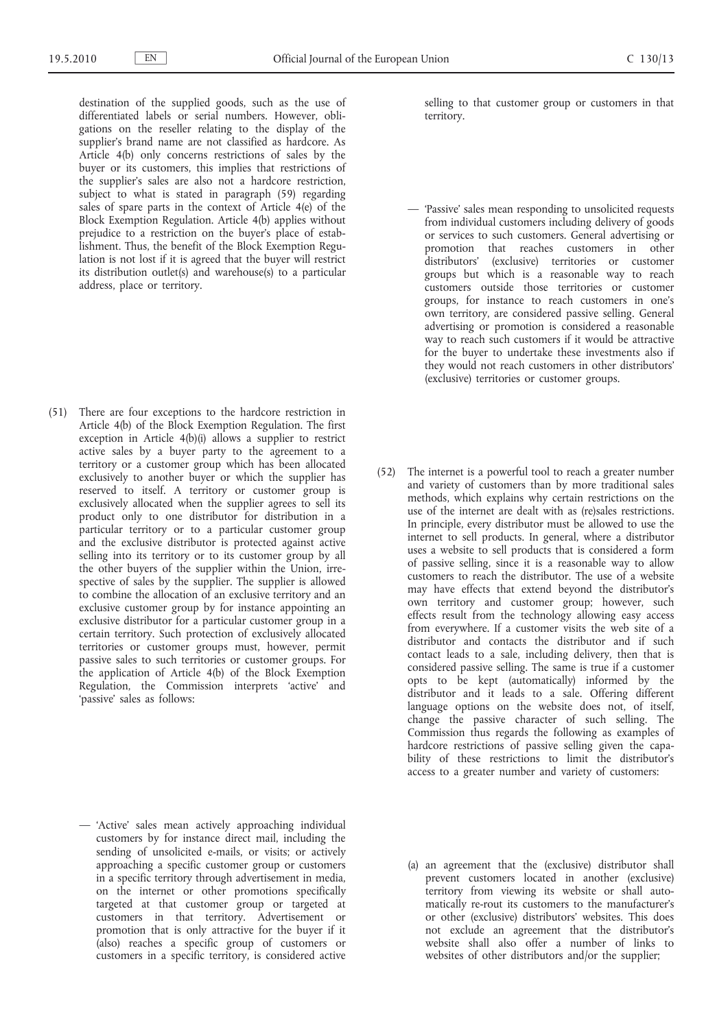destination of the supplied goods, such as the use of differentiated labels or serial numbers. However, obligations on the reseller relating to the display of the supplier's brand name are not classified as hardcore. As Article 4(b) only concerns restrictions of sales by the buyer or its customers, this implies that restrictions of the supplier's sales are also not a hardcore restriction, subject to what is stated in paragraph (59) regarding sales of spare parts in the context of Article 4(e) of the Block Exemption Regulation. Article 4(b) applies without prejudice to a restriction on the buyer's place of establishment. Thus, the benefit of the Block Exemption Regulation is not lost if it is agreed that the buyer will restrict its distribution outlet(s) and warehouse(s) to a particular address, place or territory.

(51) There are four exceptions to the hardcore restriction in Article 4(b) of the Block Exemption Regulation. The first exception in Article 4(b)(i) allows a supplier to restrict active sales by a buyer party to the agreement to a territory or a customer group which has been allocated exclusively to another buyer or which the supplier has reserved to itself. A territory or customer group is exclusively allocated when the supplier agrees to sell its product only to one distributor for distribution in a particular territory or to a particular customer group and the exclusive distributor is protected against active selling into its territory or to its customer group by all the other buyers of the supplier within the Union, irrespective of sales by the supplier. The supplier is allowed to combine the allocation of an exclusive territory and an exclusive customer group by for instance appointing an exclusive distributor for a particular customer group in a certain territory. Such protection of exclusively allocated territories or customer groups must, however, permit passive sales to such territories or customer groups. For the application of Article 4(b) of the Block Exemption Regulation, the Commission interprets 'active' and 'passive' sales as follows:

> — 'Active' sales mean actively approaching individual customers by for instance direct mail, including the sending of unsolicited e-mails, or visits; or actively approaching a specific customer group or customers in a specific territory through advertisement in media, on the internet or other promotions specifically targeted at that customer group or targeted at customers in that territory. Advertisement or promotion that is only attractive for the buyer if it (also) reaches a specific group of customers or customers in a specific territory, is considered active

selling to that customer group or customers in that territory.

- 'Passive' sales mean responding to unsolicited requests from individual customers including delivery of goods or services to such customers. General advertising or promotion that reaches customers in other distributors' (exclusive) territories or customer groups but which is a reasonable way to reach customers outside those territories or customer groups, for instance to reach customers in one's own territory, are considered passive selling. General advertising or promotion is considered a reasonable way to reach such customers if it would be attractive for the buyer to undertake these investments also if they would not reach customers in other distributors' (exclusive) territories or customer groups.
- (52) The internet is a powerful tool to reach a greater number and variety of customers than by more traditional sales methods, which explains why certain restrictions on the use of the internet are dealt with as (re)sales restrictions. In principle, every distributor must be allowed to use the internet to sell products. In general, where a distributor uses a website to sell products that is considered a form of passive selling, since it is a reasonable way to allow customers to reach the distributor. The use of a website may have effects that extend beyond the distributor's own territory and customer group; however, such effects result from the technology allowing easy access from everywhere. If a customer visits the web site of a distributor and contacts the distributor and if such contact leads to a sale, including delivery, then that is considered passive selling. The same is true if a customer opts to be kept (automatically) informed by the distributor and it leads to a sale. Offering different language options on the website does not, of itself, change the passive character of such selling. The Commission thus regards the following as examples of hardcore restrictions of passive selling given the capability of these restrictions to limit the distributor's access to a greater number and variety of customers:
	- (a) an agreement that the (exclusive) distributor shall prevent customers located in another (exclusive) territory from viewing its website or shall automatically re-rout its customers to the manufacturer's or other (exclusive) distributors' websites. This does not exclude an agreement that the distributor's website shall also offer a number of links to websites of other distributors and/or the supplier;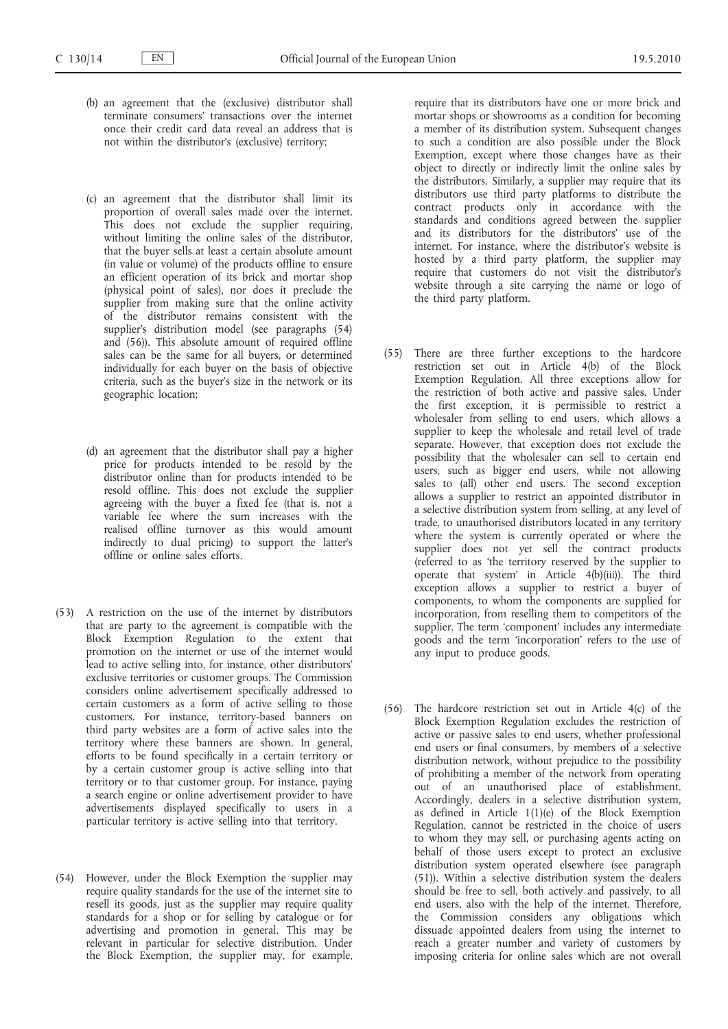- (b) an agreement that the (exclusive) distributor shall terminate consumers' transactions over the internet once their credit card data reveal an address that is not within the distributor's (exclusive) territory;
- (c) an agreement that the distributor shall limit its proportion of overall sales made over the internet. This does not exclude the supplier requiring, without limiting the online sales of the distributor, that the buyer sells at least a certain absolute amount (in value or volume) of the products offline to ensure an efficient operation of its brick and mortar shop (physical point of sales), nor does it preclude the supplier from making sure that the online activity of the distributor remains consistent with the supplier's distribution model (see paragraphs (54) and (56)). This absolute amount of required offline sales can be the same for all buyers, or determined individually for each buyer on the basis of objective criteria, such as the buyer's size in the network or its geographic location;
- (d) an agreement that the distributor shall pay a higher price for products intended to be resold by the distributor online than for products intended to be resold offline. This does not exclude the supplier agreeing with the buyer a fixed fee (that is, not a variable fee where the sum increases with the realised offline turnover as this would amount indirectly to dual pricing) to support the latter's offline or online sales efforts.
- (53) A restriction on the use of the internet by distributors that are party to the agreement is compatible with the Block Exemption Regulation to the extent that promotion on the internet or use of the internet would lead to active selling into, for instance, other distributors' exclusive territories or customer groups. The Commission considers online advertisement specifically addressed to certain customers as a form of active selling to those customers. For instance, territory-based banners on third party websites are a form of active sales into the territory where these banners are shown. In general, efforts to be found specifically in a certain territory or by a certain customer group is active selling into that territory or to that customer group. For instance, paying a search engine or online advertisement provider to have advertisements displayed specifically to users in a particular territory is active selling into that territory.
- (54) However, under the Block Exemption the supplier may require quality standards for the use of the internet site to resell its goods, just as the supplier may require quality standards for a shop or for selling by catalogue or for advertising and promotion in general. This may be relevant in particular for selective distribution. Under the Block Exemption, the supplier may, for example,

require that its distributors have one or more brick and mortar shops or showrooms as a condition for becoming a member of its distribution system. Subsequent changes to such a condition are also possible under the Block Exemption, except where those changes have as their object to directly or indirectly limit the online sales by the distributors. Similarly, a supplier may require that its distributors use third party platforms to distribute the contract products only in accordance with the standards and conditions agreed between the supplier and its distributors for the distributors' use of the internet. For instance, where the distributor's website is hosted by a third party platform, the supplier may require that customers do not visit the distributor's website through a site carrying the name or logo of the third party platform.

- (55) There are three further exceptions to the hardcore restriction set out in Article 4(b) of the Block Exemption Regulation. All three exceptions allow for the restriction of both active and passive sales. Under the first exception, it is permissible to restrict a wholesaler from selling to end users, which allows a supplier to keep the wholesale and retail level of trade separate. However, that exception does not exclude the possibility that the wholesaler can sell to certain end users, such as bigger end users, while not allowing sales to (all) other end users. The second exception allows a supplier to restrict an appointed distributor in a selective distribution system from selling, at any level of trade, to unauthorised distributors located in any territory where the system is currently operated or where the supplier does not yet sell the contract products (referred to as 'the territory reserved by the supplier to operate that system' in Article 4(b)(iii)). The third exception allows a supplier to restrict a buyer of components, to whom the components are supplied for incorporation, from reselling them to competitors of the supplier. The term 'component' includes any intermediate goods and the term 'incorporation' refers to the use of any input to produce goods.
- (56) The hardcore restriction set out in Article 4(c) of the Block Exemption Regulation excludes the restriction of active or passive sales to end users, whether professional end users or final consumers, by members of a selective distribution network, without prejudice to the possibility of prohibiting a member of the network from operating out of an unauthorised place of establishment. Accordingly, dealers in a selective distribution system, as defined in Article 1(1)(e) of the Block Exemption Regulation, cannot be restricted in the choice of users to whom they may sell, or purchasing agents acting on behalf of those users except to protect an exclusive distribution system operated elsewhere (see paragraph (51)). Within a selective distribution system the dealers should be free to sell, both actively and passively, to all end users, also with the help of the internet. Therefore, the Commission considers any obligations which dissuade appointed dealers from using the internet to reach a greater number and variety of customers by imposing criteria for online sales which are not overall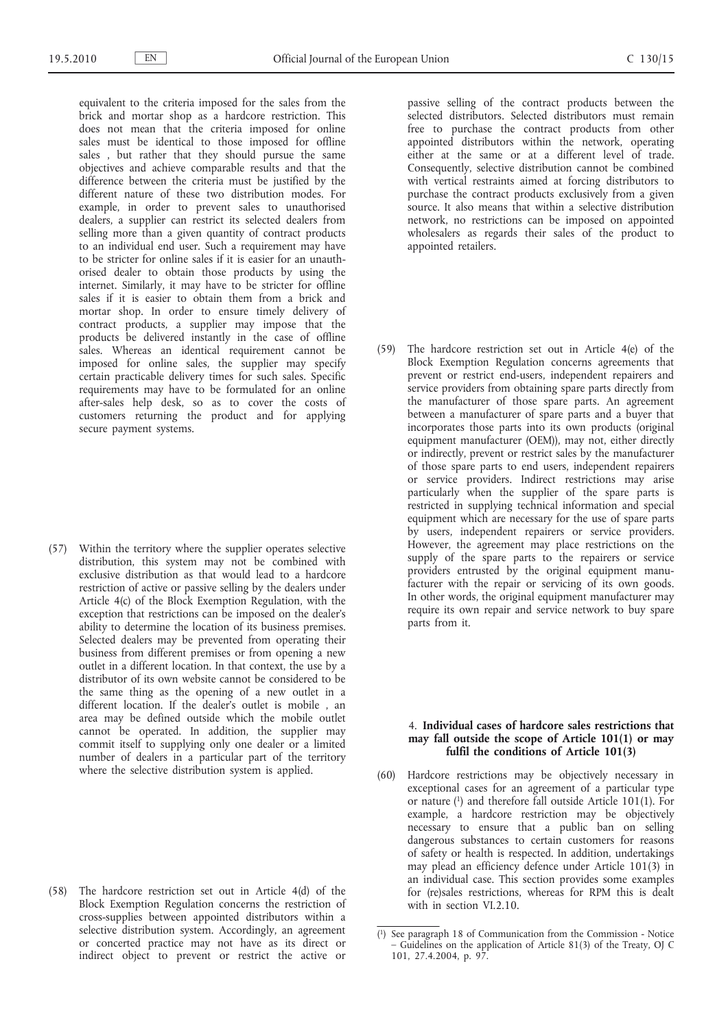equivalent to the criteria imposed for the sales from the brick and mortar shop as a hardcore restriction. This does not mean that the criteria imposed for online sales must be identical to those imposed for offline sales , but rather that they should pursue the same objectives and achieve comparable results and that the difference between the criteria must be justified by the different nature of these two distribution modes. For example, in order to prevent sales to unauthorised dealers, a supplier can restrict its selected dealers from selling more than a given quantity of contract products to an individual end user. Such a requirement may have to be stricter for online sales if it is easier for an unauthorised dealer to obtain those products by using the internet. Similarly, it may have to be stricter for offline sales if it is easier to obtain them from a brick and mortar shop. In order to ensure timely delivery of contract products, a supplier may impose that the products be delivered instantly in the case of offline sales. Whereas an identical requirement cannot be imposed for online sales, the supplier may specify certain practicable delivery times for such sales. Specific requirements may have to be formulated for an online after-sales help desk, so as to cover the costs of customers returning the product and for applying secure payment systems.

(57) Within the territory where the supplier operates selective distribution, this system may not be combined with exclusive distribution as that would lead to a hardcore restriction of active or passive selling by the dealers under Article 4(c) of the Block Exemption Regulation, with the exception that restrictions can be imposed on the dealer's ability to determine the location of its business premises. Selected dealers may be prevented from operating their business from different premises or from opening a new outlet in a different location. In that context, the use by a distributor of its own website cannot be considered to be the same thing as the opening of a new outlet in a different location. If the dealer's outlet is mobile , an area may be defined outside which the mobile outlet cannot be operated. In addition, the supplier may commit itself to supplying only one dealer or a limited number of dealers in a particular part of the territory where the selective distribution system is applied.

(58) The hardcore restriction set out in Article 4(d) of the Block Exemption Regulation concerns the restriction of cross-supplies between appointed distributors within a selective distribution system. Accordingly, an agreement or concerted practice may not have as its direct or indirect object to prevent or restrict the active or

passive selling of the contract products between the selected distributors. Selected distributors must remain free to purchase the contract products from other appointed distributors within the network, operating either at the same or at a different level of trade. Consequently, selective distribution cannot be combined with vertical restraints aimed at forcing distributors to purchase the contract products exclusively from a given source. It also means that within a selective distribution network, no restrictions can be imposed on appointed wholesalers as regards their sales of the product to appointed retailers.

(59) The hardcore restriction set out in Article 4(e) of the Block Exemption Regulation concerns agreements that prevent or restrict end-users, independent repairers and service providers from obtaining spare parts directly from the manufacturer of those spare parts. An agreement between a manufacturer of spare parts and a buyer that incorporates those parts into its own products (original equipment manufacturer (OEM)), may not, either directly or indirectly, prevent or restrict sales by the manufacturer of those spare parts to end users, independent repairers or service providers. Indirect restrictions may arise particularly when the supplier of the spare parts is restricted in supplying technical information and special equipment which are necessary for the use of spare parts by users, independent repairers or service providers. However, the agreement may place restrictions on the supply of the spare parts to the repairers or service providers entrusted by the original equipment manufacturer with the repair or servicing of its own goods. In other words, the original equipment manufacturer may require its own repair and service network to buy spare parts from it.

### 4. **Individual cases of hardcore sales restrictions that may fall outside the scope of Article 101(1) or may fulfil the conditions of Article 101(3)**

(60) Hardcore restrictions may be objectively necessary in exceptional cases for an agreement of a particular type or nature (1) and therefore fall outside Article 101(1). For example, a hardcore restriction may be objectively necessary to ensure that a public ban on selling dangerous substances to certain customers for reasons of safety or health is respected. In addition, undertakings may plead an efficiency defence under Article 101(3) in an individual case. This section provides some examples for (re)sales restrictions, whereas for RPM this is dealt with in section VI.2.10.

<sup>(</sup> 1) See paragraph 18 of Communication from the Commission - Notice – Guidelines on the application of Article 81(3) of the Treaty, OJ C 101, 27.4.2004, p. 97.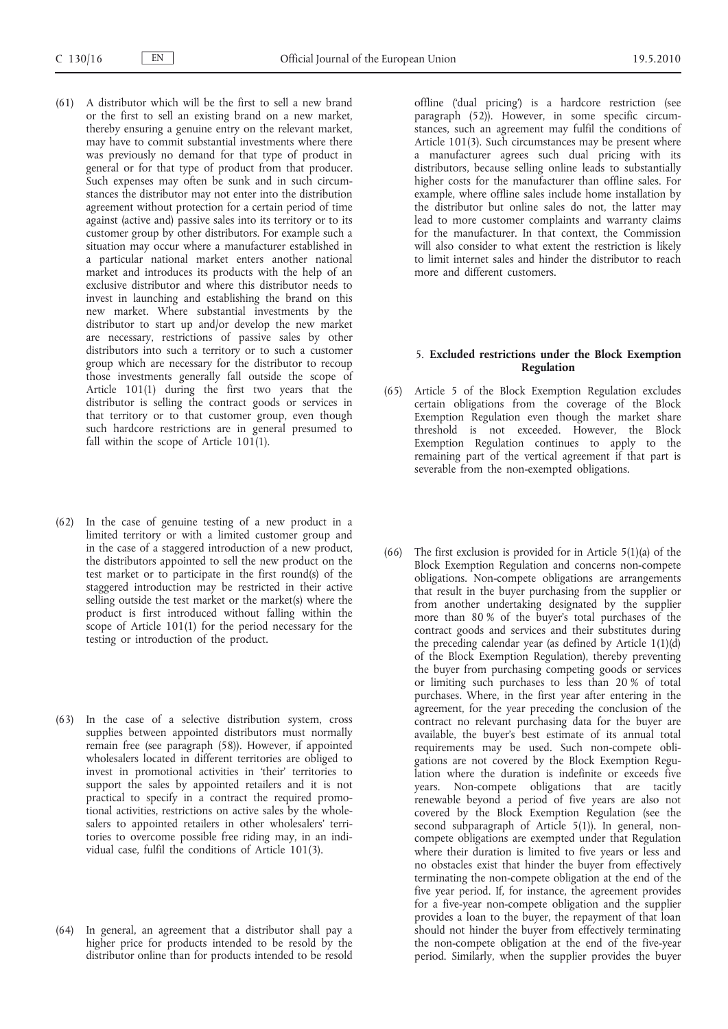- (61) A distributor which will be the first to sell a new brand or the first to sell an existing brand on a new market, thereby ensuring a genuine entry on the relevant market, may have to commit substantial investments where there was previously no demand for that type of product in general or for that type of product from that producer. Such expenses may often be sunk and in such circumstances the distributor may not enter into the distribution agreement without protection for a certain period of time against (active and) passive sales into its territory or to its customer group by other distributors. For example such a situation may occur where a manufacturer established in a particular national market enters another national market and introduces its products with the help of an exclusive distributor and where this distributor needs to invest in launching and establishing the brand on this new market. Where substantial investments by the distributor to start up and/or develop the new market are necessary, restrictions of passive sales by other distributors into such a territory or to such a customer group which are necessary for the distributor to recoup those investments generally fall outside the scope of Article 101(1) during the first two years that the distributor is selling the contract goods or services in that territory or to that customer group, even though such hardcore restrictions are in general presumed to fall within the scope of Article 101(1).
- (62) In the case of genuine testing of a new product in a limited territory or with a limited customer group and in the case of a staggered introduction of a new product, the distributors appointed to sell the new product on the test market or to participate in the first round(s) of the staggered introduction may be restricted in their active selling outside the test market or the market(s) where the product is first introduced without falling within the scope of Article 101(1) for the period necessary for the testing or introduction of the product.
- (63) In the case of a selective distribution system, cross supplies between appointed distributors must normally remain free (see paragraph (58)). However, if appointed wholesalers located in different territories are obliged to invest in promotional activities in 'their' territories to support the sales by appointed retailers and it is not practical to specify in a contract the required promotional activities, restrictions on active sales by the wholesalers to appointed retailers in other wholesalers' territories to overcome possible free riding may, in an individual case, fulfil the conditions of Article 101(3).
- (64) In general, an agreement that a distributor shall pay a higher price for products intended to be resold by the distributor online than for products intended to be resold

offline ('dual pricing') is a hardcore restriction (see paragraph (52)). However, in some specific circumstances, such an agreement may fulfil the conditions of Article 101(3). Such circumstances may be present where a manufacturer agrees such dual pricing with its distributors, because selling online leads to substantially higher costs for the manufacturer than offline sales. For example, where offline sales include home installation by the distributor but online sales do not, the latter may lead to more customer complaints and warranty claims for the manufacturer. In that context, the Commission will also consider to what extent the restriction is likely to limit internet sales and hinder the distributor to reach more and different customers.

#### 5. **Excluded restrictions under the Block Exemption Regulation**

- (65) Article 5 of the Block Exemption Regulation excludes certain obligations from the coverage of the Block Exemption Regulation even though the market share threshold is not exceeded. However, the Block Exemption Regulation continues to apply to the remaining part of the vertical agreement if that part is severable from the non-exempted obligations.
- (66) The first exclusion is provided for in Article  $5(1)(a)$  of the Block Exemption Regulation and concerns non-compete obligations. Non-compete obligations are arrangements that result in the buyer purchasing from the supplier or from another undertaking designated by the supplier more than 80 % of the buyer's total purchases of the contract goods and services and their substitutes during the preceding calendar year (as defined by Article  $1(1)(d)$ of the Block Exemption Regulation), thereby preventing the buyer from purchasing competing goods or services or limiting such purchases to less than 20 % of total purchases. Where, in the first year after entering in the agreement, for the year preceding the conclusion of the contract no relevant purchasing data for the buyer are available, the buyer's best estimate of its annual total requirements may be used. Such non-compete obligations are not covered by the Block Exemption Regulation where the duration is indefinite or exceeds five years. Non-compete obligations that are tacitly renewable beyond a period of five years are also not covered by the Block Exemption Regulation (see the second subparagraph of Article 5(1)). In general, noncompete obligations are exempted under that Regulation where their duration is limited to five years or less and no obstacles exist that hinder the buyer from effectively terminating the non-compete obligation at the end of the five year period. If, for instance, the agreement provides for a five-year non-compete obligation and the supplier provides a loan to the buyer, the repayment of that loan should not hinder the buyer from effectively terminating the non-compete obligation at the end of the five-year period. Similarly, when the supplier provides the buyer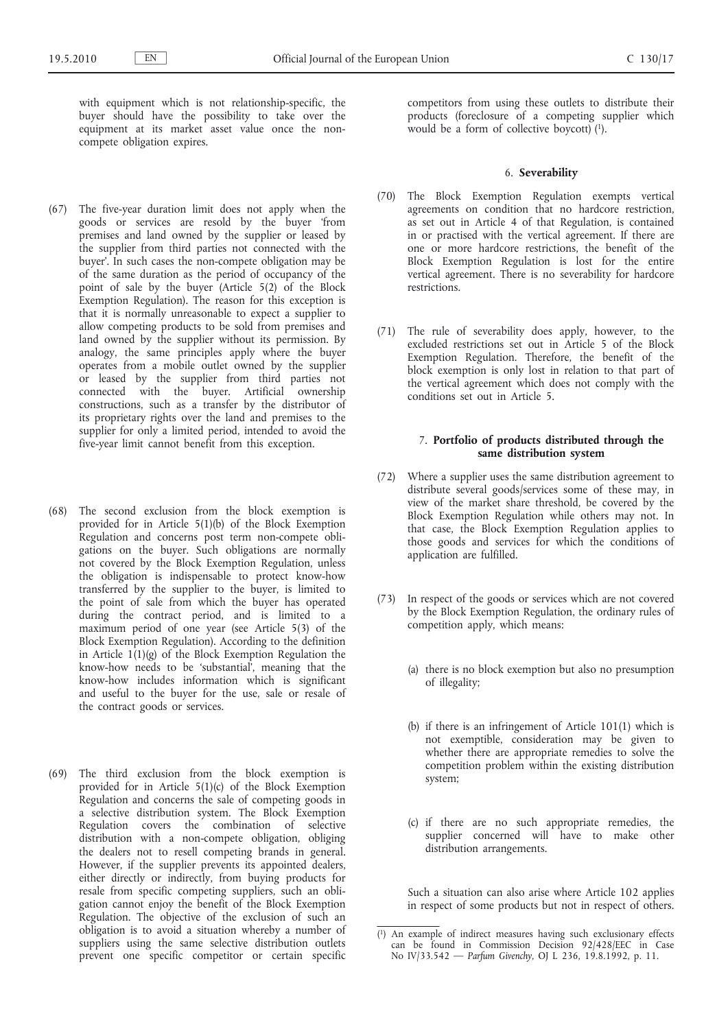with equipment which is not relationship-specific, the buyer should have the possibility to take over the equipment at its market asset value once the noncompete obligation expires.

- (67) The five-year duration limit does not apply when the goods or services are resold by the buyer 'from premises and land owned by the supplier or leased by the supplier from third parties not connected with the buyer'. In such cases the non-compete obligation may be of the same duration as the period of occupancy of the point of sale by the buyer (Article 5(2) of the Block Exemption Regulation). The reason for this exception is that it is normally unreasonable to expect a supplier to allow competing products to be sold from premises and land owned by the supplier without its permission. By analogy, the same principles apply where the buyer operates from a mobile outlet owned by the supplier or leased by the supplier from third parties not connected with the buyer. Artificial ownership constructions, such as a transfer by the distributor of its proprietary rights over the land and premises to the supplier for only a limited period, intended to avoid the five-year limit cannot benefit from this exception.
- (68) The second exclusion from the block exemption is provided for in Article 5(1)(b) of the Block Exemption Regulation and concerns post term non-compete obligations on the buyer. Such obligations are normally not covered by the Block Exemption Regulation, unless the obligation is indispensable to protect know-how transferred by the supplier to the buyer, is limited to the point of sale from which the buyer has operated during the contract period, and is limited to a maximum period of one year (see Article 5(3) of the Block Exemption Regulation). According to the definition in Article  $1(1)(g)$  of the Block Exemption Regulation the know-how needs to be 'substantial', meaning that the know-how includes information which is significant and useful to the buyer for the use, sale or resale of the contract goods or services.
- (69) The third exclusion from the block exemption is provided for in Article 5(1)(c) of the Block Exemption Regulation and concerns the sale of competing goods in a selective distribution system. The Block Exemption Regulation covers the combination of selective distribution with a non-compete obligation, obliging the dealers not to resell competing brands in general. However, if the supplier prevents its appointed dealers, either directly or indirectly, from buying products for resale from specific competing suppliers, such an obligation cannot enjoy the benefit of the Block Exemption Regulation. The objective of the exclusion of such an obligation is to avoid a situation whereby a number of suppliers using the same selective distribution outlets prevent one specific competitor or certain specific

competitors from using these outlets to distribute their products (foreclosure of a competing supplier which would be a form of collective boycott) (1).

#### 6. **Severability**

- (70) The Block Exemption Regulation exempts vertical agreements on condition that no hardcore restriction, as set out in Article 4 of that Regulation, is contained in or practised with the vertical agreement. If there are one or more hardcore restrictions, the benefit of the Block Exemption Regulation is lost for the entire vertical agreement. There is no severability for hardcore restrictions.
- (71) The rule of severability does apply, however, to the excluded restrictions set out in Article 5 of the Block Exemption Regulation. Therefore, the benefit of the block exemption is only lost in relation to that part of the vertical agreement which does not comply with the conditions set out in Article 5.

## 7. **Portfolio of products distributed through the same distribution system**

- (72) Where a supplier uses the same distribution agreement to distribute several goods/services some of these may, in view of the market share threshold, be covered by the Block Exemption Regulation while others may not. In that case, the Block Exemption Regulation applies to those goods and services for which the conditions of application are fulfilled.
- (73) In respect of the goods or services which are not covered by the Block Exemption Regulation, the ordinary rules of competition apply, which means:
	- (a) there is no block exemption but also no presumption of illegality;
	- (b) if there is an infringement of Article 101(1) which is not exemptible, consideration may be given to whether there are appropriate remedies to solve the competition problem within the existing distribution system;
	- (c) if there are no such appropriate remedies, the supplier concerned will have to make other distribution arrangements.

Such a situation can also arise where Article 102 applies in respect of some products but not in respect of others.

<sup>(</sup> 1) An example of indirect measures having such exclusionary effects can be found in Commission Decision 92/428/EEC in Case No IV/33.542 — *Parfum Givenchy*, OJ L 236, 19.8.1992, p. 11.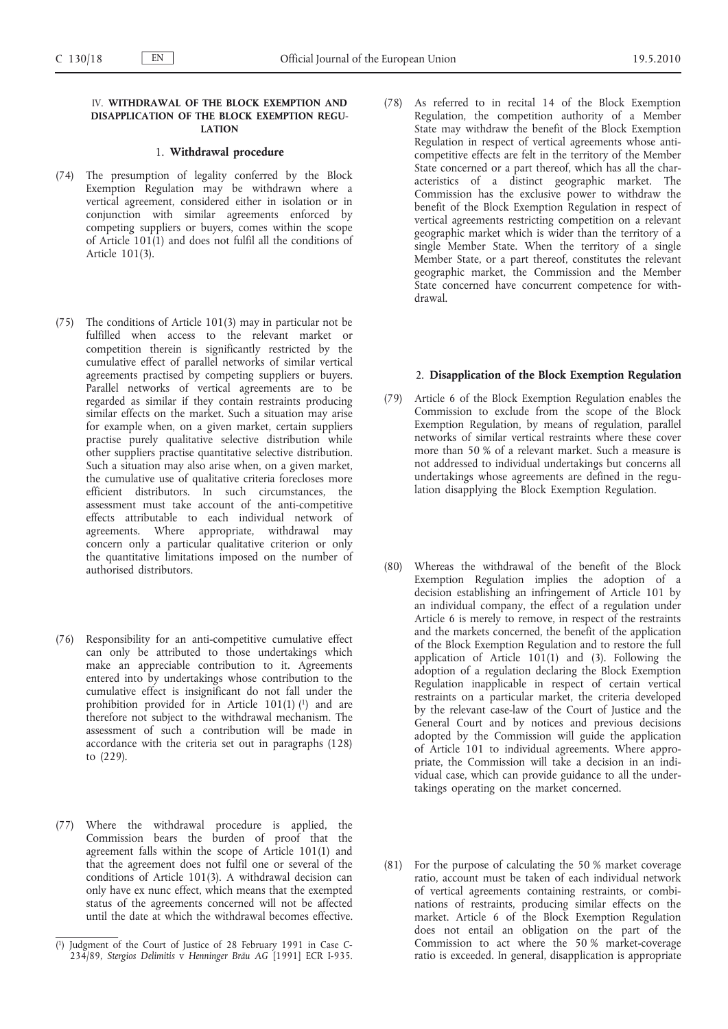## IV. **WITHDRAWAL OF THE BLOCK EXEMPTION AND DISAPPLICATION OF THE BLOCK EXEMPTION REGU-LATION**

#### 1. **Withdrawal procedure**

- (74) The presumption of legality conferred by the Block Exemption Regulation may be withdrawn where a vertical agreement, considered either in isolation or in conjunction with similar agreements enforced by competing suppliers or buyers, comes within the scope of Article  $101(1)$  and does not fulfil all the conditions of Article 101(3).
- (75) The conditions of Article 101(3) may in particular not be fulfilled when access to the relevant market or competition therein is significantly restricted by the cumulative effect of parallel networks of similar vertical agreements practised by competing suppliers or buyers. Parallel networks of vertical agreements are to be regarded as similar if they contain restraints producing similar effects on the market. Such a situation may arise for example when, on a given market, certain suppliers practise purely qualitative selective distribution while other suppliers practise quantitative selective distribution. Such a situation may also arise when, on a given market, the cumulative use of qualitative criteria forecloses more efficient distributors. In such circumstances, the assessment must take account of the anti-competitive effects attributable to each individual network of agreements. Where appropriate, withdrawal may concern only a particular qualitative criterion or only the quantitative limitations imposed on the number of authorised distributors.
- (76) Responsibility for an anti-competitive cumulative effect can only be attributed to those undertakings which make an appreciable contribution to it. Agreements entered into by undertakings whose contribution to the cumulative effect is insignificant do not fall under the prohibition provided for in Article  $101(1)$  (1) and are therefore not subject to the withdrawal mechanism. The assessment of such a contribution will be made in accordance with the criteria set out in paragraphs (128) to (229).
- (77) Where the withdrawal procedure is applied, the Commission bears the burden of proof that the agreement falls within the scope of Article 101(1) and that the agreement does not fulfil one or several of the conditions of Article 101(3). A withdrawal decision can only have ex nunc effect, which means that the exempted status of the agreements concerned will not be affected until the date at which the withdrawal becomes effective.

(78) As referred to in recital 14 of the Block Exemption Regulation, the competition authority of a Member State may withdraw the benefit of the Block Exemption Regulation in respect of vertical agreements whose anticompetitive effects are felt in the territory of the Member State concerned or a part thereof, which has all the characteristics of a distinct geographic market. The Commission has the exclusive power to withdraw the benefit of the Block Exemption Regulation in respect of vertical agreements restricting competition on a relevant geographic market which is wider than the territory of a single Member State. When the territory of a single Member State, or a part thereof, constitutes the relevant geographic market, the Commission and the Member State concerned have concurrent competence for withdrawal.

#### 2. **Disapplication of the Block Exemption Regulation**

- (79) Article 6 of the Block Exemption Regulation enables the Commission to exclude from the scope of the Block Exemption Regulation, by means of regulation, parallel networks of similar vertical restraints where these cover more than 50 % of a relevant market. Such a measure is not addressed to individual undertakings but concerns all undertakings whose agreements are defined in the regulation disapplying the Block Exemption Regulation.
- (80) Whereas the withdrawal of the benefit of the Block Exemption Regulation implies the adoption of a decision establishing an infringement of Article 101 by an individual company, the effect of a regulation under Article 6 is merely to remove, in respect of the restraints and the markets concerned, the benefit of the application of the Block Exemption Regulation and to restore the full application of Article 101(1) and (3). Following the adoption of a regulation declaring the Block Exemption Regulation inapplicable in respect of certain vertical restraints on a particular market, the criteria developed by the relevant case-law of the Court of Justice and the General Court and by notices and previous decisions adopted by the Commission will guide the application of Article 101 to individual agreements. Where appropriate, the Commission will take a decision in an individual case, which can provide guidance to all the undertakings operating on the market concerned.
- (81) For the purpose of calculating the 50 % market coverage ratio, account must be taken of each individual network of vertical agreements containing restraints, or combinations of restraints, producing similar effects on the market. Article 6 of the Block Exemption Regulation does not entail an obligation on the part of the Commission to act where the 50 % market-coverage ratio is exceeded. In general, disapplication is appropriate

<sup>(</sup> 1) Judgment of the Court of Justice of 28 February 1991 in Case C-234/89, *Stergios Delimitis* v *Henninger Bräu AG* [1991] ECR I-935.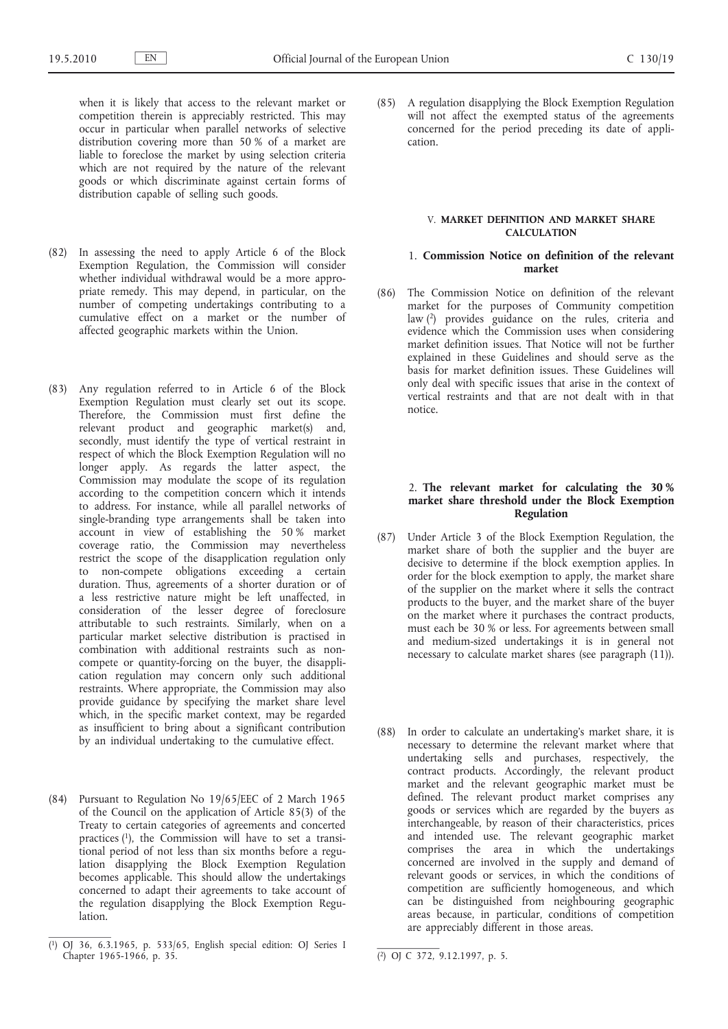when it is likely that access to the relevant market or competition therein is appreciably restricted. This may occur in particular when parallel networks of selective distribution covering more than 50 % of a market are liable to foreclose the market by using selection criteria which are not required by the nature of the relevant goods or which discriminate against certain forms of distribution capable of selling such goods.

- (82) In assessing the need to apply Article 6 of the Block Exemption Regulation, the Commission will consider whether individual withdrawal would be a more appropriate remedy. This may depend, in particular, on the number of competing undertakings contributing to a cumulative effect on a market or the number of affected geographic markets within the Union.
- (83) Any regulation referred to in Article 6 of the Block Exemption Regulation must clearly set out its scope. Therefore, the Commission must first define the relevant product and geographic market(s) and, secondly, must identify the type of vertical restraint in respect of which the Block Exemption Regulation will no longer apply. As regards the latter aspect, the Commission may modulate the scope of its regulation according to the competition concern which it intends to address. For instance, while all parallel networks of single-branding type arrangements shall be taken into account in view of establishing the 50 % market coverage ratio, the Commission may nevertheless restrict the scope of the disapplication regulation only to non-compete obligations exceeding a certain duration. Thus, agreements of a shorter duration or of a less restrictive nature might be left unaffected, in consideration of the lesser degree of foreclosure attributable to such restraints. Similarly, when on a particular market selective distribution is practised in combination with additional restraints such as noncompete or quantity-forcing on the buyer, the disapplication regulation may concern only such additional restraints. Where appropriate, the Commission may also provide guidance by specifying the market share level which, in the specific market context, may be regarded as insufficient to bring about a significant contribution by an individual undertaking to the cumulative effect.
- (84) Pursuant to Regulation No 19/65/EEC of 2 March 1965 of the Council on the application of Article 85(3) of the Treaty to certain categories of agreements and concerted practices (1), the Commission will have to set a transitional period of not less than six months before a regulation disapplying the Block Exemption Regulation becomes applicable. This should allow the undertakings concerned to adapt their agreements to take account of the regulation disapplying the Block Exemption Regulation.

(85) A regulation disapplying the Block Exemption Regulation will not affect the exempted status of the agreements concerned for the period preceding its date of application.

#### V. **MARKET DEFINITION AND MARKET SHARE CALCULATION**

#### 1. **Commission Notice on definition of the relevant market**

(86) The Commission Notice on definition of the relevant market for the purposes of Community competition law (2) provides guidance on the rules, criteria and evidence which the Commission uses when considering market definition issues. That Notice will not be further explained in these Guidelines and should serve as the basis for market definition issues. These Guidelines will only deal with specific issues that arise in the context of vertical restraints and that are not dealt with in that notice.

## 2. **The relevant market for calculating the 30 % market share threshold under the Block Exemption Regulation**

- (87) Under Article 3 of the Block Exemption Regulation, the market share of both the supplier and the buyer are decisive to determine if the block exemption applies. In order for the block exemption to apply, the market share of the supplier on the market where it sells the contract products to the buyer, and the market share of the buyer on the market where it purchases the contract products, must each be 30 % or less. For agreements between small and medium-sized undertakings it is in general not necessary to calculate market shares (see paragraph (11)).
- (88) In order to calculate an undertaking's market share, it is necessary to determine the relevant market where that undertaking sells and purchases, respectively, the contract products. Accordingly, the relevant product market and the relevant geographic market must be defined. The relevant product market comprises any goods or services which are regarded by the buyers as interchangeable, by reason of their characteristics, prices and intended use. The relevant geographic market comprises the area in which the undertakings concerned are involved in the supply and demand of relevant goods or services, in which the conditions of competition are sufficiently homogeneous, and which can be distinguished from neighbouring geographic areas because, in particular, conditions of competition are appreciably different in those areas.

<sup>(</sup> 1) OJ 36, 6.3.1965, p. 533/65, English special edition: OJ Series I Chapter 1965-1966, p. 35. (2) OJ C 372, 9.12.1997, p. 5.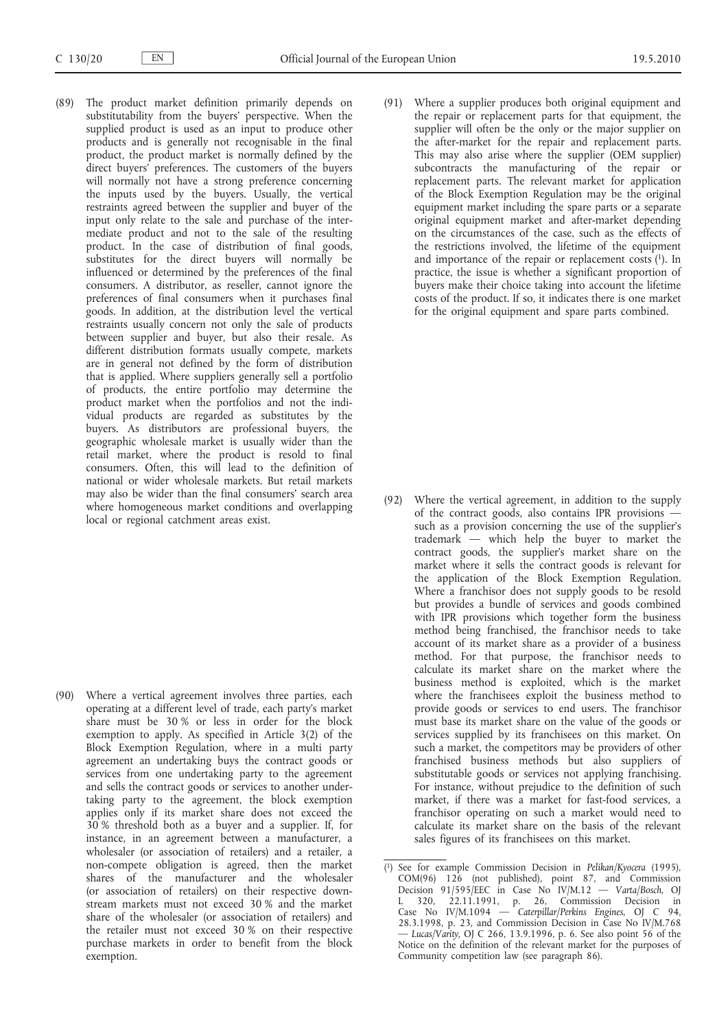(89) The product market definition primarily depends on substitutability from the buyers' perspective. When the supplied product is used as an input to produce other products and is generally not recognisable in the final product, the product market is normally defined by the direct buyers' preferences. The customers of the buyers will normally not have a strong preference concerning the inputs used by the buyers. Usually, the vertical restraints agreed between the supplier and buyer of the input only relate to the sale and purchase of the intermediate product and not to the sale of the resulting product. In the case of distribution of final goods, substitutes for the direct buyers will normally be influenced or determined by the preferences of the final consumers. A distributor, as reseller, cannot ignore the preferences of final consumers when it purchases final goods. In addition, at the distribution level the vertical restraints usually concern not only the sale of products between supplier and buyer, but also their resale. As different distribution formats usually compete, markets are in general not defined by the form of distribution that is applied. Where suppliers generally sell a portfolio of products, the entire portfolio may determine the product market when the portfolios and not the individual products are regarded as substitutes by the buyers. As distributors are professional buyers, the geographic wholesale market is usually wider than the retail market, where the product is resold to final consumers. Often, this will lead to the definition of national or wider wholesale markets. But retail markets may also be wider than the final consumers' search area where homogeneous market conditions and overlapping local or regional catchment areas exist.

(90) Where a vertical agreement involves three parties, each operating at a different level of trade, each party's market share must be 30 % or less in order for the block exemption to apply. As specified in Article 3(2) of the Block Exemption Regulation, where in a multi party agreement an undertaking buys the contract goods or services from one undertaking party to the agreement and sells the contract goods or services to another undertaking party to the agreement, the block exemption applies only if its market share does not exceed the 30 % threshold both as a buyer and a supplier. If, for instance, in an agreement between a manufacturer, a wholesaler (or association of retailers) and a retailer, a non-compete obligation is agreed, then the market shares of the manufacturer and the wholesaler (or association of retailers) on their respective downstream markets must not exceed 30 % and the market share of the wholesaler (or association of retailers) and the retailer must not exceed 30 % on their respective purchase markets in order to benefit from the block exemption.

(91) Where a supplier produces both original equipment and the repair or replacement parts for that equipment, the supplier will often be the only or the major supplier on the after-market for the repair and replacement parts. This may also arise where the supplier (OEM supplier) subcontracts the manufacturing of the repair or replacement parts. The relevant market for application of the Block Exemption Regulation may be the original equipment market including the spare parts or a separate original equipment market and after-market depending on the circumstances of the case, such as the effects of the restrictions involved, the lifetime of the equipment and importance of the repair or replacement costs  $(1)$ . In practice, the issue is whether a significant proportion of buyers make their choice taking into account the lifetime costs of the product. If so, it indicates there is one market for the original equipment and spare parts combined.

(92) Where the vertical agreement, in addition to the supply of the contract goods, also contains IPR provisions such as a provision concerning the use of the supplier's trademark — which help the buyer to market the contract goods, the supplier's market share on the market where it sells the contract goods is relevant for the application of the Block Exemption Regulation. Where a franchisor does not supply goods to be resold but provides a bundle of services and goods combined with IPR provisions which together form the business method being franchised, the franchisor needs to take account of its market share as a provider of a business method. For that purpose, the franchisor needs to calculate its market share on the market where the business method is exploited, which is the market where the franchisees exploit the business method to provide goods or services to end users. The franchisor must base its market share on the value of the goods or services supplied by its franchisees on this market. On such a market, the competitors may be providers of other franchised business methods but also suppliers of substitutable goods or services not applying franchising. For instance, without prejudice to the definition of such market, if there was a market for fast-food services, a franchisor operating on such a market would need to calculate its market share on the basis of the relevant sales figures of its franchisees on this market.

<sup>(</sup> 1) See for example Commission Decision in *Pelikan/Kyocera* (1995), COM(96) 126 (not published), point 87, and Commission Decision 91/595/EEC in Case No IV/M.12 — *Varta/Bosch*, OJ L 320, 22.11.1991, p. 26, Commission Decision in Case No IV/M.1094 — *Caterpillar/Perkins Engines*, OJ C 94, 28.3.1998, p. 23, and Commission Decision in Case No IV/M.768 — *Lucas/Varity*, OJ C 266, 13.9.1996, p. 6. See also point 56 of the Notice on the definition of the relevant market for the purposes of Community competition law (see paragraph 86).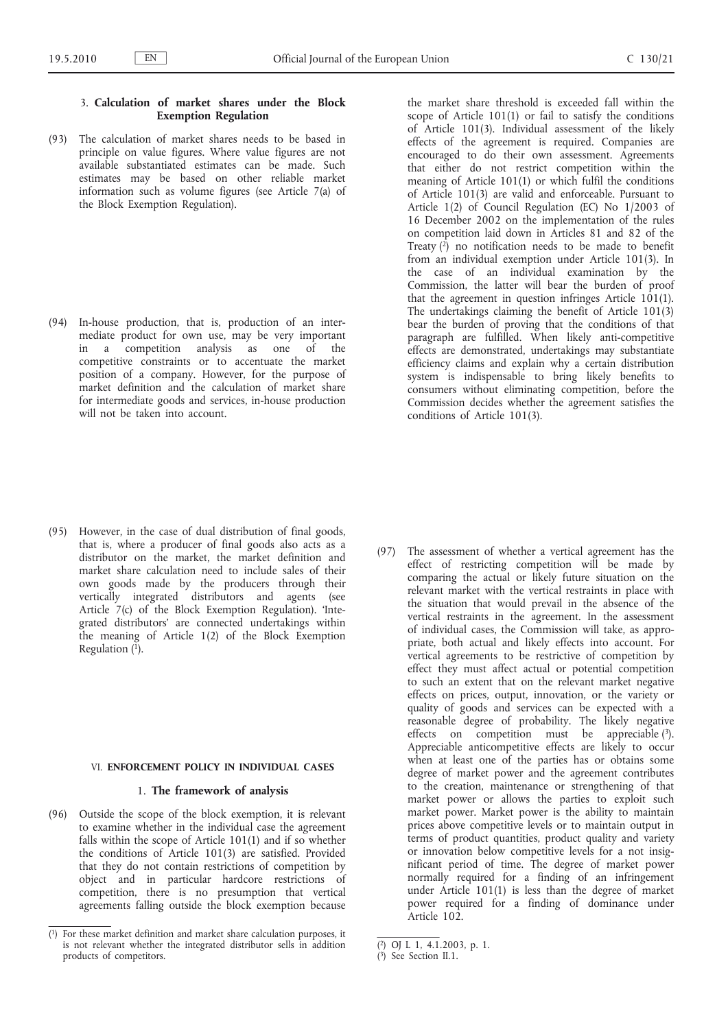## 3. **Calculation of market shares under the Block Exemption Regulation**

(93) The calculation of market shares needs to be based in principle on value figures. Where value figures are not available substantiated estimates can be made. Such estimates may be based on other reliable market information such as volume figures (see Article 7(a) of the Block Exemption Regulation).

(94) In-house production, that is, production of an intermediate product for own use, may be very important in a competition analysis as one of the competitive constraints or to accentuate the market position of a company. However, for the purpose of market definition and the calculation of market share for intermediate goods and services, in-house production will not be taken into account.

the market share threshold is exceeded fall within the scope of Article 101(1) or fail to satisfy the conditions of Article 101(3). Individual assessment of the likely effects of the agreement is required. Companies are encouraged to do their own assessment. Agreements that either do not restrict competition within the meaning of Article 101(1) or which fulfil the conditions of Article 101(3) are valid and enforceable. Pursuant to Article 1(2) of Council Regulation (EC) No 1/2003 of 16 December 2002 on the implementation of the rules on competition laid down in Articles 81 and 82 of the Treaty  $(2)$  no notification needs to be made to benefit from an individual exemption under Article 101(3). In the case of an individual examination by the Commission, the latter will bear the burden of proof that the agreement in question infringes Article 101(1). The undertakings claiming the benefit of Article 101(3) bear the burden of proving that the conditions of that paragraph are fulfilled. When likely anti-competitive effects are demonstrated, undertakings may substantiate efficiency claims and explain why a certain distribution system is indispensable to bring likely benefits to consumers without eliminating competition, before the Commission decides whether the agreement satisfies the conditions of Article 101(3).

(95) However, in the case of dual distribution of final goods, that is, where a producer of final goods also acts as a distributor on the market, the market definition and market share calculation need to include sales of their own goods made by the producers through their vertically integrated distributors and agents (see Article 7(c) of the Block Exemption Regulation). 'Integrated distributors' are connected undertakings within the meaning of Article 1(2) of the Block Exemption Regulation  $(1)$ .

## VI. **ENFORCEMENT POLICY IN INDIVIDUAL CASES**

## 1. **The framework of analysis**

(96) Outside the scope of the block exemption, it is relevant to examine whether in the individual case the agreement falls within the scope of Article 101(1) and if so whether the conditions of Article 101(3) are satisfied. Provided that they do not contain restrictions of competition by object and in particular hardcore restrictions of competition, there is no presumption that vertical agreements falling outside the block exemption because

(97) The assessment of whether a vertical agreement has the effect of restricting competition will be made by comparing the actual or likely future situation on the relevant market with the vertical restraints in place with the situation that would prevail in the absence of the vertical restraints in the agreement. In the assessment of individual cases, the Commission will take, as appropriate, both actual and likely effects into account. For vertical agreements to be restrictive of competition by effect they must affect actual or potential competition to such an extent that on the relevant market negative effects on prices, output, innovation, or the variety or quality of goods and services can be expected with a reasonable degree of probability. The likely negative effects on competition must be appreciable  $(3)$ . Appreciable anticompetitive effects are likely to occur when at least one of the parties has or obtains some degree of market power and the agreement contributes to the creation, maintenance or strengthening of that market power or allows the parties to exploit such market power. Market power is the ability to maintain prices above competitive levels or to maintain output in terms of product quantities, product quality and variety or innovation below competitive levels for a not insignificant period of time. The degree of market power normally required for a finding of an infringement under Article 101(1) is less than the degree of market power required for a finding of dominance under Article 102.

<sup>(</sup> 1) For these market definition and market share calculation purposes, it is not relevant whether the integrated distributor sells in addition products of competitors.

<sup>(</sup> 2) OJ L 1, 4.1.2003, p. 1.

<sup>(</sup> 3) See Section II.1.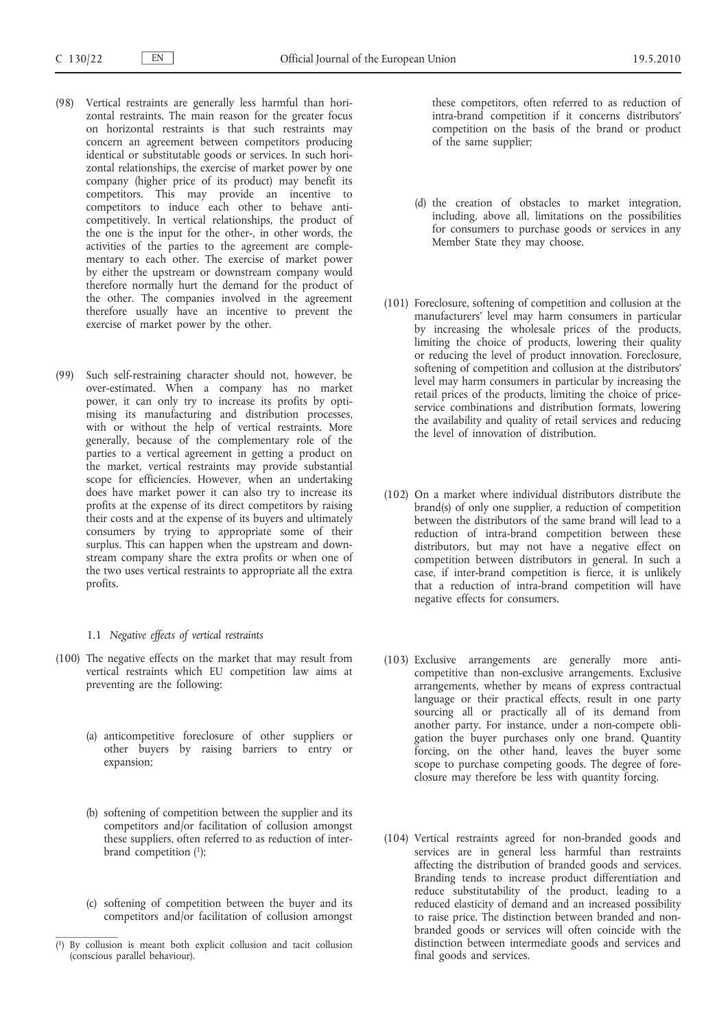- (98) Vertical restraints are generally less harmful than horizontal restraints. The main reason for the greater focus on horizontal restraints is that such restraints may concern an agreement between competitors producing identical or substitutable goods or services. In such horizontal relationships, the exercise of market power by one company (higher price of its product) may benefit its competitors. This may provide an incentive to competitors to induce each other to behave anticompetitively. In vertical relationships, the product of the one is the input for the other-, in other words, the activities of the parties to the agreement are complementary to each other. The exercise of market power by either the upstream or downstream company would therefore normally hurt the demand for the product of the other. The companies involved in the agreement therefore usually have an incentive to prevent the exercise of market power by the other.
- (99) Such self-restraining character should not, however, be over-estimated. When a company has no market power, it can only try to increase its profits by optimising its manufacturing and distribution processes, with or without the help of vertical restraints. More generally, because of the complementary role of the parties to a vertical agreement in getting a product on the market, vertical restraints may provide substantial scope for efficiencies. However, when an undertaking does have market power it can also try to increase its profits at the expense of its direct competitors by raising their costs and at the expense of its buyers and ultimately consumers by trying to appropriate some of their surplus. This can happen when the upstream and downstream company share the extra profits or when one of the two uses vertical restraints to appropriate all the extra profits.

## 1.1 *Negative effects of vertical restraints*

- (100) The negative effects on the market that may result from vertical restraints which EU competition law aims at preventing are the following:
	- (a) anticompetitive foreclosure of other suppliers or other buyers by raising barriers to entry or expansion;
	- (b) softening of competition between the supplier and its competitors and/or facilitation of collusion amongst these suppliers, often referred to as reduction of interbrand competition (1);
	- (c) softening of competition between the buyer and its competitors and/or facilitation of collusion amongst
- ( 1) By collusion is meant both explicit collusion and tacit collusion (conscious parallel behaviour).

these competitors, often referred to as reduction of intra-brand competition if it concerns distributors' competition on the basis of the brand or product of the same supplier;

- (d) the creation of obstacles to market integration, including, above all, limitations on the possibilities for consumers to purchase goods or services in any Member State they may choose.
- (101) Foreclosure, softening of competition and collusion at the manufacturers' level may harm consumers in particular by increasing the wholesale prices of the products, limiting the choice of products, lowering their quality or reducing the level of product innovation. Foreclosure, softening of competition and collusion at the distributors' level may harm consumers in particular by increasing the retail prices of the products, limiting the choice of priceservice combinations and distribution formats, lowering the availability and quality of retail services and reducing the level of innovation of distribution.
- (102) On a market where individual distributors distribute the brand(s) of only one supplier, a reduction of competition between the distributors of the same brand will lead to a reduction of intra-brand competition between these distributors, but may not have a negative effect on competition between distributors in general. In such a case, if inter-brand competition is fierce, it is unlikely that a reduction of intra-brand competition will have negative effects for consumers.
- (103) Exclusive arrangements are generally more anticompetitive than non-exclusive arrangements. Exclusive arrangements, whether by means of express contractual language or their practical effects, result in one party sourcing all or practically all of its demand from another party. For instance, under a non-compete obligation the buyer purchases only one brand. Quantity forcing, on the other hand, leaves the buyer some scope to purchase competing goods. The degree of foreclosure may therefore be less with quantity forcing.
- (104) Vertical restraints agreed for non-branded goods and services are in general less harmful than restraints affecting the distribution of branded goods and services. Branding tends to increase product differentiation and reduce substitutability of the product, leading to a reduced elasticity of demand and an increased possibility to raise price. The distinction between branded and nonbranded goods or services will often coincide with the distinction between intermediate goods and services and final goods and services.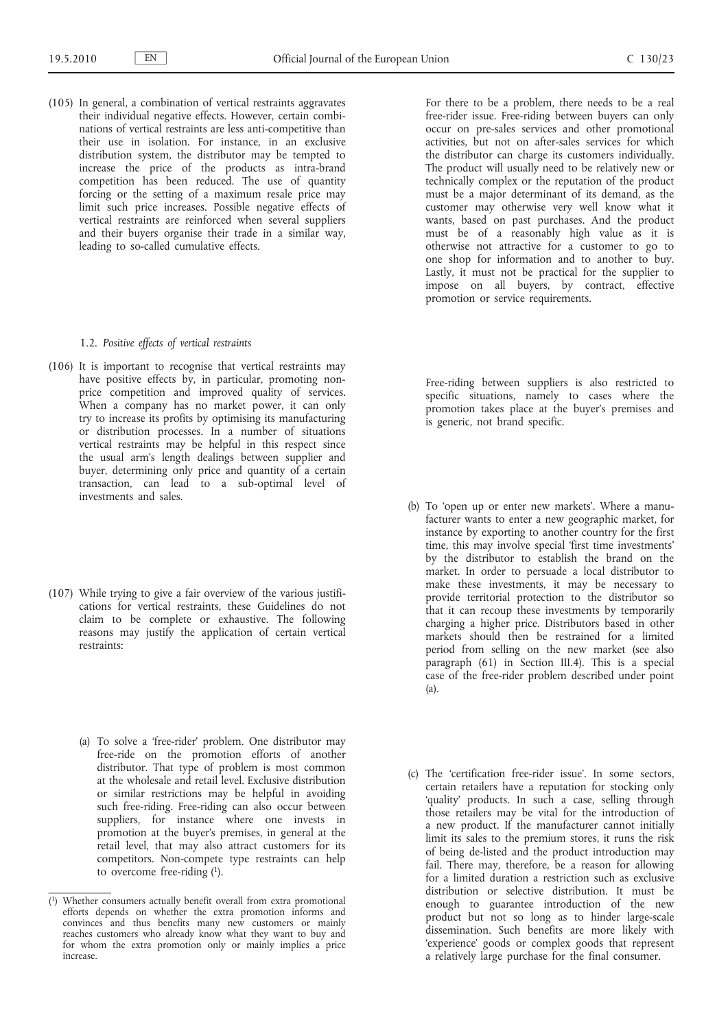(105) In general, a combination of vertical restraints aggravates their individual negative effects. However, certain combinations of vertical restraints are less anti-competitive than their use in isolation. For instance, in an exclusive distribution system, the distributor may be tempted to increase the price of the products as intra-brand competition has been reduced. The use of quantity forcing or the setting of a maximum resale price may limit such price increases. Possible negative effects of vertical restraints are reinforced when several suppliers and their buyers organise their trade in a similar way, leading to so-called cumulative effects.

#### 1.2. *Positive effects of vertical restraints*

- (106) It is important to recognise that vertical restraints may have positive effects by, in particular, promoting nonprice competition and improved quality of services. When a company has no market power, it can only try to increase its profits by optimising its manufacturing or distribution processes. In a number of situations vertical restraints may be helpful in this respect since the usual arm's length dealings between supplier and buyer, determining only price and quantity of a certain transaction, can lead to a sub-optimal level of investments and sales.
- (107) While trying to give a fair overview of the various justifications for vertical restraints, these Guidelines do not claim to be complete or exhaustive. The following reasons may justify the application of certain vertical restraints:
	- (a) To solve a 'free-rider' problem. One distributor may free-ride on the promotion efforts of another distributor. That type of problem is most common at the wholesale and retail level. Exclusive distribution or similar restrictions may be helpful in avoiding such free-riding. Free-riding can also occur between suppliers, for instance where one invests in promotion at the buyer's premises, in general at the retail level, that may also attract customers for its competitors. Non-compete type restraints can help to overcome free-riding  $(1)$ .

For there to be a problem, there needs to be a real free-rider issue. Free-riding between buyers can only occur on pre-sales services and other promotional activities, but not on after-sales services for which the distributor can charge its customers individually. The product will usually need to be relatively new or technically complex or the reputation of the product must be a major determinant of its demand, as the customer may otherwise very well know what it wants, based on past purchases. And the product must be of a reasonably high value as it is otherwise not attractive for a customer to go to one shop for information and to another to buy. Lastly, it must not be practical for the supplier to impose on all buyers, by contract, effective promotion or service requirements.

Free-riding between suppliers is also restricted to specific situations, namely to cases where the promotion takes place at the buyer's premises and is generic, not brand specific.

- (b) To 'open up or enter new markets'. Where a manufacturer wants to enter a new geographic market, for instance by exporting to another country for the first time, this may involve special 'first time investments' by the distributor to establish the brand on the market. In order to persuade a local distributor to make these investments, it may be necessary to provide territorial protection to the distributor so that it can recoup these investments by temporarily charging a higher price. Distributors based in other markets should then be restrained for a limited period from selling on the new market (see also paragraph (61) in Section III.4). This is a special case of the free-rider problem described under point (a).
- (c) The 'certification free-rider issue'. In some sectors, certain retailers have a reputation for stocking only 'quality' products. In such a case, selling through those retailers may be vital for the introduction of a new product. If the manufacturer cannot initially limit its sales to the premium stores, it runs the risk of being de-listed and the product introduction may fail. There may, therefore, be a reason for allowing for a limited duration a restriction such as exclusive distribution or selective distribution. It must be enough to guarantee introduction of the new product but not so long as to hinder large-scale dissemination. Such benefits are more likely with 'experience' goods or complex goods that represent a relatively large purchase for the final consumer.

<sup>(</sup> 1) Whether consumers actually benefit overall from extra promotional efforts depends on whether the extra promotion informs and convinces and thus benefits many new customers or mainly reaches customers who already know what they want to buy and for whom the extra promotion only or mainly implies a price increase.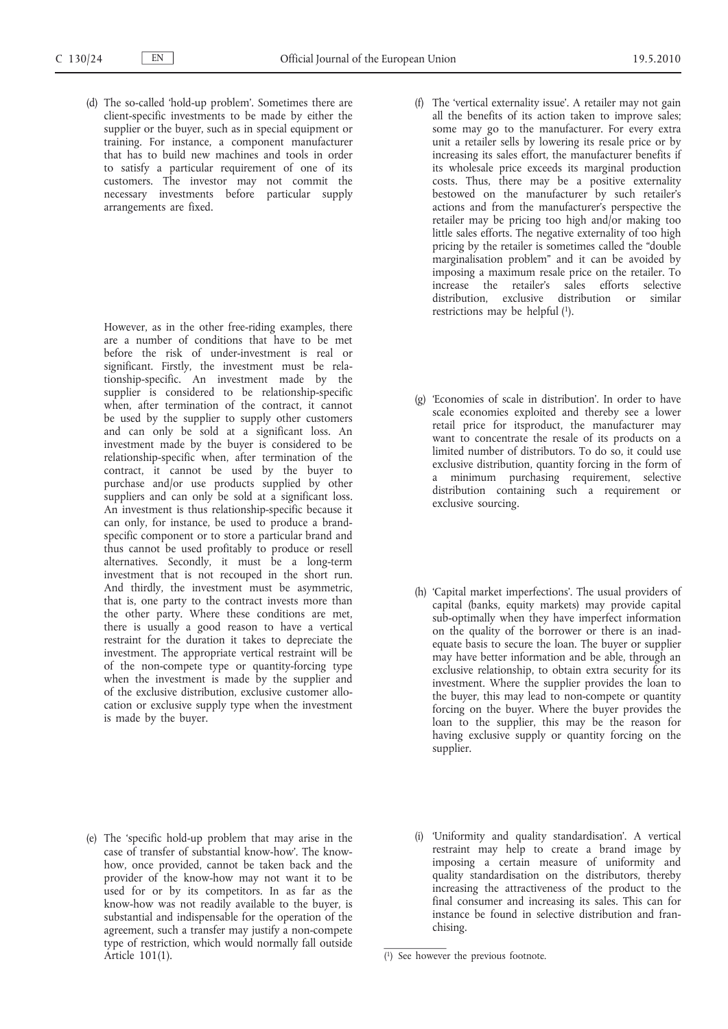(d) The so-called 'hold-up problem'. Sometimes there are client-specific investments to be made by either the supplier or the buyer, such as in special equipment or training. For instance, a component manufacturer that has to build new machines and tools in order to satisfy a particular requirement of one of its customers. The investor may not commit the necessary investments before particular supply arrangements are fixed.

However, as in the other free-riding examples, there are a number of conditions that have to be met before the risk of under-investment is real or significant. Firstly, the investment must be relationship-specific. An investment made by the supplier is considered to be relationship-specific when, after termination of the contract, it cannot be used by the supplier to supply other customers and can only be sold at a significant loss. An investment made by the buyer is considered to be relationship-specific when, after termination of the contract, it cannot be used by the buyer to purchase and/or use products supplied by other suppliers and can only be sold at a significant loss. An investment is thus relationship-specific because it can only, for instance, be used to produce a brandspecific component or to store a particular brand and thus cannot be used profitably to produce or resell alternatives. Secondly, it must be a long-term investment that is not recouped in the short run. And thirdly, the investment must be asymmetric, that is, one party to the contract invests more than the other party. Where these conditions are met, there is usually a good reason to have a vertical restraint for the duration it takes to depreciate the investment. The appropriate vertical restraint will be of the non-compete type or quantity-forcing type when the investment is made by the supplier and of the exclusive distribution, exclusive customer allocation or exclusive supply type when the investment is made by the buyer.

- (f) The 'vertical externality issue'. A retailer may not gain all the benefits of its action taken to improve sales; some may go to the manufacturer. For every extra unit a retailer sells by lowering its resale price or by increasing its sales effort, the manufacturer benefits if its wholesale price exceeds its marginal production costs. Thus, there may be a positive externality bestowed on the manufacturer by such retailer's actions and from the manufacturer's perspective the retailer may be pricing too high and/or making too little sales efforts. The negative externality of too high pricing by the retailer is sometimes called the "double marginalisation problem" and it can be avoided by imposing a maximum resale price on the retailer. To increase the retailer's sales efforts selective distribution, exclusive distribution or similar restrictions may be helpful (1).
- (g) 'Economies of scale in distribution'. In order to have scale economies exploited and thereby see a lower retail price for itsproduct, the manufacturer may want to concentrate the resale of its products on a limited number of distributors. To do so, it could use exclusive distribution, quantity forcing in the form of a minimum purchasing requirement, selective distribution containing such a requirement or exclusive sourcing.
- (h) 'Capital market imperfections'. The usual providers of capital (banks, equity markets) may provide capital sub-optimally when they have imperfect information on the quality of the borrower or there is an inadequate basis to secure the loan. The buyer or supplier may have better information and be able, through an exclusive relationship, to obtain extra security for its investment. Where the supplier provides the loan to the buyer, this may lead to non-compete or quantity forcing on the buyer. Where the buyer provides the loan to the supplier, this may be the reason for having exclusive supply or quantity forcing on the supplier.
- (e) The 'specific hold-up problem that may arise in the case of transfer of substantial know-how'. The knowhow, once provided, cannot be taken back and the provider of the know-how may not want it to be used for or by its competitors. In as far as the know-how was not readily available to the buyer, is substantial and indispensable for the operation of the agreement, such a transfer may justify a non-compete type of restriction, which would normally fall outside Article 101(1).

<sup>(</sup>i) 'Uniformity and quality standardisation'. A vertical restraint may help to create a brand image by imposing a certain measure of uniformity and quality standardisation on the distributors, thereby increasing the attractiveness of the product to the final consumer and increasing its sales. This can for instance be found in selective distribution and franchising.

<sup>(</sup> 1) See however the previous footnote.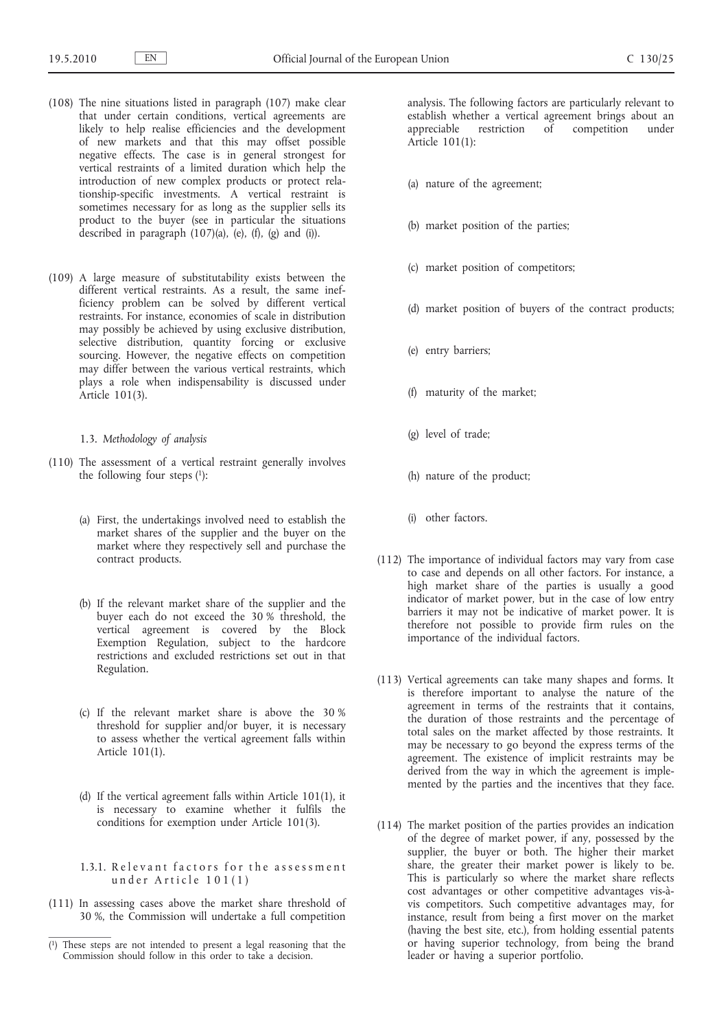- (108) The nine situations listed in paragraph (107) make clear that under certain conditions, vertical agreements are likely to help realise efficiencies and the development of new markets and that this may offset possible negative effects. The case is in general strongest for vertical restraints of a limited duration which help the introduction of new complex products or protect relationship-specific investments. A vertical restraint is sometimes necessary for as long as the supplier sells its product to the buyer (see in particular the situations described in paragraph  $(107)(a)$ ,  $(e)$ ,  $(f)$ ,  $(g)$  and  $(i)$ ).
- (109) A large measure of substitutability exists between the different vertical restraints. As a result, the same inefficiency problem can be solved by different vertical restraints. For instance, economies of scale in distribution may possibly be achieved by using exclusive distribution, selective distribution, quantity forcing or exclusive sourcing. However, the negative effects on competition may differ between the various vertical restraints, which plays a role when indispensability is discussed under Article 101(3).

#### 1.3. *Methodology of analysis*

- (110) The assessment of a vertical restraint generally involves the following four steps  $(1)$ :
	- (a) First, the undertakings involved need to establish the market shares of the supplier and the buyer on the market where they respectively sell and purchase the contract products.
	- (b) If the relevant market share of the supplier and the buyer each do not exceed the 30 % threshold, the vertical agreement is covered by the Block Exemption Regulation, subject to the hardcore restrictions and excluded restrictions set out in that Regulation.
	- (c) If the relevant market share is above the 30 % threshold for supplier and/or buyer, it is necessary to assess whether the vertical agreement falls within Article 101(1).
	- (d) If the vertical agreement falls within Article 101(1), it is necessary to examine whether it fulfils the conditions for exemption under Article 101(3).
	- 1.3.1. Relevant factors for the assessment under Article  $101(1)$
- (111) In assessing cases above the market share threshold of 30 %, the Commission will undertake a full competition

analysis. The following factors are particularly relevant to establish whether a vertical agreement brings about an appreciable restriction of competition under Article 101(1):

- (a) nature of the agreement;
- (b) market position of the parties;
- (c) market position of competitors;
- (d) market position of buyers of the contract products;
- (e) entry barriers;
- (f) maturity of the market;
- (g) level of trade;
- (h) nature of the product;
- (i) other factors.
- (112) The importance of individual factors may vary from case to case and depends on all other factors. For instance, a high market share of the parties is usually a good indicator of market power, but in the case of low entry barriers it may not be indicative of market power. It is therefore not possible to provide firm rules on the importance of the individual factors.
- (113) Vertical agreements can take many shapes and forms. It is therefore important to analyse the nature of the agreement in terms of the restraints that it contains, the duration of those restraints and the percentage of total sales on the market affected by those restraints. It may be necessary to go beyond the express terms of the agreement. The existence of implicit restraints may be derived from the way in which the agreement is implemented by the parties and the incentives that they face.
- (114) The market position of the parties provides an indication of the degree of market power, if any, possessed by the supplier, the buyer or both. The higher their market share, the greater their market power is likely to be. This is particularly so where the market share reflects cost advantages or other competitive advantages vis-àvis competitors. Such competitive advantages may, for instance, result from being a first mover on the market (having the best site, etc.), from holding essential patents or having superior technology, from being the brand leader or having a superior portfolio.

<sup>(</sup> 1) These steps are not intended to present a legal reasoning that the Commission should follow in this order to take a decision.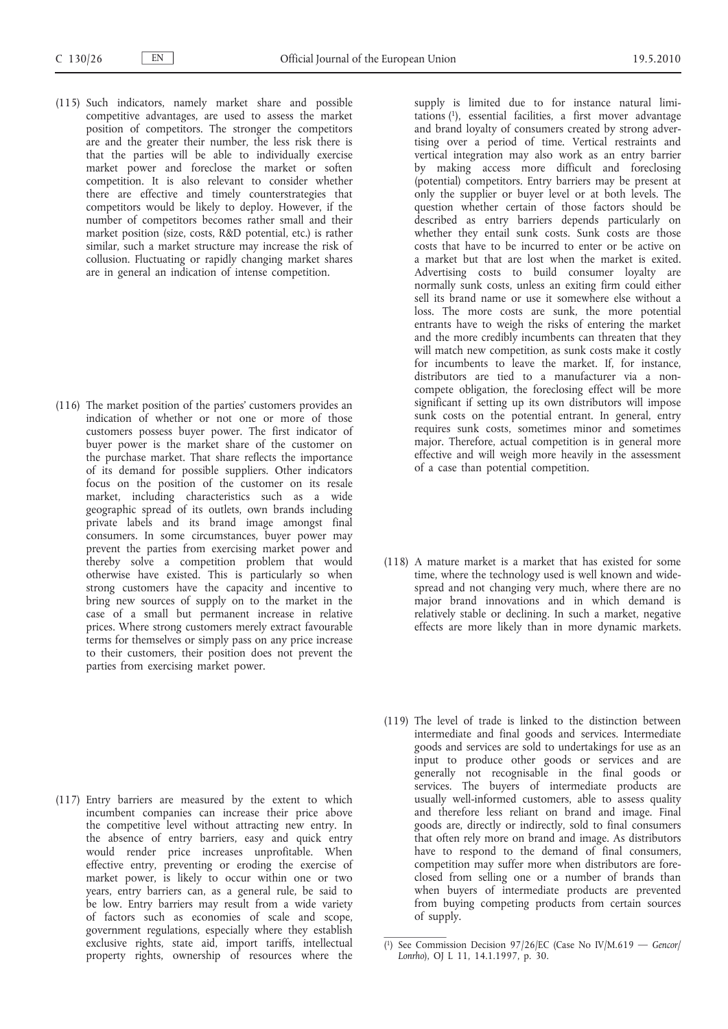(115) Such indicators, namely market share and possible competitive advantages, are used to assess the market position of competitors. The stronger the competitors are and the greater their number, the less risk there is that the parties will be able to individually exercise market power and foreclose the market or soften competition. It is also relevant to consider whether there are effective and timely counterstrategies that competitors would be likely to deploy. However, if the number of competitors becomes rather small and their market position (size, costs, R&D potential, etc.) is rather similar, such a market structure may increase the risk of collusion. Fluctuating or rapidly changing market shares are in general an indication of intense competition.

(116) The market position of the parties' customers provides an indication of whether or not one or more of those customers possess buyer power. The first indicator of buyer power is the market share of the customer on the purchase market. That share reflects the importance of its demand for possible suppliers. Other indicators focus on the position of the customer on its resale market, including characteristics such as a wide geographic spread of its outlets, own brands including private labels and its brand image amongst final consumers. In some circumstances, buyer power may prevent the parties from exercising market power and thereby solve a competition problem that would otherwise have existed. This is particularly so when strong customers have the capacity and incentive to bring new sources of supply on to the market in the case of a small but permanent increase in relative prices. Where strong customers merely extract favourable terms for themselves or simply pass on any price increase to their customers, their position does not prevent the parties from exercising market power.

(117) Entry barriers are measured by the extent to which incumbent companies can increase their price above the competitive level without attracting new entry. In the absence of entry barriers, easy and quick entry would render price increases unprofitable. When effective entry, preventing or eroding the exercise of market power, is likely to occur within one or two years, entry barriers can, as a general rule, be said to be low. Entry barriers may result from a wide variety of factors such as economies of scale and scope, government regulations, especially where they establish exclusive rights, state aid, import tariffs, intellectual property rights, ownership of resources where the

supply is limited due to for instance natural limitations (1), essential facilities, a first mover advantage and brand loyalty of consumers created by strong advertising over a period of time. Vertical restraints and vertical integration may also work as an entry barrier by making access more difficult and foreclosing (potential) competitors. Entry barriers may be present at only the supplier or buyer level or at both levels. The question whether certain of those factors should be described as entry barriers depends particularly on whether they entail sunk costs. Sunk costs are those costs that have to be incurred to enter or be active on a market but that are lost when the market is exited. Advertising costs to build consumer loyalty are normally sunk costs, unless an exiting firm could either sell its brand name or use it somewhere else without a loss. The more costs are sunk, the more potential entrants have to weigh the risks of entering the market and the more credibly incumbents can threaten that they will match new competition, as sunk costs make it costly for incumbents to leave the market. If, for instance, distributors are tied to a manufacturer via a noncompete obligation, the foreclosing effect will be more significant if setting up its own distributors will impose sunk costs on the potential entrant. In general, entry requires sunk costs, sometimes minor and sometimes major. Therefore, actual competition is in general more effective and will weigh more heavily in the assessment of a case than potential competition.

- (118) A mature market is a market that has existed for some time, where the technology used is well known and widespread and not changing very much, where there are no major brand innovations and in which demand is relatively stable or declining. In such a market, negative effects are more likely than in more dynamic markets.
- (119) The level of trade is linked to the distinction between intermediate and final goods and services. Intermediate goods and services are sold to undertakings for use as an input to produce other goods or services and are generally not recognisable in the final goods or services. The buyers of intermediate products are usually well-informed customers, able to assess quality and therefore less reliant on brand and image. Final goods are, directly or indirectly, sold to final consumers that often rely more on brand and image. As distributors have to respond to the demand of final consumers, competition may suffer more when distributors are foreclosed from selling one or a number of brands than when buyers of intermediate products are prevented from buying competing products from certain sources of supply.

<sup>(</sup> 1) See Commission Decision 97/26/EC (Case No IV/M.619 — *Gencor/ Lonrho*), OJ L 11, 14.1.1997, p. 30.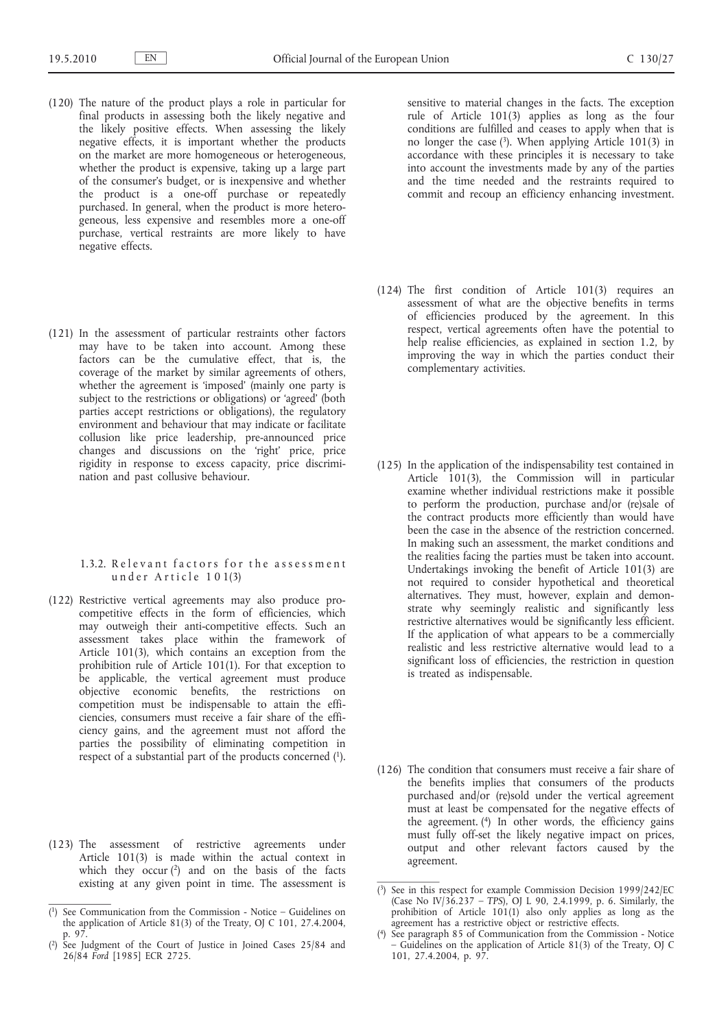- (120) The nature of the product plays a role in particular for final products in assessing both the likely negative and the likely positive effects. When assessing the likely negative effects, it is important whether the products on the market are more homogeneous or heterogeneous, whether the product is expensive, taking up a large part of the consumer's budget, or is inexpensive and whether the product is a one-off purchase or repeatedly purchased. In general, when the product is more heterogeneous, less expensive and resembles more a one-off purchase, vertical restraints are more likely to have negative effects.
- (121) In the assessment of particular restraints other factors may have to be taken into account. Among these factors can be the cumulative effect, that is, the coverage of the market by similar agreements of others, whether the agreement is 'imposed' (mainly one party is subject to the restrictions or obligations) or 'agreed' (both parties accept restrictions or obligations), the regulatory environment and behaviour that may indicate or facilitate collusion like price leadership, pre-announced price changes and discussions on the 'right' price, price rigidity in response to excess capacity, price discrimination and past collusive behaviour.

## 1.3.2. Relevant factors for the assessment under Article 101(3)

- (122) Restrictive vertical agreements may also produce procompetitive effects in the form of efficiencies, which may outweigh their anti-competitive effects. Such an assessment takes place within the framework of Article 101(3), which contains an exception from the prohibition rule of Article 101(1). For that exception to be applicable, the vertical agreement must produce objective economic benefits, the restrictions on competition must be indispensable to attain the efficiencies, consumers must receive a fair share of the efficiency gains, and the agreement must not afford the parties the possibility of eliminating competition in respect of a substantial part of the products concerned (1).
- (123) The assessment of restrictive agreements under Article 101(3) is made within the actual context in which they occur  $(2)$  and on the basis of the facts existing at any given point in time. The assessment is

sensitive to material changes in the facts. The exception rule of Article 101(3) applies as long as the four conditions are fulfilled and ceases to apply when that is no longer the case  $(3)$ . When applying Article 101(3) in accordance with these principles it is necessary to take into account the investments made by any of the parties and the time needed and the restraints required to commit and recoup an efficiency enhancing investment.

- (124) The first condition of Article 101(3) requires an assessment of what are the objective benefits in terms of efficiencies produced by the agreement. In this respect, vertical agreements often have the potential to help realise efficiencies, as explained in section 1.2, by improving the way in which the parties conduct their complementary activities.
- (125) In the application of the indispensability test contained in Article 101(3), the Commission will in particular examine whether individual restrictions make it possible to perform the production, purchase and/or (re)sale of the contract products more efficiently than would have been the case in the absence of the restriction concerned. In making such an assessment, the market conditions and the realities facing the parties must be taken into account. Undertakings invoking the benefit of Article 101(3) are not required to consider hypothetical and theoretical alternatives. They must, however, explain and demonstrate why seemingly realistic and significantly less restrictive alternatives would be significantly less efficient. If the application of what appears to be a commercially realistic and less restrictive alternative would lead to a significant loss of efficiencies, the restriction in question is treated as indispensable.
- (126) The condition that consumers must receive a fair share of the benefits implies that consumers of the products purchased and/or (re)sold under the vertical agreement must at least be compensated for the negative effects of the agreement. (4) In other words, the efficiency gains must fully off-set the likely negative impact on prices, output and other relevant factors caused by the agreement.

<sup>(</sup> 1) See Communication from the Commission - Notice – Guidelines on the application of Article 81(3) of the Treaty, OJ C 101, 27.4.2004, p. 97.

<sup>(</sup> 2) See Judgment of the Court of Justice in Joined Cases 25/84 and 26/84 *Ford* [1985] ECR 2725.

<sup>(</sup> 3) See in this respect for example Commission Decision 1999/242/EC (Case No IV/36.237 – *TPS*), OJ L 90, 2.4.1999, p. 6. Similarly, the prohibition of Article 101(1) also only applies as long as the agreement has a restrictive object or restrictive effects.

<sup>(</sup> 4) See paragraph 85 of Communication from the Commission - Notice – Guidelines on the application of Article 81(3) of the Treaty, OJ C 101, 27.4.2004, p. 97.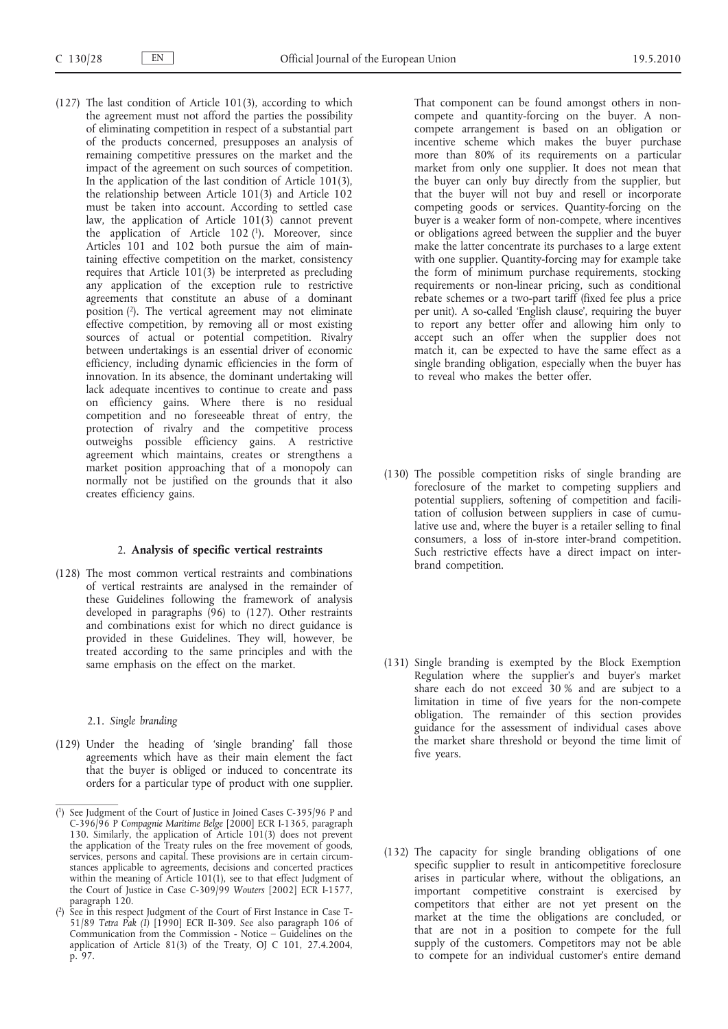(127) The last condition of Article 101(3), according to which the agreement must not afford the parties the possibility of eliminating competition in respect of a substantial part of the products concerned, presupposes an analysis of remaining competitive pressures on the market and the impact of the agreement on such sources of competition. In the application of the last condition of Article 101(3), the relationship between Article 101(3) and Article 102 must be taken into account. According to settled case law, the application of Article 101(3) cannot prevent the application of Article 102 (1). Moreover, since Articles 101 and 102 both pursue the aim of maintaining effective competition on the market, consistency requires that Article 101(3) be interpreted as precluding any application of the exception rule to restrictive agreements that constitute an abuse of a dominant position  $(2)$ . The vertical agreement may not eliminate effective competition, by removing all or most existing sources of actual or potential competition. Rivalry between undertakings is an essential driver of economic efficiency, including dynamic efficiencies in the form of innovation. In its absence, the dominant undertaking will lack adequate incentives to continue to create and pass on efficiency gains. Where there is no residual competition and no foreseeable threat of entry, the protection of rivalry and the competitive process outweighs possible efficiency gains. A restrictive agreement which maintains, creates or strengthens a market position approaching that of a monopoly can normally not be justified on the grounds that it also creates efficiency gains.

#### 2. **Analysis of specific vertical restraints**

(128) The most common vertical restraints and combinations of vertical restraints are analysed in the remainder of these Guidelines following the framework of analysis developed in paragraphs (96) to (127). Other restraints and combinations exist for which no direct guidance is provided in these Guidelines. They will, however, be treated according to the same principles and with the same emphasis on the effect on the market.

## 2.1. *Single branding*

(129) Under the heading of 'single branding' fall those agreements which have as their main element the fact that the buyer is obliged or induced to concentrate its orders for a particular type of product with one supplier. That component can be found amongst others in noncompete and quantity-forcing on the buyer. A noncompete arrangement is based on an obligation or incentive scheme which makes the buyer purchase more than 80% of its requirements on a particular market from only one supplier. It does not mean that the buyer can only buy directly from the supplier, but that the buyer will not buy and resell or incorporate competing goods or services. Quantity-forcing on the buyer is a weaker form of non-compete, where incentives or obligations agreed between the supplier and the buyer make the latter concentrate its purchases to a large extent with one supplier. Quantity-forcing may for example take the form of minimum purchase requirements, stocking requirements or non-linear pricing, such as conditional rebate schemes or a two-part tariff (fixed fee plus a price per unit). A so-called 'English clause', requiring the buyer to report any better offer and allowing him only to accept such an offer when the supplier does not match it, can be expected to have the same effect as a single branding obligation, especially when the buyer has to reveal who makes the better offer.

- (130) The possible competition risks of single branding are foreclosure of the market to competing suppliers and potential suppliers, softening of competition and facilitation of collusion between suppliers in case of cumulative use and, where the buyer is a retailer selling to final consumers, a loss of in-store inter-brand competition. Such restrictive effects have a direct impact on interbrand competition.
- (131) Single branding is exempted by the Block Exemption Regulation where the supplier's and buyer's market share each do not exceed 30 % and are subject to a limitation in time of five years for the non-compete obligation. The remainder of this section provides guidance for the assessment of individual cases above the market share threshold or beyond the time limit of five years.
- (132) The capacity for single branding obligations of one specific supplier to result in anticompetitive foreclosure arises in particular where, without the obligations, an important competitive constraint is exercised by competitors that either are not yet present on the market at the time the obligations are concluded, or that are not in a position to compete for the full supply of the customers. Competitors may not be able to compete for an individual customer's entire demand

<sup>(</sup> 1) See Judgment of the Court of Justice in Joined Cases C-395/96 P and C-396/96 P *Compagnie Maritime Belge* [2000] ECR I-1365, paragraph 130. Similarly, the application of Article 101(3) does not prevent the application of the Treaty rules on the free movement of goods, services, persons and capital. These provisions are in certain circumstances applicable to agreements, decisions and concerted practices within the meaning of Article 101(1), see to that effect Judgment of the Court of Justice in Case C-309/99 *Wouters* [2002] ECR I-1577, paragraph 120.

<sup>(</sup> 2) See in this respect Judgment of the Court of First Instance in Case T-51/89 *Tetra Pak (I)* [1990] ECR II-309. See also paragraph 106 of Communication from the Commission - Notice – Guidelines on the application of Article 81(3) of the Treaty, OJ C 101, 27.4.2004, p. 97.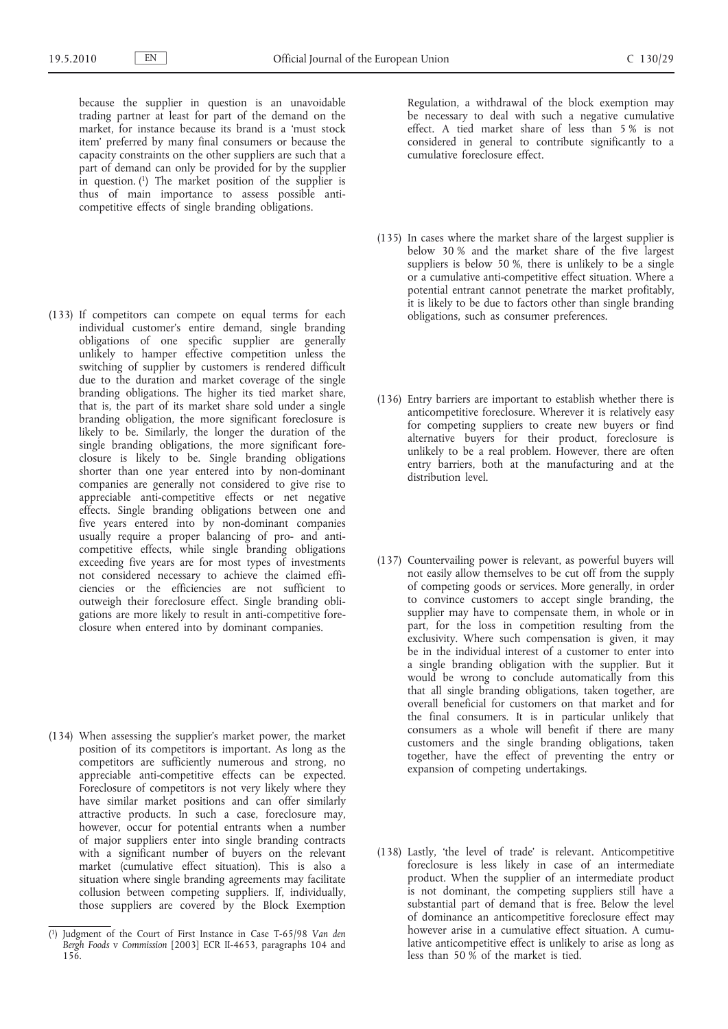because the supplier in question is an unavoidable trading partner at least for part of the demand on the market, for instance because its brand is a 'must stock item' preferred by many final consumers or because the capacity constraints on the other suppliers are such that a part of demand can only be provided for by the supplier in question. (1) The market position of the supplier is thus of main importance to assess possible anticompetitive effects of single branding obligations.

- (133) If competitors can compete on equal terms for each individual customer's entire demand, single branding obligations of one specific supplier are generally unlikely to hamper effective competition unless the switching of supplier by customers is rendered difficult due to the duration and market coverage of the single branding obligations. The higher its tied market share, that is, the part of its market share sold under a single branding obligation, the more significant foreclosure is likely to be. Similarly, the longer the duration of the single branding obligations, the more significant foreclosure is likely to be. Single branding obligations shorter than one year entered into by non-dominant companies are generally not considered to give rise to appreciable anti-competitive effects or net negative effects. Single branding obligations between one and five years entered into by non-dominant companies usually require a proper balancing of pro- and anticompetitive effects, while single branding obligations exceeding five years are for most types of investments not considered necessary to achieve the claimed efficiencies or the efficiencies are not sufficient to outweigh their foreclosure effect. Single branding obligations are more likely to result in anti-competitive foreclosure when entered into by dominant companies.
- (134) When assessing the supplier's market power, the market position of its competitors is important. As long as the competitors are sufficiently numerous and strong, no appreciable anti-competitive effects can be expected. Foreclosure of competitors is not very likely where they have similar market positions and can offer similarly attractive products. In such a case, foreclosure may, however, occur for potential entrants when a number of major suppliers enter into single branding contracts with a significant number of buyers on the relevant market (cumulative effect situation). This is also a situation where single branding agreements may facilitate collusion between competing suppliers. If, individually, those suppliers are covered by the Block Exemption

Regulation, a withdrawal of the block exemption may be necessary to deal with such a negative cumulative effect. A tied market share of less than 5 % is not considered in general to contribute significantly to a cumulative foreclosure effect.

- (135) In cases where the market share of the largest supplier is below 30 % and the market share of the five largest suppliers is below 50 %, there is unlikely to be a single or a cumulative anti-competitive effect situation. Where a potential entrant cannot penetrate the market profitably, it is likely to be due to factors other than single branding obligations, such as consumer preferences.
- (136) Entry barriers are important to establish whether there is anticompetitive foreclosure. Wherever it is relatively easy for competing suppliers to create new buyers or find alternative buyers for their product, foreclosure is unlikely to be a real problem. However, there are often entry barriers, both at the manufacturing and at the distribution level.
- (137) Countervailing power is relevant, as powerful buyers will not easily allow themselves to be cut off from the supply of competing goods or services. More generally, in order to convince customers to accept single branding, the supplier may have to compensate them, in whole or in part, for the loss in competition resulting from the exclusivity. Where such compensation is given, it may be in the individual interest of a customer to enter into a single branding obligation with the supplier. But it would be wrong to conclude automatically from this that all single branding obligations, taken together, are overall beneficial for customers on that market and for the final consumers. It is in particular unlikely that consumers as a whole will benefit if there are many customers and the single branding obligations, taken together, have the effect of preventing the entry or expansion of competing undertakings.
- (138) Lastly, 'the level of trade' is relevant. Anticompetitive foreclosure is less likely in case of an intermediate product. When the supplier of an intermediate product is not dominant, the competing suppliers still have a substantial part of demand that is free. Below the level of dominance an anticompetitive foreclosure effect may however arise in a cumulative effect situation. A cumulative anticompetitive effect is unlikely to arise as long as less than 50 % of the market is tied.

<sup>(</sup> 1) Judgment of the Court of First Instance in Case T-65/98 *Van den Bergh Foods* v *Commission* [2003] ECR II-4653, paragraphs 104 and 156.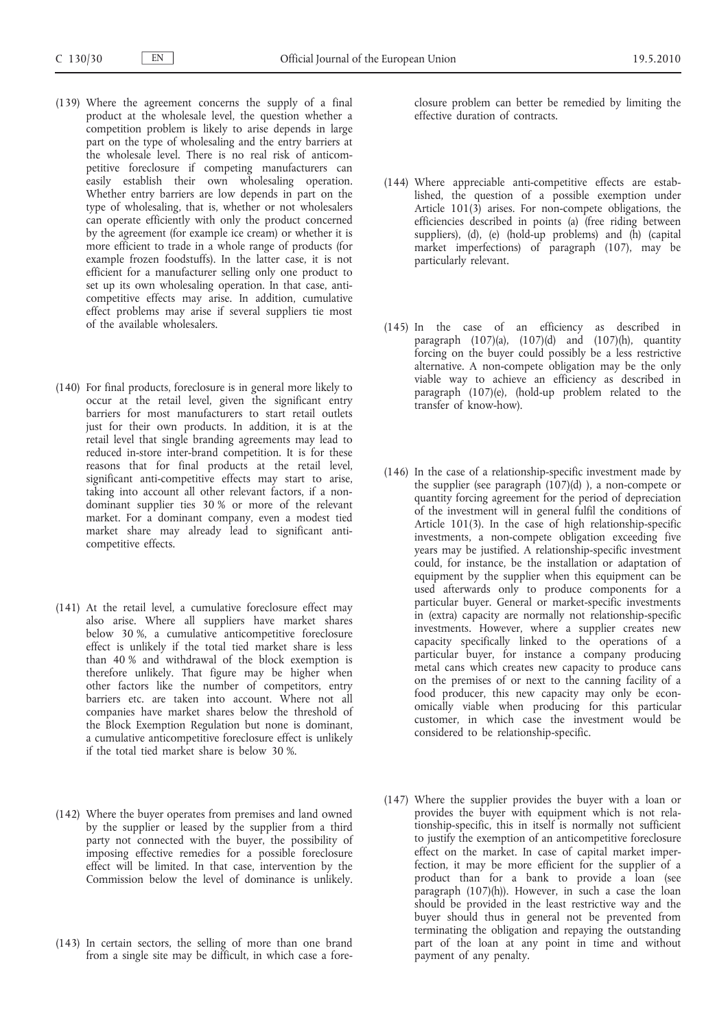- (139) Where the agreement concerns the supply of a final product at the wholesale level, the question whether a competition problem is likely to arise depends in large part on the type of wholesaling and the entry barriers at the wholesale level. There is no real risk of anticompetitive foreclosure if competing manufacturers can easily establish their own wholesaling operation. Whether entry barriers are low depends in part on the type of wholesaling, that is, whether or not wholesalers can operate efficiently with only the product concerned by the agreement (for example ice cream) or whether it is more efficient to trade in a whole range of products (for example frozen foodstuffs). In the latter case, it is not efficient for a manufacturer selling only one product to set up its own wholesaling operation. In that case, anticompetitive effects may arise. In addition, cumulative effect problems may arise if several suppliers tie most of the available wholesalers.
- (140) For final products, foreclosure is in general more likely to occur at the retail level, given the significant entry barriers for most manufacturers to start retail outlets just for their own products. In addition, it is at the retail level that single branding agreements may lead to reduced in-store inter-brand competition. It is for these reasons that for final products at the retail level, significant anti-competitive effects may start to arise, taking into account all other relevant factors, if a nondominant supplier ties 30 % or more of the relevant market. For a dominant company, even a modest tied market share may already lead to significant anticompetitive effects.
- (141) At the retail level, a cumulative foreclosure effect may also arise. Where all suppliers have market shares below 30 %, a cumulative anticompetitive foreclosure effect is unlikely if the total tied market share is less than 40 % and withdrawal of the block exemption is therefore unlikely. That figure may be higher when other factors like the number of competitors, entry barriers etc. are taken into account. Where not all companies have market shares below the threshold of the Block Exemption Regulation but none is dominant, a cumulative anticompetitive foreclosure effect is unlikely if the total tied market share is below 30 %.
- (142) Where the buyer operates from premises and land owned by the supplier or leased by the supplier from a third party not connected with the buyer, the possibility of imposing effective remedies for a possible foreclosure effect will be limited. In that case, intervention by the Commission below the level of dominance is unlikely.
- (143) In certain sectors, the selling of more than one brand from a single site may be difficult, in which case a fore-

closure problem can better be remedied by limiting the effective duration of contracts.

- (144) Where appreciable anti-competitive effects are established, the question of a possible exemption under Article 101(3) arises. For non-compete obligations, the efficiencies described in points (a) (free riding between suppliers), (d), (e) (hold-up problems) and (h) (capital market imperfections) of paragraph (107), may be particularly relevant.
- (145) In the case of an efficiency as described in paragraph (107)(a), (107)(d) and (107)(h), quantity forcing on the buyer could possibly be a less restrictive alternative. A non-compete obligation may be the only viable way to achieve an efficiency as described in paragraph (107)(e), (hold-up problem related to the transfer of know-how).
- (146) In the case of a relationship-specific investment made by the supplier (see paragraph (107)(d) ), a non-compete or quantity forcing agreement for the period of depreciation of the investment will in general fulfil the conditions of Article 101(3). In the case of high relationship-specific investments, a non-compete obligation exceeding five years may be justified. A relationship-specific investment could, for instance, be the installation or adaptation of equipment by the supplier when this equipment can be used afterwards only to produce components for a particular buyer. General or market-specific investments in (extra) capacity are normally not relationship-specific investments. However, where a supplier creates new capacity specifically linked to the operations of a particular buyer, for instance a company producing metal cans which creates new capacity to produce cans on the premises of or next to the canning facility of a food producer, this new capacity may only be economically viable when producing for this particular customer, in which case the investment would be considered to be relationship-specific.
- (147) Where the supplier provides the buyer with a loan or provides the buyer with equipment which is not relationship-specific, this in itself is normally not sufficient to justify the exemption of an anticompetitive foreclosure effect on the market. In case of capital market imperfection, it may be more efficient for the supplier of a product than for a bank to provide a loan (see paragraph  $(107)(h)$ ). However, in such a case the loan should be provided in the least restrictive way and the buyer should thus in general not be prevented from terminating the obligation and repaying the outstanding part of the loan at any point in time and without payment of any penalty.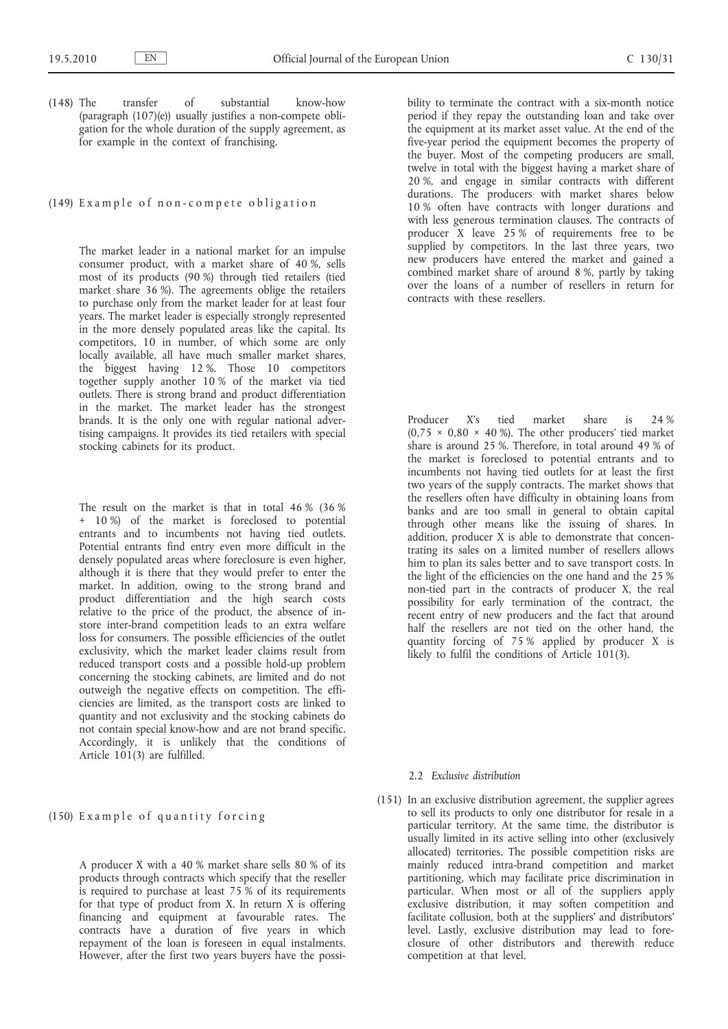(148) The transfer of substantial know-how (paragraph (107)(e)) usually justifies a non-compete obligation for the whole duration of the supply agreement, as for example in the context of franchising.

(149) Example of non-compete obligation

The market leader in a national market for an impulse consumer product, with a market share of 40 %, sells most of its products (90 %) through tied retailers (tied market share 36 %). The agreements oblige the retailers to purchase only from the market leader for at least four years. The market leader is especially strongly represented in the more densely populated areas like the capital. Its competitors, 10 in number, of which some are only locally available, all have much smaller market shares, the biggest having 12 %. Those 10 competitors together supply another 10 % of the market via tied outlets. There is strong brand and product differentiation in the market. The market leader has the strongest brands. It is the only one with regular national advertising campaigns. It provides its tied retailers with special stocking cabinets for its product.

The result on the market is that in total 46 % (36 % + 10 %) of the market is foreclosed to potential entrants and to incumbents not having tied outlets. Potential entrants find entry even more difficult in the densely populated areas where foreclosure is even higher, although it is there that they would prefer to enter the market. In addition, owing to the strong brand and product differentiation and the high search costs relative to the price of the product, the absence of instore inter-brand competition leads to an extra welfare loss for consumers. The possible efficiencies of the outlet exclusivity, which the market leader claims result from reduced transport costs and a possible hold-up problem concerning the stocking cabinets, are limited and do not outweigh the negative effects on competition. The efficiencies are limited, as the transport costs are linked to quantity and not exclusivity and the stocking cabinets do not contain special know-how and are not brand specific. Accordingly, it is unlikely that the conditions of Article 101(3) are fulfilled.

 $(150)$  Example of quantity forcing

A producer X with a 40 % market share sells 80 % of its products through contracts which specify that the reseller is required to purchase at least  $75\%$  of its requirements for that type of product from X. In return  $X$  is offering financing and equipment at favourable rates. The contracts have a duration of five years in which repayment of the loan is foreseen in equal instalments. However, after the first two years buyers have the possibility to terminate the contract with a six-month notice period if they repay the outstanding loan and take over the equipment at its market asset value. At the end of the five-year period the equipment becomes the property of the buyer. Most of the competing producers are small, twelve in total with the biggest having a market share of 20 %, and engage in similar contracts with different durations. The producers with market shares below 10 % often have contracts with longer durations and with less generous termination clauses. The contracts of producer X leave 25 % of requirements free to be supplied by competitors. In the last three years, two new producers have entered the market and gained a combined market share of around 8 %, partly by taking over the loans of a number of resellers in return for contracts with these resellers.

Producer X's tied market share is 24 % (0,75  $\times$  0,80  $\times$  40 %). The other producers' tied market share is around 25 %. Therefore, in total around 49 % of the market is foreclosed to potential entrants and to incumbents not having tied outlets for at least the first two years of the supply contracts. The market shows that the resellers often have difficulty in obtaining loans from banks and are too small in general to obtain capital through other means like the issuing of shares. In addition, producer X is able to demonstrate that concentrating its sales on a limited number of resellers allows him to plan its sales better and to save transport costs. In the light of the efficiencies on the one hand and the 25 % non-tied part in the contracts of producer X, the real possibility for early termination of the contract, the recent entry of new producers and the fact that around half the resellers are not tied on the other hand, the quantity forcing of 75 % applied by producer X is likely to fulfil the conditions of Article 101(3).

#### 2.2 *Exclusive distribution*

(151) In an exclusive distribution agreement, the supplier agrees to sell its products to only one distributor for resale in a particular territory. At the same time, the distributor is usually limited in its active selling into other (exclusively allocated) territories. The possible competition risks are mainly reduced intra-brand competition and market partitioning, which may facilitate price discrimination in particular. When most or all of the suppliers apply exclusive distribution, it may soften competition and facilitate collusion, both at the suppliers' and distributors' level. Lastly, exclusive distribution may lead to foreclosure of other distributors and therewith reduce competition at that level.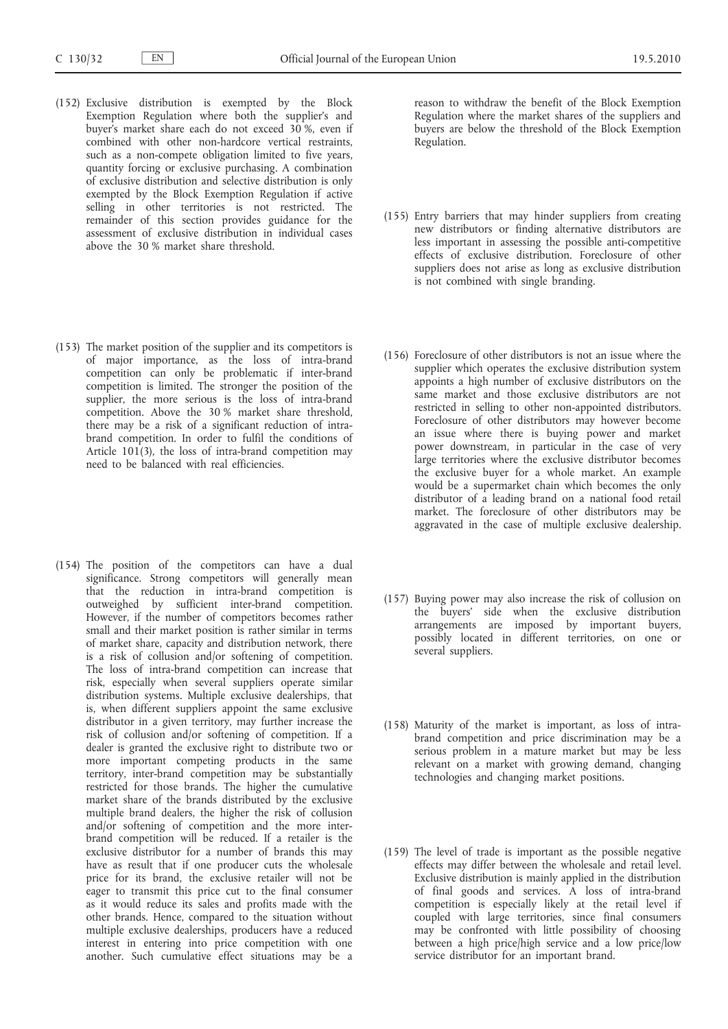- (152) Exclusive distribution is exempted by the Block Exemption Regulation where both the supplier's and buyer's market share each do not exceed 30 %, even if combined with other non-hardcore vertical restraints, such as a non-compete obligation limited to five years, quantity forcing or exclusive purchasing. A combination of exclusive distribution and selective distribution is only exempted by the Block Exemption Regulation if active selling in other territories is not restricted. The remainder of this section provides guidance for the assessment of exclusive distribution in individual cases above the 30 % market share threshold.
- (153) The market position of the supplier and its competitors is of major importance, as the loss of intra-brand competition can only be problematic if inter-brand competition is limited. The stronger the position of the supplier, the more serious is the loss of intra-brand competition. Above the 30 % market share threshold, there may be a risk of a significant reduction of intrabrand competition. In order to fulfil the conditions of Article  $101(3)$ , the loss of intra-brand competition may need to be balanced with real efficiencies.
- (154) The position of the competitors can have a dual significance. Strong competitors will generally mean that the reduction in intra-brand competition is outweighed by sufficient inter-brand competition. However, if the number of competitors becomes rather small and their market position is rather similar in terms of market share, capacity and distribution network, there is a risk of collusion and/or softening of competition. The loss of intra-brand competition can increase that risk, especially when several suppliers operate similar distribution systems. Multiple exclusive dealerships, that is, when different suppliers appoint the same exclusive distributor in a given territory, may further increase the risk of collusion and/or softening of competition. If a dealer is granted the exclusive right to distribute two or more important competing products in the same territory, inter-brand competition may be substantially restricted for those brands. The higher the cumulative market share of the brands distributed by the exclusive multiple brand dealers, the higher the risk of collusion and/or softening of competition and the more interbrand competition will be reduced. If a retailer is the exclusive distributor for a number of brands this may have as result that if one producer cuts the wholesale price for its brand, the exclusive retailer will not be eager to transmit this price cut to the final consumer as it would reduce its sales and profits made with the other brands. Hence, compared to the situation without multiple exclusive dealerships, producers have a reduced interest in entering into price competition with one another. Such cumulative effect situations may be a

reason to withdraw the benefit of the Block Exemption Regulation where the market shares of the suppliers and buyers are below the threshold of the Block Exemption Regulation.

- (155) Entry barriers that may hinder suppliers from creating new distributors or finding alternative distributors are less important in assessing the possible anti-competitive effects of exclusive distribution. Foreclosure of other suppliers does not arise as long as exclusive distribution is not combined with single branding.
- (156) Foreclosure of other distributors is not an issue where the supplier which operates the exclusive distribution system appoints a high number of exclusive distributors on the same market and those exclusive distributors are not restricted in selling to other non-appointed distributors. Foreclosure of other distributors may however become an issue where there is buying power and market power downstream, in particular in the case of very large territories where the exclusive distributor becomes the exclusive buyer for a whole market. An example would be a supermarket chain which becomes the only distributor of a leading brand on a national food retail market. The foreclosure of other distributors may be aggravated in the case of multiple exclusive dealership.
- (157) Buying power may also increase the risk of collusion on the buyers' side when the exclusive distribution arrangements are imposed by important buyers, possibly located in different territories, on one or several suppliers.
- (158) Maturity of the market is important, as loss of intrabrand competition and price discrimination may be a serious problem in a mature market but may be less relevant on a market with growing demand, changing technologies and changing market positions.
- (159) The level of trade is important as the possible negative effects may differ between the wholesale and retail level. Exclusive distribution is mainly applied in the distribution of final goods and services. A loss of intra-brand competition is especially likely at the retail level if coupled with large territories, since final consumers may be confronted with little possibility of choosing between a high price/high service and a low price/low service distributor for an important brand.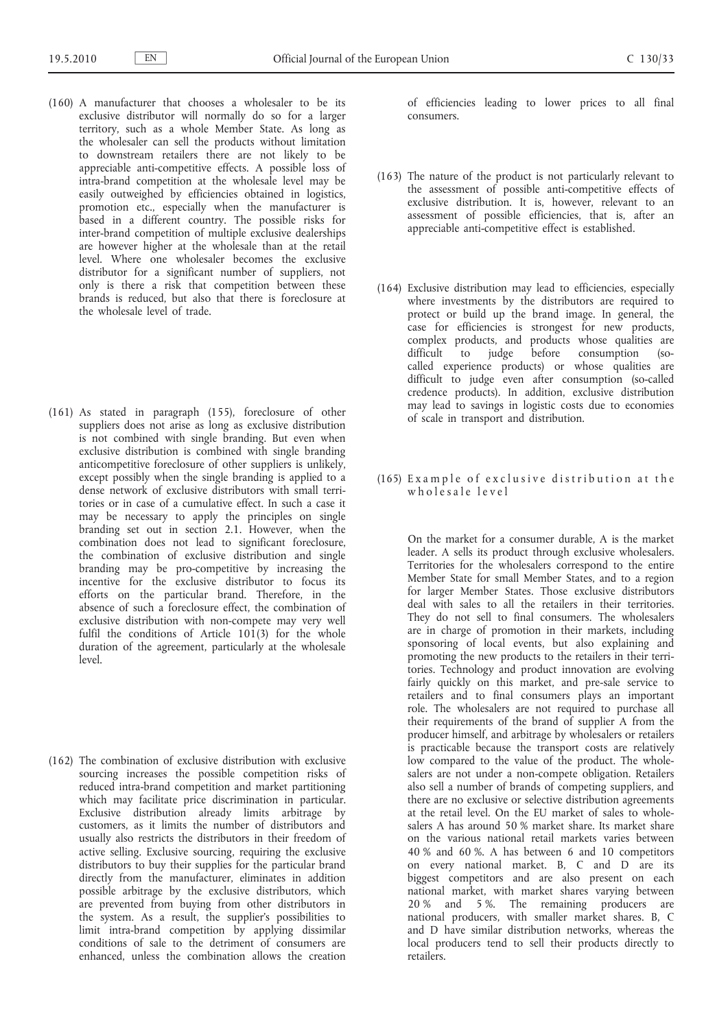- (160) A manufacturer that chooses a wholesaler to be its exclusive distributor will normally do so for a larger territory, such as a whole Member State. As long as the wholesaler can sell the products without limitation to downstream retailers there are not likely to be appreciable anti-competitive effects. A possible loss of intra-brand competition at the wholesale level may be easily outweighed by efficiencies obtained in logistics, promotion etc., especially when the manufacturer is based in a different country. The possible risks for inter-brand competition of multiple exclusive dealerships are however higher at the wholesale than at the retail level. Where one wholesaler becomes the exclusive distributor for a significant number of suppliers, not only is there a risk that competition between these brands is reduced, but also that there is foreclosure at the wholesale level of trade.
- (161) As stated in paragraph (155), foreclosure of other suppliers does not arise as long as exclusive distribution is not combined with single branding. But even when exclusive distribution is combined with single branding anticompetitive foreclosure of other suppliers is unlikely, except possibly when the single branding is applied to a dense network of exclusive distributors with small territories or in case of a cumulative effect. In such a case it may be necessary to apply the principles on single branding set out in section 2.1. However, when the combination does not lead to significant foreclosure, the combination of exclusive distribution and single branding may be pro-competitive by increasing the incentive for the exclusive distributor to focus its efforts on the particular brand. Therefore, in the absence of such a foreclosure effect, the combination of exclusive distribution with non-compete may very well fulfil the conditions of Article 101(3) for the whole duration of the agreement, particularly at the wholesale level.
- (162) The combination of exclusive distribution with exclusive sourcing increases the possible competition risks of reduced intra-brand competition and market partitioning which may facilitate price discrimination in particular. Exclusive distribution already limits arbitrage by customers, as it limits the number of distributors and usually also restricts the distributors in their freedom of active selling. Exclusive sourcing, requiring the exclusive distributors to buy their supplies for the particular brand directly from the manufacturer, eliminates in addition possible arbitrage by the exclusive distributors, which are prevented from buying from other distributors in the system. As a result, the supplier's possibilities to limit intra-brand competition by applying dissimilar conditions of sale to the detriment of consumers are enhanced, unless the combination allows the creation

of efficiencies leading to lower prices to all final consumers.

- (163) The nature of the product is not particularly relevant to the assessment of possible anti-competitive effects of exclusive distribution. It is, however, relevant to an assessment of possible efficiencies, that is, after an appreciable anti-competitive effect is established.
- (164) Exclusive distribution may lead to efficiencies, especially where investments by the distributors are required to protect or build up the brand image. In general, the case for efficiencies is strongest for new products, complex products, and products whose qualities are difficult to judge before consumption (socalled experience products) or whose qualities are difficult to judge even after consumption (so-called credence products). In addition, exclusive distribution may lead to savings in logistic costs due to economies of scale in transport and distribution.
- (165) Example of exclusive distribution at the  $which is a le level$

On the market for a consumer durable, A is the market leader. A sells its product through exclusive wholesalers. Territories for the wholesalers correspond to the entire Member State for small Member States, and to a region for larger Member States. Those exclusive distributors deal with sales to all the retailers in their territories. They do not sell to final consumers. The wholesalers are in charge of promotion in their markets, including sponsoring of local events, but also explaining and promoting the new products to the retailers in their territories. Technology and product innovation are evolving fairly quickly on this market, and pre-sale service to retailers and to final consumers plays an important role. The wholesalers are not required to purchase all their requirements of the brand of supplier A from the producer himself, and arbitrage by wholesalers or retailers is practicable because the transport costs are relatively low compared to the value of the product. The wholesalers are not under a non-compete obligation. Retailers also sell a number of brands of competing suppliers, and there are no exclusive or selective distribution agreements at the retail level. On the EU market of sales to wholesalers A has around 50 % market share. Its market share on the various national retail markets varies between 40 % and 60 %. A has between 6 and 10 competitors on every national market. B, C and D are its biggest competitors and are also present on each national market, with market shares varying between 20 % and 5 %. The remaining producers are national producers, with smaller market shares. B, C and D have similar distribution networks, whereas the local producers tend to sell their products directly to retailers.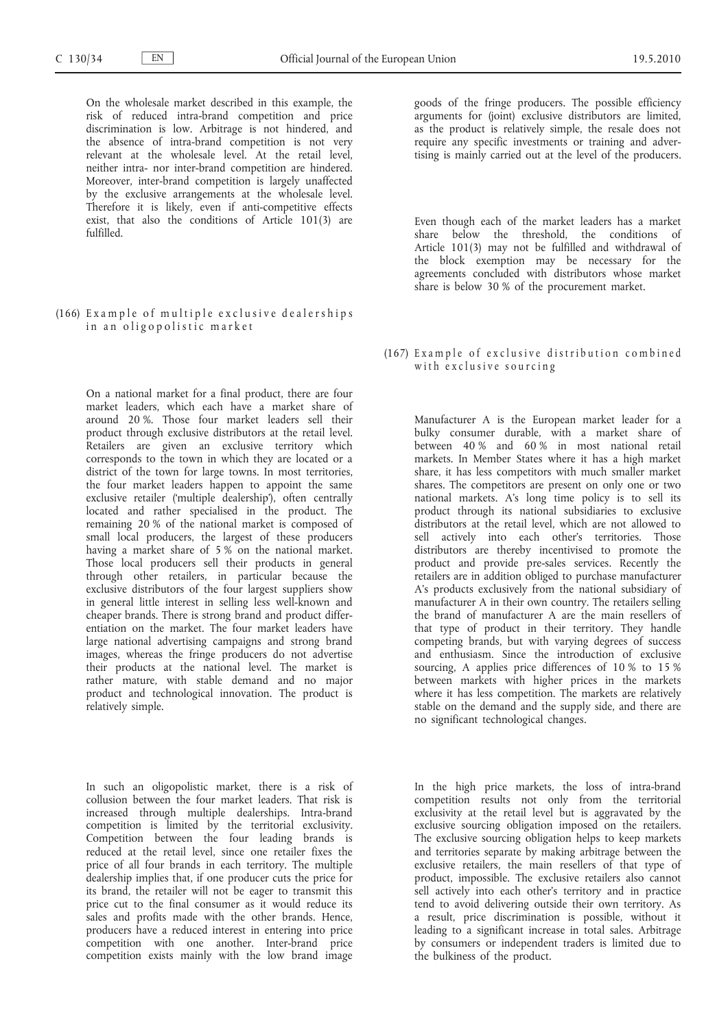On the wholesale market described in this example, the risk of reduced intra-brand competition and price discrimination is low. Arbitrage is not hindered, and the absence of intra-brand competition is not very relevant at the wholesale level. At the retail level, neither intra- nor inter-brand competition are hindered. Moreover, inter-brand competition is largely unaffected by the exclusive arrangements at the wholesale level. Therefore it is likely, even if anti-competitive effects exist, that also the conditions of Article 101(3) are fulfilled.

## (166) Example of multiple exclusive dealerships in an oligopolistic market

On a national market for a final product, there are four market leaders, which each have a market share of around 20 %. Those four market leaders sell their product through exclusive distributors at the retail level. Retailers are given an exclusive territory which corresponds to the town in which they are located or a district of the town for large towns. In most territories, the four market leaders happen to appoint the same exclusive retailer ('multiple dealership'), often centrally located and rather specialised in the product. The remaining 20 % of the national market is composed of small local producers, the largest of these producers having a market share of 5 % on the national market. Those local producers sell their products in general through other retailers, in particular because the exclusive distributors of the four largest suppliers show in general little interest in selling less well-known and cheaper brands. There is strong brand and product differentiation on the market. The four market leaders have large national advertising campaigns and strong brand images, whereas the fringe producers do not advertise their products at the national level. The market is rather mature, with stable demand and no major product and technological innovation. The product is relatively simple.

In such an oligopolistic market, there is a risk of collusion between the four market leaders. That risk is increased through multiple dealerships. Intra-brand competition is limited by the territorial exclusivity. Competition between the four leading brands is reduced at the retail level, since one retailer fixes the price of all four brands in each territory. The multiple dealership implies that, if one producer cuts the price for its brand, the retailer will not be eager to transmit this price cut to the final consumer as it would reduce its sales and profits made with the other brands. Hence, producers have a reduced interest in entering into price competition with one another. Inter-brand price competition exists mainly with the low brand image

goods of the fringe producers. The possible efficiency arguments for (joint) exclusive distributors are limited, as the product is relatively simple, the resale does not require any specific investments or training and advertising is mainly carried out at the level of the producers.

Even though each of the market leaders has a market share below the threshold, the conditions of Article 101(3) may not be fulfilled and withdrawal of the block exemption may be necessary for the agreements concluded with distributors whose market share is below 30 % of the procurement market.

## $(167)$  Example of exclusive distribution combined with exclusive sourcing

Manufacturer A is the European market leader for a bulky consumer durable, with a market share of between 40 % and 60 % in most national retail markets. In Member States where it has a high market share, it has less competitors with much smaller market shares. The competitors are present on only one or two national markets. A's long time policy is to sell its product through its national subsidiaries to exclusive distributors at the retail level, which are not allowed to sell actively into each other's territories. Those distributors are thereby incentivised to promote the product and provide pre-sales services. Recently the retailers are in addition obliged to purchase manufacturer A's products exclusively from the national subsidiary of manufacturer A in their own country. The retailers selling the brand of manufacturer A are the main resellers of that type of product in their territory. They handle competing brands, but with varying degrees of success and enthusiasm. Since the introduction of exclusive sourcing, A applies price differences of 10 % to 15 % between markets with higher prices in the markets where it has less competition. The markets are relatively stable on the demand and the supply side, and there are no significant technological changes.

In the high price markets, the loss of intra-brand competition results not only from the territorial exclusivity at the retail level but is aggravated by the exclusive sourcing obligation imposed on the retailers. The exclusive sourcing obligation helps to keep markets and territories separate by making arbitrage between the exclusive retailers, the main resellers of that type of product, impossible. The exclusive retailers also cannot sell actively into each other's territory and in practice tend to avoid delivering outside their own territory. As a result, price discrimination is possible, without it leading to a significant increase in total sales. Arbitrage by consumers or independent traders is limited due to the bulkiness of the product.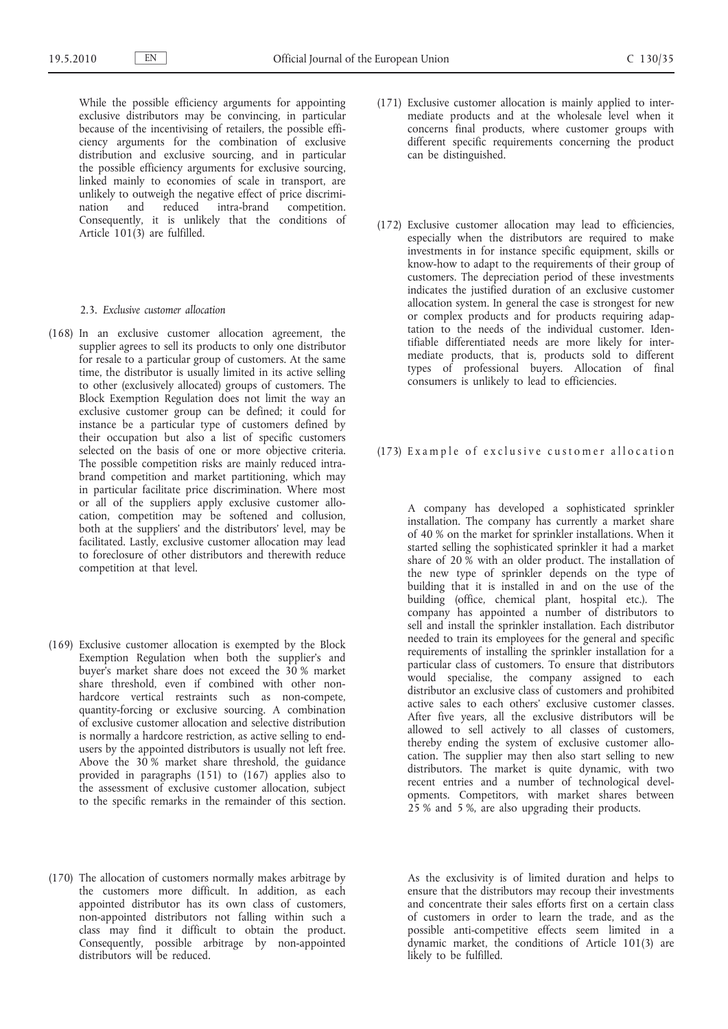While the possible efficiency arguments for appointing exclusive distributors may be convincing, in particular because of the incentivising of retailers, the possible efficiency arguments for the combination of exclusive distribution and exclusive sourcing, and in particular the possible efficiency arguments for exclusive sourcing, linked mainly to economies of scale in transport, are unlikely to outweigh the negative effect of price discrimination and reduced intra-brand competition. Consequently, it is unlikely that the conditions of Article  $101(3)$  are fulfilled.

#### 2.3. *Exclusive customer allocation*

- (168) In an exclusive customer allocation agreement, the supplier agrees to sell its products to only one distributor for resale to a particular group of customers. At the same time, the distributor is usually limited in its active selling to other (exclusively allocated) groups of customers. The Block Exemption Regulation does not limit the way an exclusive customer group can be defined; it could for instance be a particular type of customers defined by their occupation but also a list of specific customers selected on the basis of one or more objective criteria. The possible competition risks are mainly reduced intrabrand competition and market partitioning, which may in particular facilitate price discrimination. Where most or all of the suppliers apply exclusive customer allocation, competition may be softened and collusion, both at the suppliers' and the distributors' level, may be facilitated. Lastly, exclusive customer allocation may lead to foreclosure of other distributors and therewith reduce competition at that level.
- (169) Exclusive customer allocation is exempted by the Block Exemption Regulation when both the supplier's and buyer's market share does not exceed the 30 % market share threshold, even if combined with other nonhardcore vertical restraints such as non-compete, quantity-forcing or exclusive sourcing. A combination of exclusive customer allocation and selective distribution is normally a hardcore restriction, as active selling to endusers by the appointed distributors is usually not left free. Above the 30 % market share threshold, the guidance provided in paragraphs (151) to (167) applies also to the assessment of exclusive customer allocation, subject to the specific remarks in the remainder of this section.
- (171) Exclusive customer allocation is mainly applied to intermediate products and at the wholesale level when it concerns final products, where customer groups with different specific requirements concerning the product can be distinguished.
- (172) Exclusive customer allocation may lead to efficiencies, especially when the distributors are required to make investments in for instance specific equipment, skills or know-how to adapt to the requirements of their group of customers. The depreciation period of these investments indicates the justified duration of an exclusive customer allocation system. In general the case is strongest for new or complex products and for products requiring adaptation to the needs of the individual customer. Identifiable differentiated needs are more likely for intermediate products, that is, products sold to different types of professional buyers. Allocation of final consumers is unlikely to lead to efficiencies.

## $(173)$  Example of exclusive customer allocation

A company has developed a sophisticated sprinkler installation. The company has currently a market share of 40 % on the market for sprinkler installations. When it started selling the sophisticated sprinkler it had a market share of 20 % with an older product. The installation of the new type of sprinkler depends on the type of building that it is installed in and on the use of the building (office, chemical plant, hospital etc.). The company has appointed a number of distributors to sell and install the sprinkler installation. Each distributor needed to train its employees for the general and specific requirements of installing the sprinkler installation for a particular class of customers. To ensure that distributors would specialise, the company assigned to each distributor an exclusive class of customers and prohibited active sales to each others' exclusive customer classes. After five years, all the exclusive distributors will be allowed to sell actively to all classes of customers, thereby ending the system of exclusive customer allocation. The supplier may then also start selling to new distributors. The market is quite dynamic, with two recent entries and a number of technological developments. Competitors, with market shares between 25 % and 5 %, are also upgrading their products.

(170) The allocation of customers normally makes arbitrage by the customers more difficult. In addition, as each appointed distributor has its own class of customers, non-appointed distributors not falling within such a class may find it difficult to obtain the product. Consequently, possible arbitrage by non-appointed distributors will be reduced.

As the exclusivity is of limited duration and helps to ensure that the distributors may recoup their investments and concentrate their sales efforts first on a certain class of customers in order to learn the trade, and as the possible anti-competitive effects seem limited in a dynamic market, the conditions of Article 101(3) are likely to be fulfilled.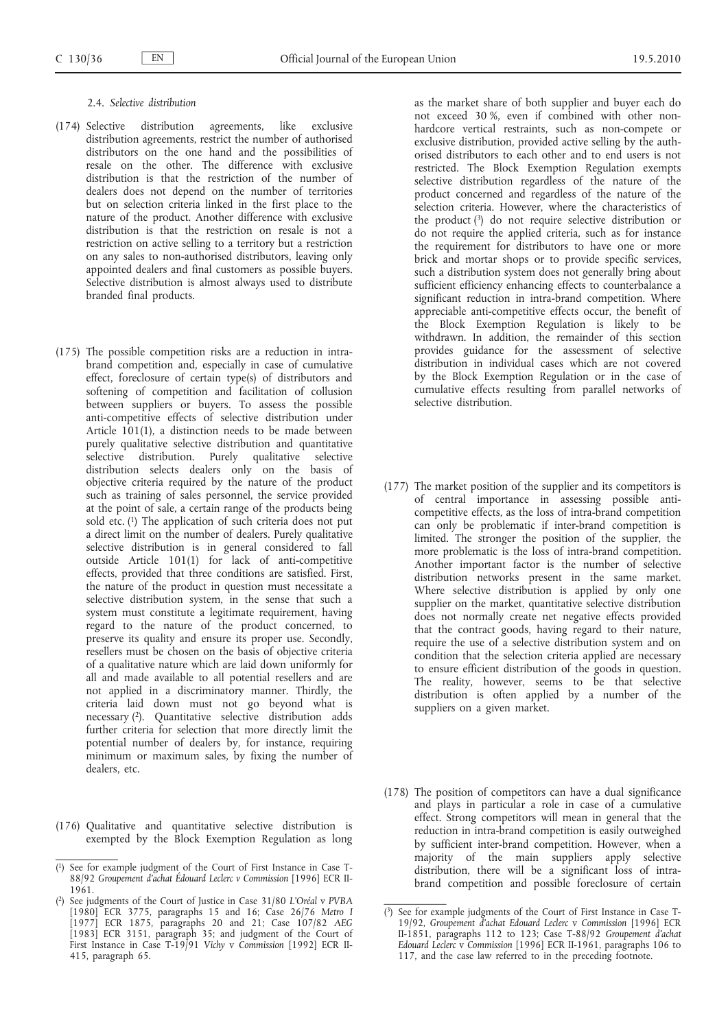#### 2.4. *Selective distribution*

- (174) Selective distribution agreements, like exclusive distribution agreements, restrict the number of authorised distributors on the one hand and the possibilities of resale on the other. The difference with exclusive distribution is that the restriction of the number of dealers does not depend on the number of territories but on selection criteria linked in the first place to the nature of the product. Another difference with exclusive distribution is that the restriction on resale is not a restriction on active selling to a territory but a restriction on any sales to non-authorised distributors, leaving only appointed dealers and final customers as possible buyers. Selective distribution is almost always used to distribute branded final products.
- (175) The possible competition risks are a reduction in intrabrand competition and, especially in case of cumulative effect, foreclosure of certain type(s) of distributors and softening of competition and facilitation of collusion between suppliers or buyers. To assess the possible anti-competitive effects of selective distribution under Article 101(1), a distinction needs to be made between purely qualitative selective distribution and quantitative selective distribution. Purely qualitative selective distribution selects dealers only on the basis of objective criteria required by the nature of the product such as training of sales personnel, the service provided at the point of sale, a certain range of the products being sold etc. (1) The application of such criteria does not put a direct limit on the number of dealers. Purely qualitative selective distribution is in general considered to fall outside Article 101(1) for lack of anti-competitive effects, provided that three conditions are satisfied. First, the nature of the product in question must necessitate a selective distribution system, in the sense that such a system must constitute a legitimate requirement, having regard to the nature of the product concerned, to preserve its quality and ensure its proper use. Secondly, resellers must be chosen on the basis of objective criteria of a qualitative nature which are laid down uniformly for all and made available to all potential resellers and are not applied in a discriminatory manner. Thirdly, the criteria laid down must not go beyond what is necessary (2). Quantitative selective distribution adds further criteria for selection that more directly limit the potential number of dealers by, for instance, requiring minimum or maximum sales, by fixing the number of dealers, etc.
- (176) Qualitative and quantitative selective distribution is exempted by the Block Exemption Regulation as long

as the market share of both supplier and buyer each do not exceed 30 %, even if combined with other nonhardcore vertical restraints, such as non-compete or exclusive distribution, provided active selling by the authorised distributors to each other and to end users is not restricted. The Block Exemption Regulation exempts selective distribution regardless of the nature of the product concerned and regardless of the nature of the selection criteria. However, where the characteristics of the product (3) do not require selective distribution or do not require the applied criteria, such as for instance the requirement for distributors to have one or more brick and mortar shops or to provide specific services, such a distribution system does not generally bring about sufficient efficiency enhancing effects to counterbalance a significant reduction in intra-brand competition. Where appreciable anti-competitive effects occur, the benefit of the Block Exemption Regulation is likely to be withdrawn. In addition, the remainder of this section provides guidance for the assessment of selective distribution in individual cases which are not covered by the Block Exemption Regulation or in the case of cumulative effects resulting from parallel networks of selective distribution.

- (177) The market position of the supplier and its competitors is of central importance in assessing possible anticompetitive effects, as the loss of intra-brand competition can only be problematic if inter-brand competition is limited. The stronger the position of the supplier, the more problematic is the loss of intra-brand competition. Another important factor is the number of selective distribution networks present in the same market. Where selective distribution is applied by only one supplier on the market, quantitative selective distribution does not normally create net negative effects provided that the contract goods, having regard to their nature, require the use of a selective distribution system and on condition that the selection criteria applied are necessary to ensure efficient distribution of the goods in question. The reality, however, seems to be that selective distribution is often applied by a number of the suppliers on a given market.
- (178) The position of competitors can have a dual significance and plays in particular a role in case of a cumulative effect. Strong competitors will mean in general that the reduction in intra-brand competition is easily outweighed by sufficient inter-brand competition. However, when a majority of the main suppliers apply selective distribution, there will be a significant loss of intrabrand competition and possible foreclosure of certain

<sup>(</sup> 1) See for example judgment of the Court of First Instance in Case T-88/92 *Groupement d'achat Édouard Leclerc v Commission* [1996] ECR II-1961.

<sup>(</sup> 2) See judgments of the Court of Justice in Case 31/80 *L'Oréal* v *PVBA* [1980] ECR 3775, paragraphs 15 and 16; Case 26/76 *Metro I* [1977] ECR 1875, paragraphs 20 and 21; Case 107/82 *AEG* [1983] ECR 3151, paragraph 35; and judgment of the Court of First Instance in Case T-19/91 *Vichy* v *Commission* [1992] ECR II-415, paragraph 65.

<sup>(</sup> 3) See for example judgments of the Court of First Instance in Case T-19/92, *Groupement d'achat Edouard Leclerc* v *Commission* [1996] ECR II-1851, paragraphs 112 to 123; Case T-88/92 *Groupement d'achat Edouard Leclerc* v *Commission* [1996] ECR II-1961, paragraphs 106 to 117, and the case law referred to in the preceding footnote.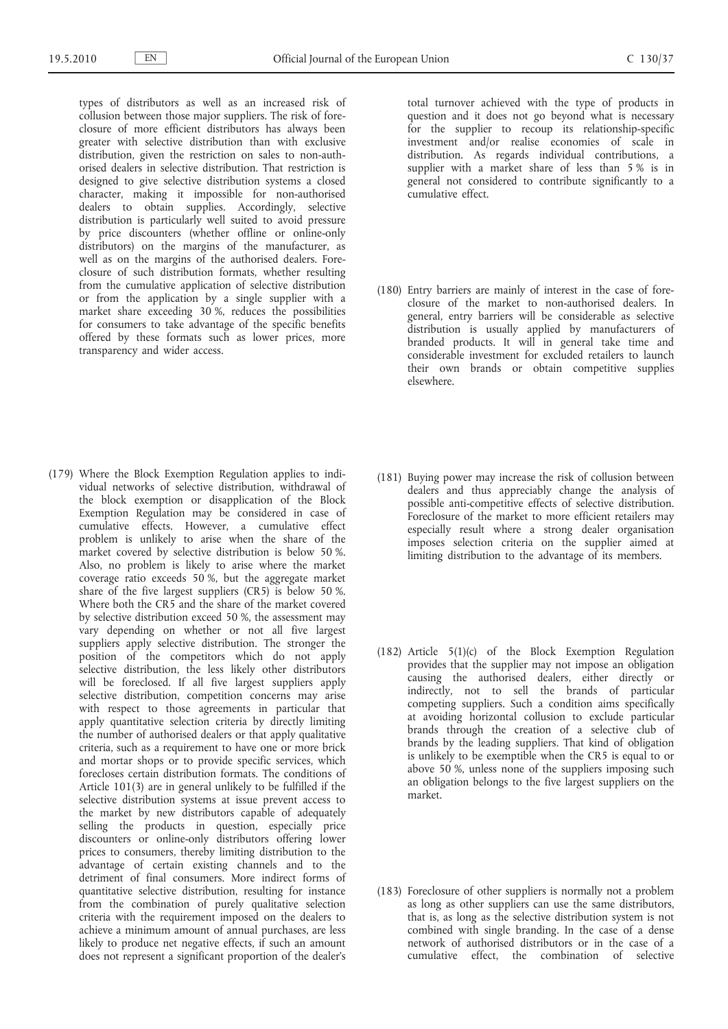types of distributors as well as an increased risk of collusion between those major suppliers. The risk of foreclosure of more efficient distributors has always been greater with selective distribution than with exclusive distribution, given the restriction on sales to non-authorised dealers in selective distribution. That restriction is designed to give selective distribution systems a closed character, making it impossible for non-authorised dealers to obtain supplies. Accordingly, selective distribution is particularly well suited to avoid pressure by price discounters (whether offline or online-only distributors) on the margins of the manufacturer, as well as on the margins of the authorised dealers. Foreclosure of such distribution formats, whether resulting from the cumulative application of selective distribution or from the application by a single supplier with a market share exceeding 30 %, reduces the possibilities for consumers to take advantage of the specific benefits offered by these formats such as lower prices, more transparency and wider access.

(179) Where the Block Exemption Regulation applies to individual networks of selective distribution, withdrawal of the block exemption or disapplication of the Block Exemption Regulation may be considered in case of cumulative effects. However, a cumulative effect problem is unlikely to arise when the share of the market covered by selective distribution is below 50 %. Also, no problem is likely to arise where the market coverage ratio exceeds 50 %, but the aggregate market share of the five largest suppliers (CR5) is below 50 %. Where both the CR5 and the share of the market covered by selective distribution exceed 50 %, the assessment may vary depending on whether or not all five largest suppliers apply selective distribution. The stronger the position of the competitors which do not apply selective distribution, the less likely other distributors will be foreclosed. If all five largest suppliers apply selective distribution, competition concerns may arise with respect to those agreements in particular that apply quantitative selection criteria by directly limiting the number of authorised dealers or that apply qualitative criteria, such as a requirement to have one or more brick and mortar shops or to provide specific services, which forecloses certain distribution formats. The conditions of Article 101(3) are in general unlikely to be fulfilled if the selective distribution systems at issue prevent access to the market by new distributors capable of adequately selling the products in question, especially price discounters or online-only distributors offering lower prices to consumers, thereby limiting distribution to the advantage of certain existing channels and to the detriment of final consumers. More indirect forms of quantitative selective distribution, resulting for instance from the combination of purely qualitative selection criteria with the requirement imposed on the dealers to achieve a minimum amount of annual purchases, are less likely to produce net negative effects, if such an amount does not represent a significant proportion of the dealer's

total turnover achieved with the type of products in question and it does not go beyond what is necessary for the supplier to recoup its relationship-specific investment and/or realise economies of scale in distribution. As regards individual contributions, a supplier with a market share of less than 5 % is in general not considered to contribute significantly to a cumulative effect.

- (180) Entry barriers are mainly of interest in the case of foreclosure of the market to non-authorised dealers. In general, entry barriers will be considerable as selective distribution is usually applied by manufacturers of branded products. It will in general take time and considerable investment for excluded retailers to launch their own brands or obtain competitive supplies elsewhere.
- (181) Buying power may increase the risk of collusion between dealers and thus appreciably change the analysis of possible anti-competitive effects of selective distribution. Foreclosure of the market to more efficient retailers may especially result where a strong dealer organisation imposes selection criteria on the supplier aimed at limiting distribution to the advantage of its members.
- (182) Article 5(1)(c) of the Block Exemption Regulation provides that the supplier may not impose an obligation causing the authorised dealers, either directly or indirectly, not to sell the brands of particular competing suppliers. Such a condition aims specifically at avoiding horizontal collusion to exclude particular brands through the creation of a selective club of brands by the leading suppliers. That kind of obligation is unlikely to be exemptible when the CR5 is equal to or above 50 %, unless none of the suppliers imposing such an obligation belongs to the five largest suppliers on the market.
- (183) Foreclosure of other suppliers is normally not a problem as long as other suppliers can use the same distributors, that is, as long as the selective distribution system is not combined with single branding. In the case of a dense network of authorised distributors or in the case of a cumulative effect, the combination of selective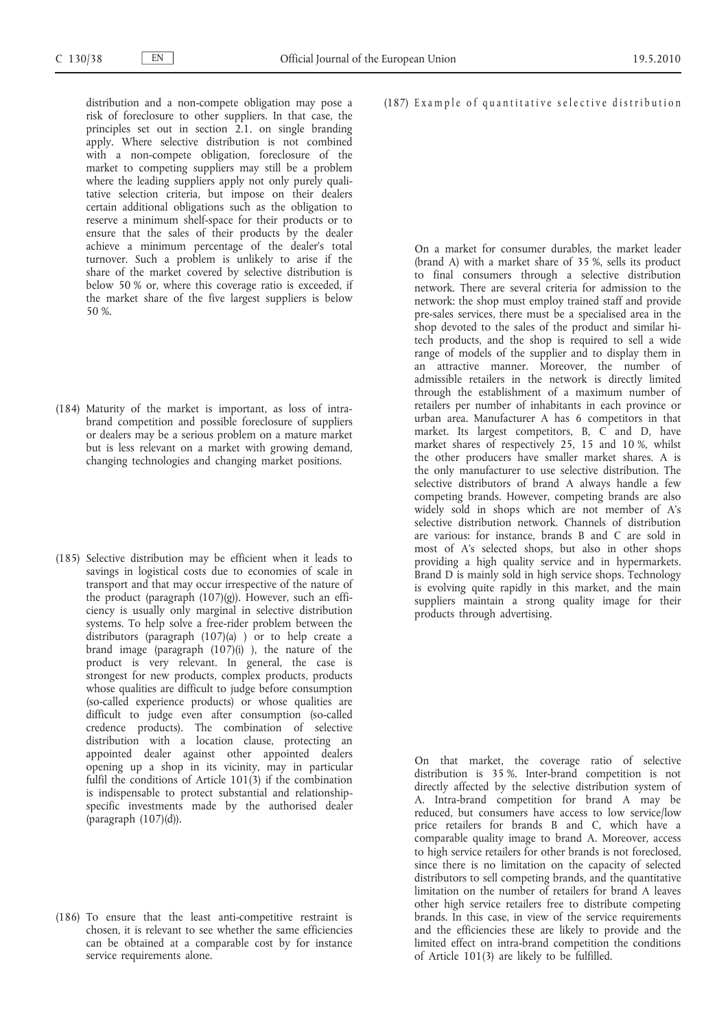distribution and a non-compete obligation may pose a risk of foreclosure to other suppliers. In that case, the principles set out in section 2.1. on single branding apply. Where selective distribution is not combined with a non-compete obligation, foreclosure of the market to competing suppliers may still be a problem where the leading suppliers apply not only purely qualitative selection criteria, but impose on their dealers certain additional obligations such as the obligation to reserve a minimum shelf-space for their products or to ensure that the sales of their products by the dealer achieve a minimum percentage of the dealer's total turnover. Such a problem is unlikely to arise if the share of the market covered by selective distribution is below 50 % or, where this coverage ratio is exceeded, if the market share of the five largest suppliers is below 50 %.

- (184) Maturity of the market is important, as loss of intrabrand competition and possible foreclosure of suppliers or dealers may be a serious problem on a mature market but is less relevant on a market with growing demand, changing technologies and changing market positions.
- (185) Selective distribution may be efficient when it leads to savings in logistical costs due to economies of scale in transport and that may occur irrespective of the nature of the product (paragraph (107)(g)). However, such an efficiency is usually only marginal in selective distribution systems. To help solve a free-rider problem between the distributors (paragraph  $(107)(a)$ ) or to help create a brand image (paragraph  $(107)(i)$ ), the nature of the product is very relevant. In general, the case is strongest for new products, complex products, products whose qualities are difficult to judge before consumption (so-called experience products) or whose qualities are difficult to judge even after consumption (so-called credence products). The combination of selective distribution with a location clause, protecting an appointed dealer against other appointed dealers opening up a shop in its vicinity, may in particular fulfil the conditions of Article 101(3) if the combination is indispensable to protect substantial and relationshipspecific investments made by the authorised dealer (paragraph (107)(d)).
- (186) To ensure that the least anti-competitive restraint is chosen, it is relevant to see whether the same efficiencies can be obtained at a comparable cost by for instance service requirements alone.

## (187) Example of quantitative selective distribution

On a market for consumer durables, the market leader (brand A) with a market share of 35 %, sells its product to final consumers through a selective distribution network. There are several criteria for admission to the network: the shop must employ trained staff and provide pre-sales services, there must be a specialised area in the shop devoted to the sales of the product and similar hitech products, and the shop is required to sell a wide range of models of the supplier and to display them in an attractive manner. Moreover, the number of admissible retailers in the network is directly limited through the establishment of a maximum number of retailers per number of inhabitants in each province or urban area. Manufacturer A has 6 competitors in that market. Its largest competitors, B, C and D, have market shares of respectively 25, 15 and 10 %, whilst the other producers have smaller market shares. A is the only manufacturer to use selective distribution. The selective distributors of brand A always handle a few competing brands. However, competing brands are also widely sold in shops which are not member of A's selective distribution network. Channels of distribution are various: for instance, brands B and C are sold in most of A's selected shops, but also in other shops providing a high quality service and in hypermarkets. Brand D is mainly sold in high service shops. Technology is evolving quite rapidly in this market, and the main suppliers maintain a strong quality image for their products through advertising.

On that market, the coverage ratio of selective distribution is 35 %. Inter-brand competition is not directly affected by the selective distribution system of A. Intra-brand competition for brand A may be reduced, but consumers have access to low service/low price retailers for brands B and C, which have a comparable quality image to brand A. Moreover, access to high service retailers for other brands is not foreclosed, since there is no limitation on the capacity of selected distributors to sell competing brands, and the quantitative limitation on the number of retailers for brand A leaves other high service retailers free to distribute competing brands. In this case, in view of the service requirements and the efficiencies these are likely to provide and the limited effect on intra-brand competition the conditions of Article 101(3) are likely to be fulfilled.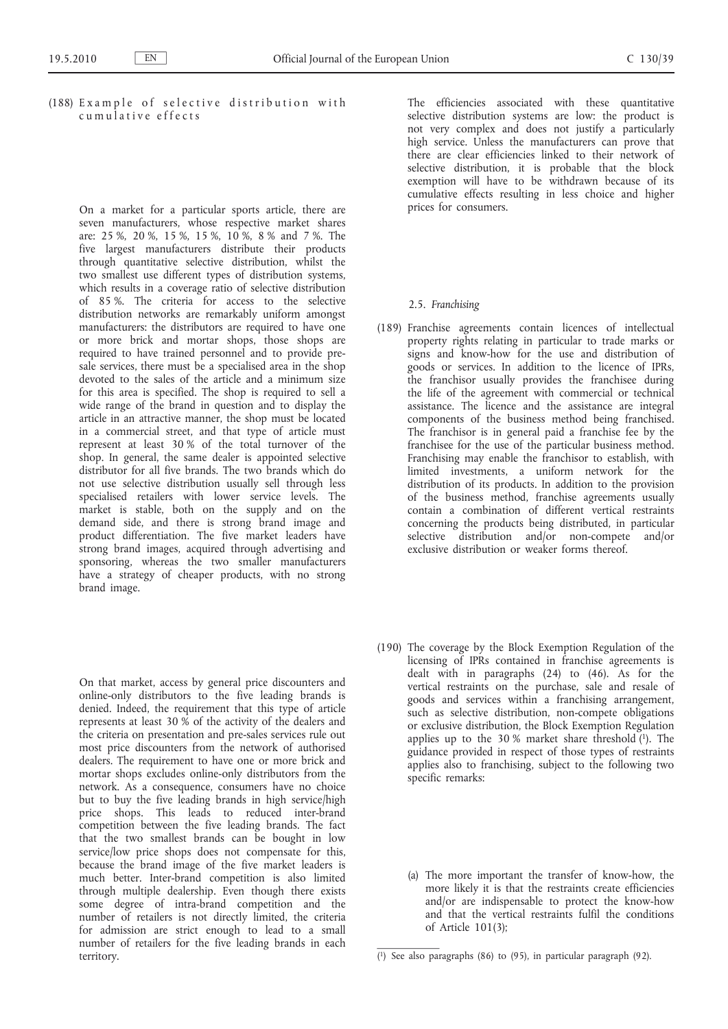(188) Example of selective distribution with cumulative effects

> On a market for a particular sports article, there are seven manufacturers, whose respective market shares are: 25 %, 20 %, 15 %, 15 %, 10 %, 8 % and 7 %. The five largest manufacturers distribute their products through quantitative selective distribution, whilst the two smallest use different types of distribution systems, which results in a coverage ratio of selective distribution of 85 %. The criteria for access to the selective distribution networks are remarkably uniform amongst manufacturers: the distributors are required to have one or more brick and mortar shops, those shops are required to have trained personnel and to provide presale services, there must be a specialised area in the shop devoted to the sales of the article and a minimum size for this area is specified. The shop is required to sell a wide range of the brand in question and to display the article in an attractive manner, the shop must be located in a commercial street, and that type of article must represent at least 30 % of the total turnover of the shop. In general, the same dealer is appointed selective distributor for all five brands. The two brands which do not use selective distribution usually sell through less specialised retailers with lower service levels. The market is stable, both on the supply and on the demand side, and there is strong brand image and product differentiation. The five market leaders have strong brand images, acquired through advertising and sponsoring, whereas the two smaller manufacturers have a strategy of cheaper products, with no strong brand image.

> On that market, access by general price discounters and online-only distributors to the five leading brands is denied. Indeed, the requirement that this type of article represents at least 30 % of the activity of the dealers and the criteria on presentation and pre-sales services rule out most price discounters from the network of authorised dealers. The requirement to have one or more brick and mortar shops excludes online-only distributors from the network. As a consequence, consumers have no choice but to buy the five leading brands in high service/high price shops. This leads to reduced inter-brand competition between the five leading brands. The fact that the two smallest brands can be bought in low service/low price shops does not compensate for this, because the brand image of the five market leaders is much better. Inter-brand competition is also limited through multiple dealership. Even though there exists some degree of intra-brand competition and the number of retailers is not directly limited, the criteria for admission are strict enough to lead to a small number of retailers for the five leading brands in each territory.

The efficiencies associated with these quantitative selective distribution systems are low: the product is not very complex and does not justify a particularly high service. Unless the manufacturers can prove that there are clear efficiencies linked to their network of selective distribution, it is probable that the block exemption will have to be withdrawn because of its cumulative effects resulting in less choice and higher prices for consumers.

## 2.5. *Franchising*

- (189) Franchise agreements contain licences of intellectual property rights relating in particular to trade marks or signs and know-how for the use and distribution of goods or services. In addition to the licence of IPRs, the franchisor usually provides the franchisee during the life of the agreement with commercial or technical assistance. The licence and the assistance are integral components of the business method being franchised. The franchisor is in general paid a franchise fee by the franchisee for the use of the particular business method. Franchising may enable the franchisor to establish, with limited investments, a uniform network for the distribution of its products. In addition to the provision of the business method, franchise agreements usually contain a combination of different vertical restraints concerning the products being distributed, in particular selective distribution and/or non-compete and/or exclusive distribution or weaker forms thereof.
- (190) The coverage by the Block Exemption Regulation of the licensing of IPRs contained in franchise agreements is dealt with in paragraphs (24) to (46). As for the vertical restraints on the purchase, sale and resale of goods and services within a franchising arrangement, such as selective distribution, non-compete obligations or exclusive distribution, the Block Exemption Regulation applies up to the 30 % market share threshold  $(1)$ . The guidance provided in respect of those types of restraints applies also to franchising, subject to the following two specific remarks:
	- (a) The more important the transfer of know-how, the more likely it is that the restraints create efficiencies and/or are indispensable to protect the know-how and that the vertical restraints fulfil the conditions of Article 101(3);

<sup>(</sup> 1) See also paragraphs (86) to (95), in particular paragraph (92).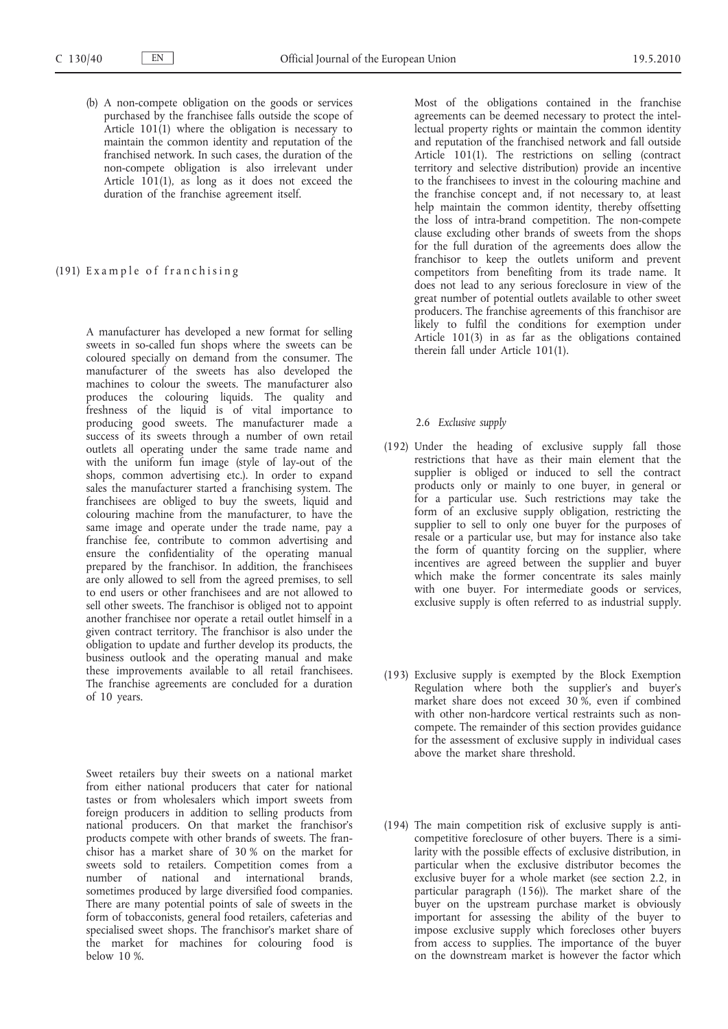(b) A non-compete obligation on the goods or services purchased by the franchisee falls outside the scope of Article 101(1) where the obligation is necessary to maintain the common identity and reputation of the franchised network. In such cases, the duration of the non-compete obligation is also irrelevant under Article 101(1), as long as it does not exceed the duration of the franchise agreement itself.

#### (191) Example of franchising

A manufacturer has developed a new format for selling sweets in so-called fun shops where the sweets can be coloured specially on demand from the consumer. The manufacturer of the sweets has also developed the machines to colour the sweets. The manufacturer also produces the colouring liquids. The quality and freshness of the liquid is of vital importance to producing good sweets. The manufacturer made a success of its sweets through a number of own retail outlets all operating under the same trade name and with the uniform fun image (style of lay-out of the shops, common advertising etc.). In order to expand sales the manufacturer started a franchising system. The franchisees are obliged to buy the sweets, liquid and colouring machine from the manufacturer, to have the same image and operate under the trade name, pay a franchise fee, contribute to common advertising and ensure the confidentiality of the operating manual prepared by the franchisor. In addition, the franchisees are only allowed to sell from the agreed premises, to sell to end users or other franchisees and are not allowed to sell other sweets. The franchisor is obliged not to appoint another franchisee nor operate a retail outlet himself in a given contract territory. The franchisor is also under the obligation to update and further develop its products, the business outlook and the operating manual and make these improvements available to all retail franchisees. The franchise agreements are concluded for a duration of 10 years.

Sweet retailers buy their sweets on a national market from either national producers that cater for national tastes or from wholesalers which import sweets from foreign producers in addition to selling products from national producers. On that market the franchisor's products compete with other brands of sweets. The franchisor has a market share of 30 % on the market for sweets sold to retailers. Competition comes from a number of national and international brands, sometimes produced by large diversified food companies. There are many potential points of sale of sweets in the form of tobacconists, general food retailers, cafeterias and specialised sweet shops. The franchisor's market share of the market for machines for colouring food is below 10 %.

Most of the obligations contained in the franchise agreements can be deemed necessary to protect the intellectual property rights or maintain the common identity and reputation of the franchised network and fall outside Article 101(1). The restrictions on selling (contract territory and selective distribution) provide an incentive to the franchisees to invest in the colouring machine and the franchise concept and, if not necessary to, at least help maintain the common identity, thereby offsetting the loss of intra-brand competition. The non-compete clause excluding other brands of sweets from the shops for the full duration of the agreements does allow the franchisor to keep the outlets uniform and prevent competitors from benefiting from its trade name. It does not lead to any serious foreclosure in view of the great number of potential outlets available to other sweet producers. The franchise agreements of this franchisor are likely to fulfil the conditions for exemption under Article 101(3) in as far as the obligations contained therein fall under Article 101(1).

## 2.6 *Exclusive supply*

- (192) Under the heading of exclusive supply fall those restrictions that have as their main element that the supplier is obliged or induced to sell the contract products only or mainly to one buyer, in general or for a particular use. Such restrictions may take the form of an exclusive supply obligation, restricting the supplier to sell to only one buyer for the purposes of resale or a particular use, but may for instance also take the form of quantity forcing on the supplier, where incentives are agreed between the supplier and buyer which make the former concentrate its sales mainly with one buyer. For intermediate goods or services, exclusive supply is often referred to as industrial supply.
- (193) Exclusive supply is exempted by the Block Exemption Regulation where both the supplier's and buyer's market share does not exceed 30 %, even if combined with other non-hardcore vertical restraints such as noncompete. The remainder of this section provides guidance for the assessment of exclusive supply in individual cases above the market share threshold.
- (194) The main competition risk of exclusive supply is anticompetitive foreclosure of other buyers. There is a similarity with the possible effects of exclusive distribution, in particular when the exclusive distributor becomes the exclusive buyer for a whole market (see section 2.2, in particular paragraph (156)). The market share of the buyer on the upstream purchase market is obviously important for assessing the ability of the buyer to impose exclusive supply which forecloses other buyers from access to supplies. The importance of the buyer on the downstream market is however the factor which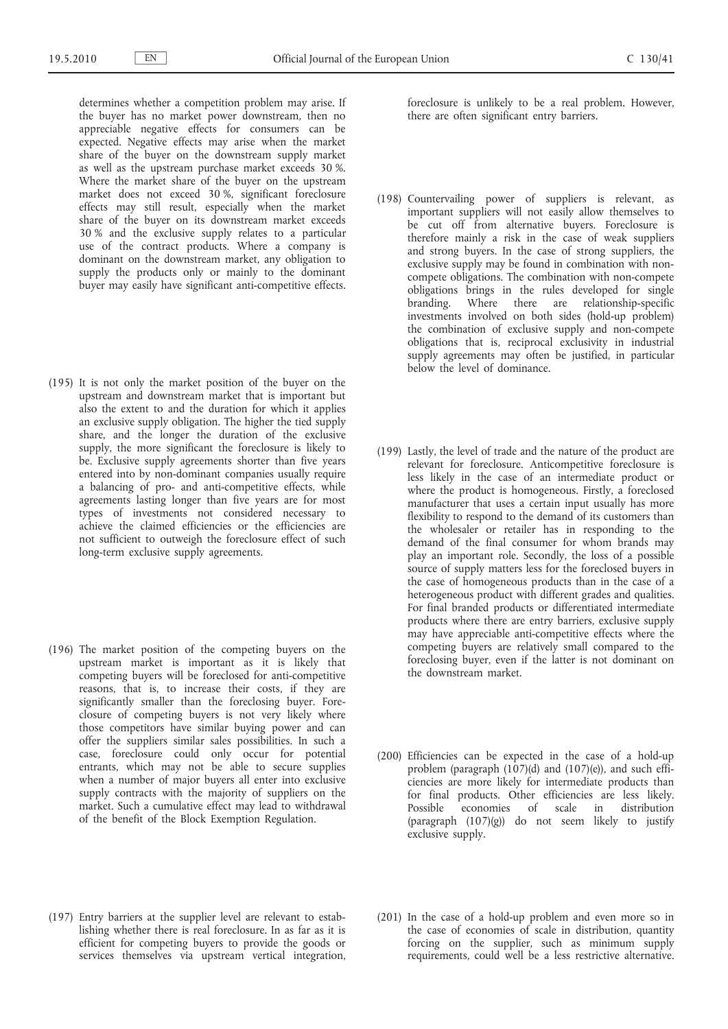determines whether a competition problem may arise. If the buyer has no market power downstream, then no appreciable negative effects for consumers can be expected. Negative effects may arise when the market share of the buyer on the downstream supply market as well as the upstream purchase market exceeds 30 %. Where the market share of the buyer on the upstream market does not exceed 30 %, significant foreclosure effects may still result, especially when the market share of the buyer on its downstream market exceeds 30 % and the exclusive supply relates to a particular use of the contract products. Where a company is dominant on the downstream market, any obligation to supply the products only or mainly to the dominant buyer may easily have significant anti-competitive effects.

- (195) It is not only the market position of the buyer on the upstream and downstream market that is important but also the extent to and the duration for which it applies an exclusive supply obligation. The higher the tied supply share, and the longer the duration of the exclusive supply, the more significant the foreclosure is likely to be. Exclusive supply agreements shorter than five years entered into by non-dominant companies usually require a balancing of pro- and anti-competitive effects, while agreements lasting longer than five years are for most types of investments not considered necessary to achieve the claimed efficiencies or the efficiencies are not sufficient to outweigh the foreclosure effect of such long-term exclusive supply agreements.
- (196) The market position of the competing buyers on the upstream market is important as it is likely that competing buyers will be foreclosed for anti-competitive reasons, that is, to increase their costs, if they are significantly smaller than the foreclosing buyer. Foreclosure of competing buyers is not very likely where those competitors have similar buying power and can offer the suppliers similar sales possibilities. In such a case, foreclosure could only occur for potential entrants, which may not be able to secure supplies when a number of major buyers all enter into exclusive supply contracts with the majority of suppliers on the market. Such a cumulative effect may lead to withdrawal of the benefit of the Block Exemption Regulation.

foreclosure is unlikely to be a real problem. However, there are often significant entry barriers.

- (198) Countervailing power of suppliers is relevant, as important suppliers will not easily allow themselves to be cut off from alternative buyers. Foreclosure is therefore mainly a risk in the case of weak suppliers and strong buyers. In the case of strong suppliers, the exclusive supply may be found in combination with noncompete obligations. The combination with non-compete obligations brings in the rules developed for single branding. Where there are relationship-specific investments involved on both sides (hold-up problem) the combination of exclusive supply and non-compete obligations that is, reciprocal exclusivity in industrial supply agreements may often be justified, in particular below the level of dominance.
- (199) Lastly, the level of trade and the nature of the product are relevant for foreclosure. Anticompetitive foreclosure is less likely in the case of an intermediate product or where the product is homogeneous. Firstly, a foreclosed manufacturer that uses a certain input usually has more flexibility to respond to the demand of its customers than the wholesaler or retailer has in responding to the demand of the final consumer for whom brands may play an important role. Secondly, the loss of a possible source of supply matters less for the foreclosed buyers in the case of homogeneous products than in the case of a heterogeneous product with different grades and qualities. For final branded products or differentiated intermediate products where there are entry barriers, exclusive supply may have appreciable anti-competitive effects where the competing buyers are relatively small compared to the foreclosing buyer, even if the latter is not dominant on the downstream market.
- (200) Efficiencies can be expected in the case of a hold-up problem (paragraph  $(107)(d)$  and  $(107)(e)$ ), and such efficiencies are more likely for intermediate products than for final products. Other efficiencies are less likely. economies of scale in distribution (paragraph (107)(g)) do not seem likely to justify exclusive supply.
- (197) Entry barriers at the supplier level are relevant to establishing whether there is real foreclosure. In as far as it is efficient for competing buyers to provide the goods or services themselves via upstream vertical integration,
- (201) In the case of a hold-up problem and even more so in the case of economies of scale in distribution, quantity forcing on the supplier, such as minimum supply requirements, could well be a less restrictive alternative.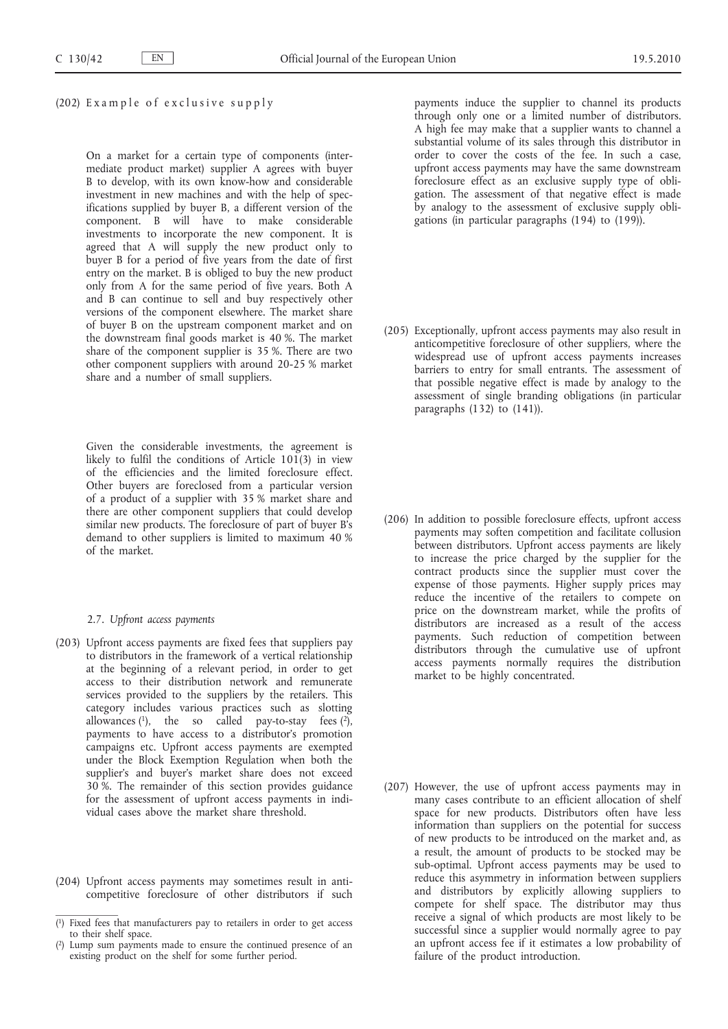## $(202)$  Example of exclusive supply

On a market for a certain type of components (intermediate product market) supplier A agrees with buyer B to develop, with its own know-how and considerable investment in new machines and with the help of specifications supplied by buyer B, a different version of the component. B will have to make considerable investments to incorporate the new component. It is agreed that A will supply the new product only to buyer B for a period of five years from the date of first entry on the market. B is obliged to buy the new product only from A for the same period of five years. Both A and B can continue to sell and buy respectively other versions of the component elsewhere. The market share of buyer B on the upstream component market and on the downstream final goods market is 40 %. The market share of the component supplier is 35 %. There are two other component suppliers with around 20-25 % market share and a number of small suppliers.

Given the considerable investments, the agreement is likely to fulfil the conditions of Article  $101(3)$  in view of the efficiencies and the limited foreclosure effect. Other buyers are foreclosed from a particular version of a product of a supplier with 35 % market share and there are other component suppliers that could develop similar new products. The foreclosure of part of buyer B's demand to other suppliers is limited to maximum 40 % of the market.

## 2.7. *Upfront access payments*

- (203) Upfront access payments are fixed fees that suppliers pay to distributors in the framework of a vertical relationship at the beginning of a relevant period, in order to get access to their distribution network and remunerate services provided to the suppliers by the retailers. This category includes various practices such as slotting allowances  $(1)$ , the so called pay-to-stay fees  $(2)$ , payments to have access to a distributor's promotion campaigns etc. Upfront access payments are exempted under the Block Exemption Regulation when both the supplier's and buyer's market share does not exceed 30 %. The remainder of this section provides guidance for the assessment of upfront access payments in individual cases above the market share threshold.
- (204) Upfront access payments may sometimes result in anticompetitive foreclosure of other distributors if such

payments induce the supplier to channel its products through only one or a limited number of distributors. A high fee may make that a supplier wants to channel a substantial volume of its sales through this distributor in order to cover the costs of the fee. In such a case, upfront access payments may have the same downstream foreclosure effect as an exclusive supply type of obligation. The assessment of that negative effect is made by analogy to the assessment of exclusive supply obligations (in particular paragraphs (194) to (199)).

- (205) Exceptionally, upfront access payments may also result in anticompetitive foreclosure of other suppliers, where the widespread use of upfront access payments increases barriers to entry for small entrants. The assessment of that possible negative effect is made by analogy to the assessment of single branding obligations (in particular paragraphs  $(132)$  to  $(141)$ ).
- (206) In addition to possible foreclosure effects, upfront access payments may soften competition and facilitate collusion between distributors. Upfront access payments are likely to increase the price charged by the supplier for the contract products since the supplier must cover the expense of those payments. Higher supply prices may reduce the incentive of the retailers to compete on price on the downstream market, while the profits of distributors are increased as a result of the access payments. Such reduction of competition between distributors through the cumulative use of upfront access payments normally requires the distribution market to be highly concentrated.
- (207) However, the use of upfront access payments may in many cases contribute to an efficient allocation of shelf space for new products. Distributors often have less information than suppliers on the potential for success of new products to be introduced on the market and, as a result, the amount of products to be stocked may be sub-optimal. Upfront access payments may be used to reduce this asymmetry in information between suppliers and distributors by explicitly allowing suppliers to compete for shelf space. The distributor may thus receive a signal of which products are most likely to be successful since a supplier would normally agree to pay an upfront access fee if it estimates a low probability of failure of the product introduction.

<sup>(</sup> 1) Fixed fees that manufacturers pay to retailers in order to get access to their shelf space.

<sup>(</sup> 2) Lump sum payments made to ensure the continued presence of an existing product on the shelf for some further period.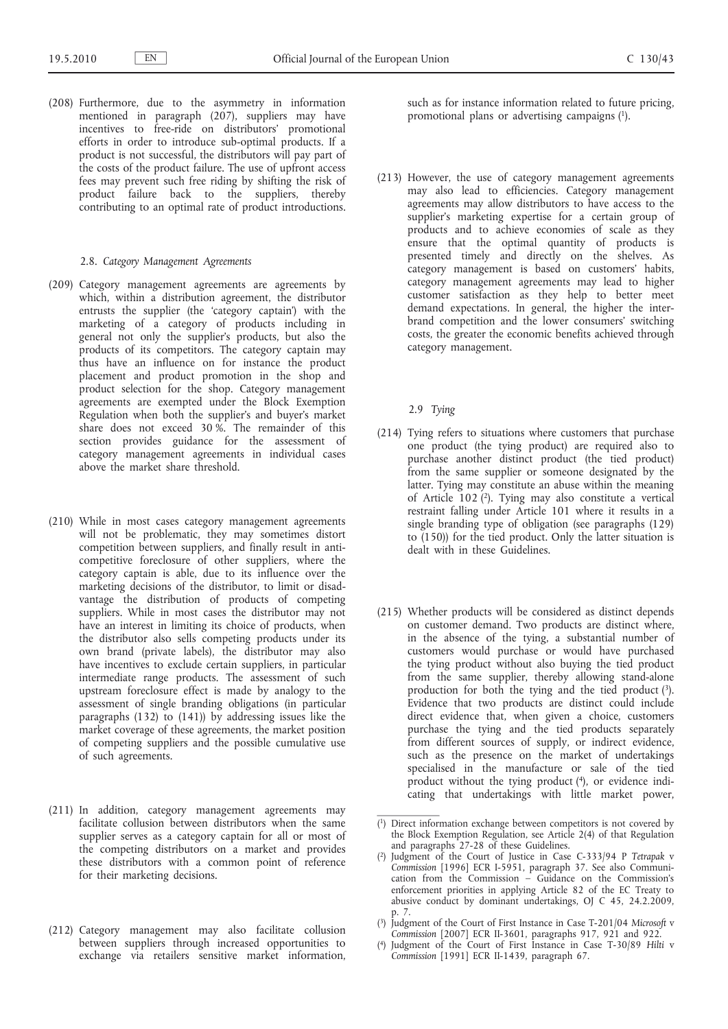(208) Furthermore, due to the asymmetry in information mentioned in paragraph (207), suppliers may have incentives to free-ride on distributors' promotional efforts in order to introduce sub-optimal products. If a product is not successful, the distributors will pay part of the costs of the product failure. The use of upfront access fees may prevent such free riding by shifting the risk of product failure back to the suppliers, thereby contributing to an optimal rate of product introductions.

#### 2.8. *Category Management Agreements*

- (209) Category management agreements are agreements by which, within a distribution agreement, the distributor entrusts the supplier (the 'category captain') with the marketing of a category of products including in general not only the supplier's products, but also the products of its competitors. The category captain may thus have an influence on for instance the product placement and product promotion in the shop and product selection for the shop. Category management agreements are exempted under the Block Exemption Regulation when both the supplier's and buyer's market share does not exceed 30 %. The remainder of this section provides guidance for the assessment of category management agreements in individual cases above the market share threshold.
- (210) While in most cases category management agreements will not be problematic, they may sometimes distort competition between suppliers, and finally result in anticompetitive foreclosure of other suppliers, where the category captain is able, due to its influence over the marketing decisions of the distributor, to limit or disadvantage the distribution of products of competing suppliers. While in most cases the distributor may not have an interest in limiting its choice of products, when the distributor also sells competing products under its own brand (private labels), the distributor may also have incentives to exclude certain suppliers, in particular intermediate range products. The assessment of such upstream foreclosure effect is made by analogy to the assessment of single branding obligations (in particular paragraphs  $(132)$  to  $(141)$ ) by addressing issues like the market coverage of these agreements, the market position of competing suppliers and the possible cumulative use of such agreements.
- (211) In addition, category management agreements may facilitate collusion between distributors when the same supplier serves as a category captain for all or most of the competing distributors on a market and provides these distributors with a common point of reference for their marketing decisions.
- (212) Category management may also facilitate collusion between suppliers through increased opportunities to exchange via retailers sensitive market information,

such as for instance information related to future pricing, promotional plans or advertising campaigns (1).

(213) However, the use of category management agreements may also lead to efficiencies. Category management agreements may allow distributors to have access to the supplier's marketing expertise for a certain group of products and to achieve economies of scale as they ensure that the optimal quantity of products is presented timely and directly on the shelves. As category management is based on customers' habits, category management agreements may lead to higher customer satisfaction as they help to better meet demand expectations. In general, the higher the interbrand competition and the lower consumers' switching costs, the greater the economic benefits achieved through category management.

## 2.9 *Tying*

- (214) Tying refers to situations where customers that purchase one product (the tying product) are required also to purchase another distinct product (the tied product) from the same supplier or someone designated by the latter. Tying may constitute an abuse within the meaning of Article 102 (2). Tying may also constitute a vertical restraint falling under Article 101 where it results in a single branding type of obligation (see paragraphs (129) to (150)) for the tied product. Only the latter situation is dealt with in these Guidelines.
- (215) Whether products will be considered as distinct depends on customer demand. Two products are distinct where, in the absence of the tying, a substantial number of customers would purchase or would have purchased the tying product without also buying the tied product from the same supplier, thereby allowing stand-alone production for both the tying and the tied product  $(3)$ . Evidence that two products are distinct could include direct evidence that, when given a choice, customers purchase the tying and the tied products separately from different sources of supply, or indirect evidence, such as the presence on the market of undertakings specialised in the manufacture or sale of the tied product without the tying product (4), or evidence indicating that undertakings with little market power,

- ( 3) Judgment of the Court of First Instance in Case T-201/04 *Microsoft* v *Commission* [2007] ECR II-3601, paragraphs 917, 921 and 922.
- ( 4) Judgment of the Court of First Instance in Case T-30/89 *Hilti* v *Commission* [1991] ECR II-1439, paragraph 67.

<sup>(</sup> 1) Direct information exchange between competitors is not covered by the Block Exemption Regulation, see Article 2(4) of that Regulation and paragraphs 27-28 of these Guidelines.

<sup>(</sup> 2) Judgment of the Court of Justice in Case C-333/94 P *Tetrapak* v *Commission* [1996] ECR I-5951, paragraph 37. See also Communication from the Commission – Guidance on the Commission's enforcement priorities in applying Article 82 of the EC Treaty to abusive conduct by dominant undertakings, OJ C 45, 24.2.2009, p. 7.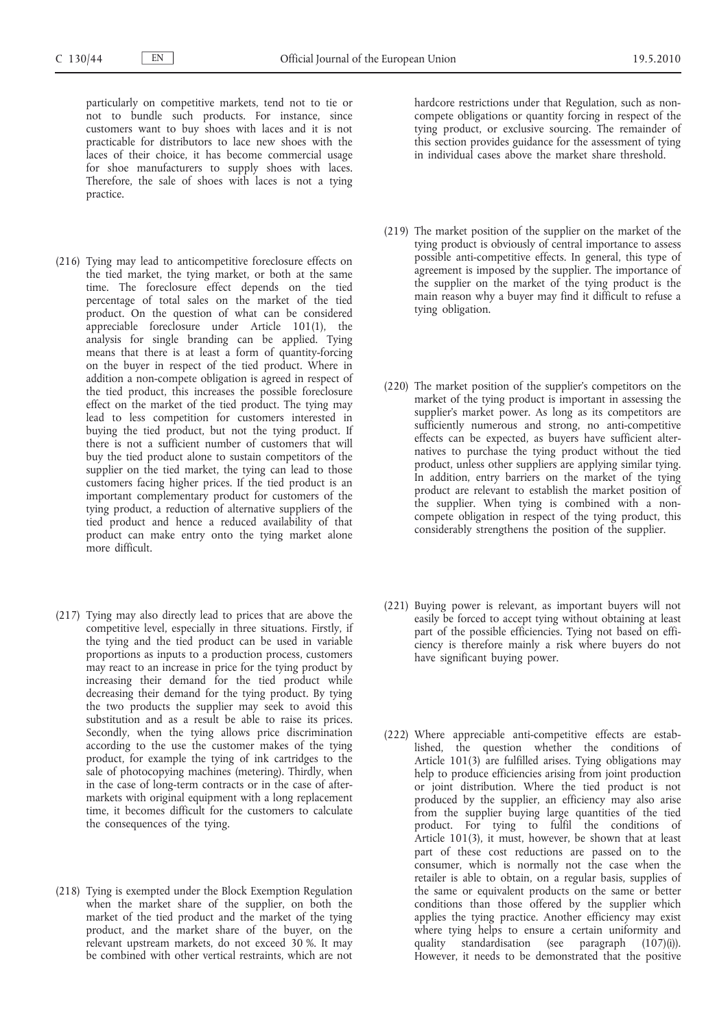particularly on competitive markets, tend not to tie or not to bundle such products. For instance, since customers want to buy shoes with laces and it is not practicable for distributors to lace new shoes with the laces of their choice, it has become commercial usage for shoe manufacturers to supply shoes with laces. Therefore, the sale of shoes with laces is not a tying practice.

- (216) Tying may lead to anticompetitive foreclosure effects on the tied market, the tying market, or both at the same time. The foreclosure effect depends on the tied percentage of total sales on the market of the tied product. On the question of what can be considered appreciable foreclosure under Article 101(1), the analysis for single branding can be applied. Tying means that there is at least a form of quantity-forcing on the buyer in respect of the tied product. Where in addition a non-compete obligation is agreed in respect of the tied product, this increases the possible foreclosure effect on the market of the tied product. The tying may lead to less competition for customers interested in buying the tied product, but not the tying product. If there is not a sufficient number of customers that will buy the tied product alone to sustain competitors of the supplier on the tied market, the tying can lead to those customers facing higher prices. If the tied product is an important complementary product for customers of the tying product, a reduction of alternative suppliers of the tied product and hence a reduced availability of that product can make entry onto the tying market alone more difficult.
- (217) Tying may also directly lead to prices that are above the competitive level, especially in three situations. Firstly, if the tying and the tied product can be used in variable proportions as inputs to a production process, customers may react to an increase in price for the tying product by increasing their demand for the tied product while decreasing their demand for the tying product. By tying the two products the supplier may seek to avoid this substitution and as a result be able to raise its prices. Secondly, when the tying allows price discrimination according to the use the customer makes of the tying product, for example the tying of ink cartridges to the sale of photocopying machines (metering). Thirdly, when in the case of long-term contracts or in the case of aftermarkets with original equipment with a long replacement time, it becomes difficult for the customers to calculate the consequences of the tying.
- (218) Tying is exempted under the Block Exemption Regulation when the market share of the supplier, on both the market of the tied product and the market of the tying product, and the market share of the buyer, on the relevant upstream markets, do not exceed 30 %. It may be combined with other vertical restraints, which are not

hardcore restrictions under that Regulation, such as noncompete obligations or quantity forcing in respect of the tying product, or exclusive sourcing. The remainder of this section provides guidance for the assessment of tying in individual cases above the market share threshold.

- (219) The market position of the supplier on the market of the tying product is obviously of central importance to assess possible anti-competitive effects. In general, this type of agreement is imposed by the supplier. The importance of the supplier on the market of the tying product is the main reason why a buyer may find it difficult to refuse a tying obligation.
- (220) The market position of the supplier's competitors on the market of the tying product is important in assessing the supplier's market power. As long as its competitors are sufficiently numerous and strong, no anti-competitive effects can be expected, as buyers have sufficient alternatives to purchase the tying product without the tied product, unless other suppliers are applying similar tying. In addition, entry barriers on the market of the tying product are relevant to establish the market position of the supplier. When tying is combined with a noncompete obligation in respect of the tying product, this considerably strengthens the position of the supplier.
- (221) Buying power is relevant, as important buyers will not easily be forced to accept tying without obtaining at least part of the possible efficiencies. Tying not based on efficiency is therefore mainly a risk where buyers do not have significant buying power.
- (222) Where appreciable anti-competitive effects are established, the question whether the conditions of Article 101(3) are fulfilled arises. Tying obligations may help to produce efficiencies arising from joint production or joint distribution. Where the tied product is not produced by the supplier, an efficiency may also arise from the supplier buying large quantities of the tied product. For tying to fulfil the conditions of Article 101(3), it must, however, be shown that at least part of these cost reductions are passed on to the consumer, which is normally not the case when the retailer is able to obtain, on a regular basis, supplies of the same or equivalent products on the same or better conditions than those offered by the supplier which applies the tying practice. Another efficiency may exist where tying helps to ensure a certain uniformity and quality standardisation (see paragraph (107)(i)). However, it needs to be demonstrated that the positive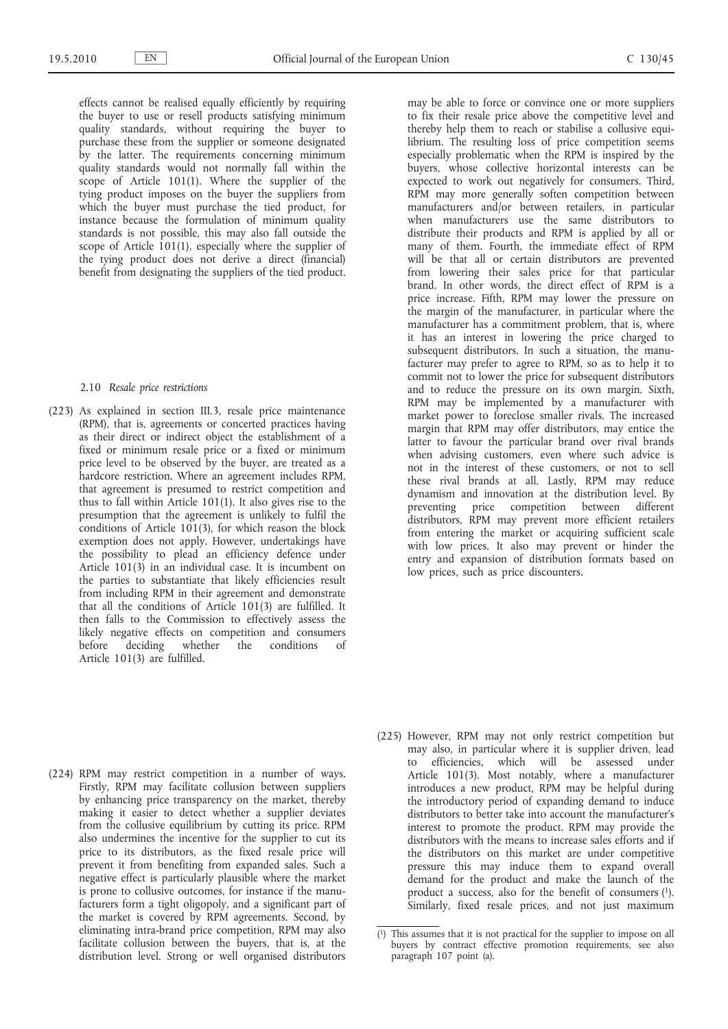effects cannot be realised equally efficiently by requiring the buyer to use or resell products satisfying minimum quality standards, without requiring the buyer to purchase these from the supplier or someone designated by the latter. The requirements concerning minimum quality standards would not normally fall within the scope of Article 101(1). Where the supplier of the tying product imposes on the buyer the suppliers from which the buyer must purchase the tied product, for instance because the formulation of minimum quality standards is not possible, this may also fall outside the scope of Article 101(1), especially where the supplier of the tying product does not derive a direct (financial) benefit from designating the suppliers of the tied product.

#### 2.10 *Resale price restrictions*

(223) As explained in section III.3, resale price maintenance (RPM), that is, agreements or concerted practices having as their direct or indirect object the establishment of a fixed or minimum resale price or a fixed or minimum price level to be observed by the buyer, are treated as a hardcore restriction. Where an agreement includes RPM, that agreement is presumed to restrict competition and thus to fall within Article 101(1). It also gives rise to the presumption that the agreement is unlikely to fulfil the conditions of Article 101(3), for which reason the block exemption does not apply. However, undertakings have the possibility to plead an efficiency defence under Article 101(3) in an individual case. It is incumbent on the parties to substantiate that likely efficiencies result from including RPM in their agreement and demonstrate that all the conditions of Article 101(3) are fulfilled. It then falls to the Commission to effectively assess the likely negative effects on competition and consumers before deciding whether the conditions Article 101(3) are fulfilled.

may be able to force or convince one or more suppliers to fix their resale price above the competitive level and thereby help them to reach or stabilise a collusive equilibrium. The resulting loss of price competition seems especially problematic when the RPM is inspired by the buyers, whose collective horizontal interests can be expected to work out negatively for consumers. Third, RPM may more generally soften competition between manufacturers and/or between retailers, in particular when manufacturers use the same distributors to distribute their products and RPM is applied by all or many of them. Fourth, the immediate effect of RPM will be that all or certain distributors are prevented from lowering their sales price for that particular brand. In other words, the direct effect of RPM is a price increase. Fifth, RPM may lower the pressure on the margin of the manufacturer, in particular where the manufacturer has a commitment problem, that is, where it has an interest in lowering the price charged to subsequent distributors. In such a situation, the manufacturer may prefer to agree to RPM, so as to help it to commit not to lower the price for subsequent distributors and to reduce the pressure on its own margin. Sixth, RPM may be implemented by a manufacturer with market power to foreclose smaller rivals. The increased margin that RPM may offer distributors, may entice the latter to favour the particular brand over rival brands when advising customers, even where such advice is not in the interest of these customers, or not to sell these rival brands at all. Lastly, RPM may reduce dynamism and innovation at the distribution level. By preventing price competition between different distributors, RPM may prevent more efficient retailers from entering the market or acquiring sufficient scale with low prices. It also may prevent or hinder the entry and expansion of distribution formats based on low prices, such as price discounters.

- (224) RPM may restrict competition in a number of ways. Firstly, RPM may facilitate collusion between suppliers by enhancing price transparency on the market, thereby making it easier to detect whether a supplier deviates from the collusive equilibrium by cutting its price. RPM also undermines the incentive for the supplier to cut its price to its distributors, as the fixed resale price will prevent it from benefiting from expanded sales. Such a negative effect is particularly plausible where the market is prone to collusive outcomes, for instance if the manufacturers form a tight oligopoly, and a significant part of the market is covered by RPM agreements. Second, by eliminating intra-brand price competition, RPM may also facilitate collusion between the buyers, that is, at the distribution level. Strong or well organised distributors
- (225) However, RPM may not only restrict competition but may also, in particular where it is supplier driven, lead to efficiencies, which will be assessed under Article 101(3). Most notably, where a manufacturer introduces a new product, RPM may be helpful during the introductory period of expanding demand to induce distributors to better take into account the manufacturer's interest to promote the product. RPM may provide the distributors with the means to increase sales efforts and if the distributors on this market are under competitive pressure this may induce them to expand overall demand for the product and make the launch of the product a success, also for the benefit of consumers (1). Similarly, fixed resale prices, and not just maximum

<sup>(</sup> 1) This assumes that it is not practical for the supplier to impose on all buyers by contract effective promotion requirements, see also paragraph 107 point (a).